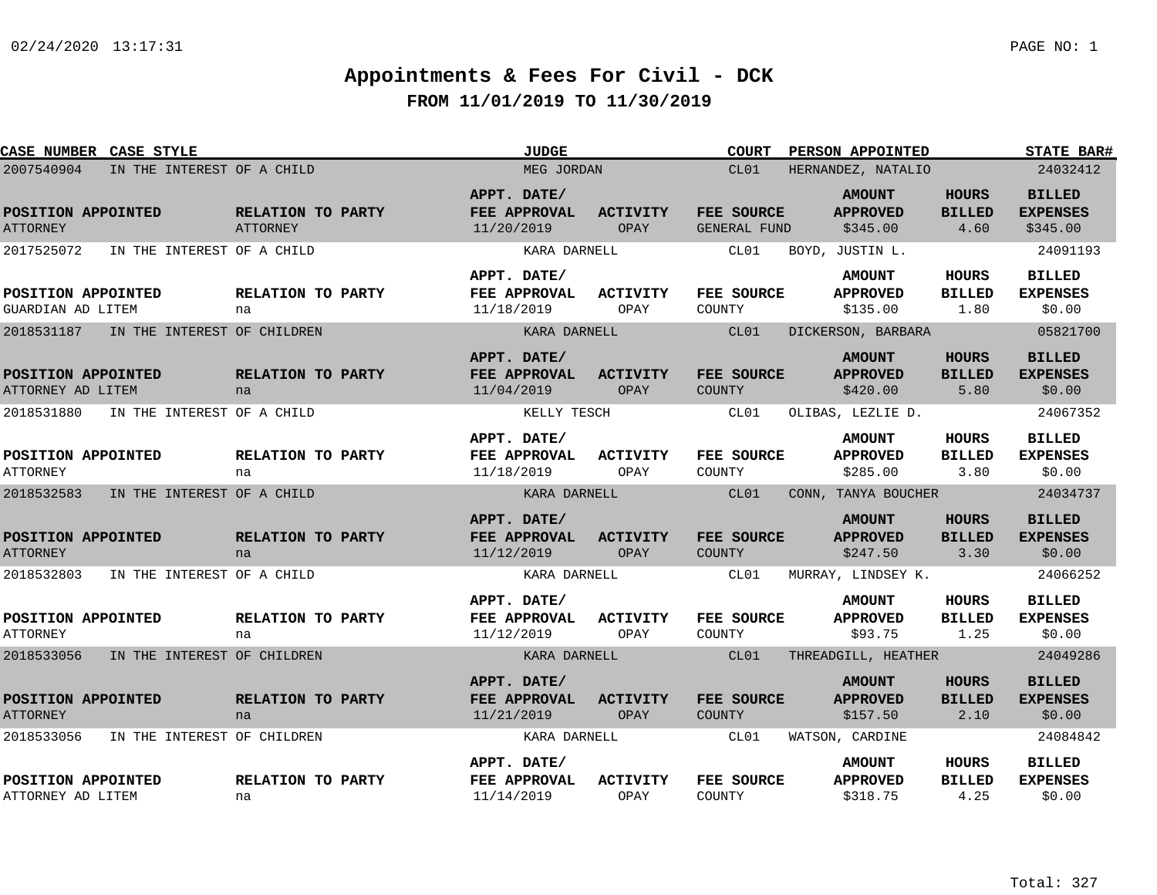| CASE NUMBER CASE STYLE                  |                             |                                      | <b>JUDGE</b>                              |                         | <b>COURT</b>                       | PERSON APPOINTED                             |                                       | STATE BAR#                                   |
|-----------------------------------------|-----------------------------|--------------------------------------|-------------------------------------------|-------------------------|------------------------------------|----------------------------------------------|---------------------------------------|----------------------------------------------|
| 2007540904                              | IN THE INTEREST OF A CHILD  |                                      | MEG JORDAN                                |                         | CL01                               | HERNANDEZ, NATALIO                           |                                       | 24032412                                     |
| POSITION APPOINTED<br><b>ATTORNEY</b>   |                             | RELATION TO PARTY<br><b>ATTORNEY</b> | APPT. DATE/<br>FEE APPROVAL<br>11/20/2019 | <b>ACTIVITY</b><br>OPAY | FEE SOURCE<br><b>GENERAL FUND</b>  | <b>AMOUNT</b><br><b>APPROVED</b><br>\$345.00 | <b>HOURS</b><br><b>BILLED</b><br>4.60 | <b>BILLED</b><br><b>EXPENSES</b><br>\$345.00 |
| 2017525072                              | IN THE INTEREST OF A CHILD  |                                      | KARA DARNELL                              |                         | CL01                               | BOYD, JUSTIN L.                              |                                       | 24091193                                     |
| POSITION APPOINTED<br>GUARDIAN AD LITEM |                             | RELATION TO PARTY<br>na              | APPT. DATE/<br>FEE APPROVAL<br>11/18/2019 | <b>ACTIVITY</b><br>OPAY | FEE SOURCE<br>COUNTY               | <b>AMOUNT</b><br><b>APPROVED</b><br>\$135.00 | <b>HOURS</b><br><b>BILLED</b><br>1.80 | <b>BILLED</b><br><b>EXPENSES</b><br>\$0.00   |
| 2018531187                              | IN THE INTEREST OF CHILDREN |                                      | KARA DARNELL                              |                         | CL01                               | DICKERSON, BARBARA                           |                                       | 05821700                                     |
| POSITION APPOINTED<br>ATTORNEY AD LITEM |                             | RELATION TO PARTY<br>na              | APPT. DATE/<br>FEE APPROVAL<br>11/04/2019 | <b>ACTIVITY</b><br>OPAY | FEE SOURCE<br>COUNTY               | <b>AMOUNT</b><br><b>APPROVED</b><br>\$420.00 | HOURS<br><b>BILLED</b><br>5.80        | <b>BILLED</b><br><b>EXPENSES</b><br>\$0.00   |
| 2018531880                              | IN THE INTEREST OF A CHILD  |                                      | KELLY TESCH                               |                         | CL01                               | OLIBAS, LEZLIE D.                            |                                       | 24067352                                     |
| POSITION APPOINTED<br><b>ATTORNEY</b>   |                             | RELATION TO PARTY<br>na              | APPT. DATE/<br>FEE APPROVAL<br>11/18/2019 | <b>ACTIVITY</b><br>OPAY | FEE SOURCE<br>COUNTY               | <b>AMOUNT</b><br><b>APPROVED</b><br>\$285.00 | <b>HOURS</b><br><b>BILLED</b><br>3.80 | <b>BILLED</b><br><b>EXPENSES</b><br>\$0.00   |
| 2018532583                              | IN THE INTEREST OF A CHILD  |                                      | KARA DARNELL                              |                         | CL01                               | CONN, TANYA BOUCHER                          |                                       | 24034737                                     |
| POSITION APPOINTED<br><b>ATTORNEY</b>   |                             | RELATION TO PARTY<br>na              | APPT. DATE/<br>FEE APPROVAL<br>11/12/2019 | <b>ACTIVITY</b><br>OPAY | FEE SOURCE<br>COUNTY               | <b>AMOUNT</b><br><b>APPROVED</b><br>\$247.50 | <b>HOURS</b><br><b>BILLED</b><br>3.30 | <b>BILLED</b><br><b>EXPENSES</b><br>\$0.00   |
| 2018532803                              | IN THE INTEREST OF A CHILD  |                                      | KARA DARNELL                              |                         | CL01                               | MURRAY, LINDSEY K.                           |                                       | 24066252                                     |
| POSITION APPOINTED<br><b>ATTORNEY</b>   |                             | RELATION TO PARTY<br>na              | APPT. DATE/<br>FEE APPROVAL<br>11/12/2019 | <b>ACTIVITY</b><br>OPAY | FEE SOURCE<br>COUNTY               | <b>AMOUNT</b><br><b>APPROVED</b><br>\$93.75  | <b>HOURS</b><br><b>BILLED</b><br>1.25 | <b>BILLED</b><br><b>EXPENSES</b><br>\$0.00   |
| 2018533056                              | IN THE INTEREST OF CHILDREN |                                      | KARA DARNELL                              |                         | CL01                               | THREADGILL, HEATHER                          |                                       | 24049286                                     |
| POSITION APPOINTED<br><b>ATTORNEY</b>   |                             | RELATION TO PARTY<br>na              | APPT. DATE/<br>FEE APPROVAL<br>11/21/2019 | <b>ACTIVITY</b><br>OPAY | <b>FEE SOURCE</b><br><b>COUNTY</b> | <b>AMOUNT</b><br><b>APPROVED</b><br>\$157.50 | <b>HOURS</b><br><b>BILLED</b><br>2.10 | <b>BILLED</b><br><b>EXPENSES</b><br>\$0.00   |
| 2018533056                              | IN THE INTEREST OF CHILDREN |                                      | KARA DARNELL                              |                         | CL01                               | WATSON, CARDINE                              |                                       | 24084842                                     |
| POSITION APPOINTED<br>ATTORNEY AD LITEM |                             | RELATION TO PARTY<br>na              | APPT. DATE/<br>FEE APPROVAL<br>11/14/2019 | <b>ACTIVITY</b><br>OPAY | FEE SOURCE<br>COUNTY               | <b>AMOUNT</b><br><b>APPROVED</b><br>\$318.75 | <b>HOURS</b><br><b>BILLED</b><br>4.25 | <b>BILLED</b><br><b>EXPENSES</b><br>\$0.00   |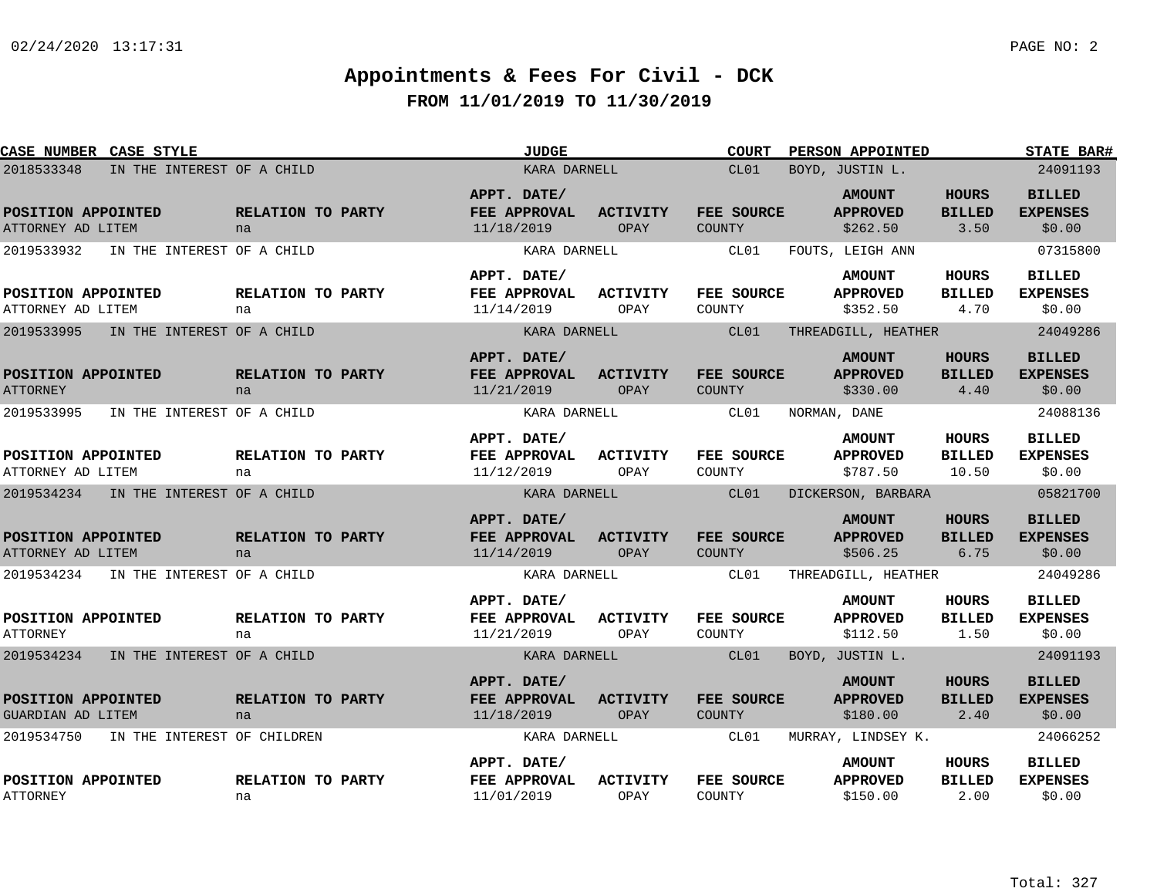| CASE NUMBER CASE STYLE                         |                             | <b>JUDGE</b>                              |                         | <b>COURT</b>         | <b>PERSON APPOINTED</b>                      |                                       | <b>STATE BAR#</b>                          |
|------------------------------------------------|-----------------------------|-------------------------------------------|-------------------------|----------------------|----------------------------------------------|---------------------------------------|--------------------------------------------|
| 2018533348                                     | IN THE INTEREST OF A CHILD  | KARA DARNELL                              |                         | CL01                 | BOYD, JUSTIN L.                              |                                       | 24091193                                   |
| POSITION APPOINTED<br>ATTORNEY AD LITEM        | RELATION TO PARTY<br>na     | APPT. DATE/<br>FEE APPROVAL<br>11/18/2019 | <b>ACTIVITY</b><br>OPAY | FEE SOURCE<br>COUNTY | <b>AMOUNT</b><br><b>APPROVED</b><br>\$262.50 | <b>HOURS</b><br><b>BILLED</b><br>3.50 | <b>BILLED</b><br><b>EXPENSES</b><br>\$0.00 |
| 2019533932<br>IN THE INTEREST OF A CHILD       |                             | KARA DARNELL                              |                         | CL01                 | FOUTS, LEIGH ANN                             |                                       | 07315800                                   |
| POSITION APPOINTED<br>ATTORNEY AD LITEM        | RELATION TO PARTY<br>na     | APPT. DATE/<br>FEE APPROVAL<br>11/14/2019 | ACTIVITY<br>OPAY        | FEE SOURCE<br>COUNTY | <b>AMOUNT</b><br><b>APPROVED</b><br>\$352.50 | HOURS<br><b>BILLED</b><br>4.70        | <b>BILLED</b><br><b>EXPENSES</b><br>\$0.00 |
| 2019533995<br>IN THE INTEREST OF A CHILD       |                             | KARA DARNELL                              |                         | CL01                 | THREADGILL, HEATHER                          |                                       | 24049286                                   |
| POSITION APPOINTED<br><b>ATTORNEY</b>          | RELATION TO PARTY<br>na     | APPT. DATE/<br>FEE APPROVAL<br>11/21/2019 | <b>ACTIVITY</b><br>OPAY | FEE SOURCE<br>COUNTY | <b>AMOUNT</b><br><b>APPROVED</b><br>\$330.00 | <b>HOURS</b><br><b>BILLED</b><br>4.40 | <b>BILLED</b><br><b>EXPENSES</b><br>\$0.00 |
| 2019533995<br>IN THE INTEREST OF A CHILD       |                             | KARA DARNELL                              |                         | CL01                 | NORMAN, DANE                                 |                                       | 24088136                                   |
| POSITION APPOINTED<br>ATTORNEY AD LITEM        | RELATION TO PARTY<br>na     | APPT. DATE/<br>FEE APPROVAL<br>11/12/2019 | <b>ACTIVITY</b><br>OPAY | FEE SOURCE<br>COUNTY | <b>AMOUNT</b><br><b>APPROVED</b><br>\$787.50 | HOURS<br><b>BILLED</b><br>10.50       | <b>BILLED</b><br><b>EXPENSES</b><br>\$0.00 |
| 2019534234<br>IN THE INTEREST OF A CHILD       |                             | KARA DARNELL                              |                         | CL01                 | DICKERSON, BARBARA                           |                                       | 05821700                                   |
| POSITION APPOINTED<br>ATTORNEY AD LITEM        | RELATION TO PARTY<br>na     | APPT. DATE/<br>FEE APPROVAL<br>11/14/2019 | <b>ACTIVITY</b><br>OPAY | FEE SOURCE<br>COUNTY | <b>AMOUNT</b><br><b>APPROVED</b><br>\$506.25 | <b>HOURS</b><br><b>BILLED</b><br>6.75 | <b>BILLED</b><br><b>EXPENSES</b><br>\$0.00 |
| 2019534234<br>IN THE INTEREST OF A CHILD       |                             | KARA DARNELL                              |                         | CL01                 | THREADGILL, HEATHER                          |                                       | 24049286                                   |
| POSITION APPOINTED<br><b>ATTORNEY</b>          | RELATION TO PARTY<br>na     | APPT. DATE/<br>FEE APPROVAL<br>11/21/2019 | <b>ACTIVITY</b><br>OPAY | FEE SOURCE<br>COUNTY | <b>AMOUNT</b><br><b>APPROVED</b><br>\$112.50 | HOURS<br><b>BILLED</b><br>1.50        | <b>BILLED</b><br><b>EXPENSES</b><br>\$0.00 |
| 2019534234 IN THE INTEREST OF A CHILD          |                             | KARA DARNELL                              |                         | CL01                 | BOYD, JUSTIN L.                              |                                       | 24091193                                   |
| POSITION APPOINTED<br><b>GUARDIAN AD LITEM</b> | RELATION TO PARTY<br>na     | APPT. DATE/<br>FEE APPROVAL<br>11/18/2019 | <b>ACTIVITY</b><br>OPAY | FEE SOURCE<br>COUNTY | <b>AMOUNT</b><br><b>APPROVED</b><br>\$180.00 | <b>HOURS</b><br><b>BILLED</b><br>2.40 | <b>BILLED</b><br><b>EXPENSES</b><br>\$0.00 |
| 2019534750                                     | IN THE INTEREST OF CHILDREN | KARA DARNELL                              |                         | CL01                 | MURRAY, LINDSEY K.                           |                                       | 24066252                                   |
| POSITION APPOINTED<br><b>ATTORNEY</b>          | RELATION TO PARTY<br>na     | APPT. DATE/<br>FEE APPROVAL<br>11/01/2019 | <b>ACTIVITY</b><br>OPAY | FEE SOURCE<br>COUNTY | <b>AMOUNT</b><br><b>APPROVED</b><br>\$150.00 | HOURS<br><b>BILLED</b><br>2.00        | <b>BILLED</b><br><b>EXPENSES</b><br>\$0.00 |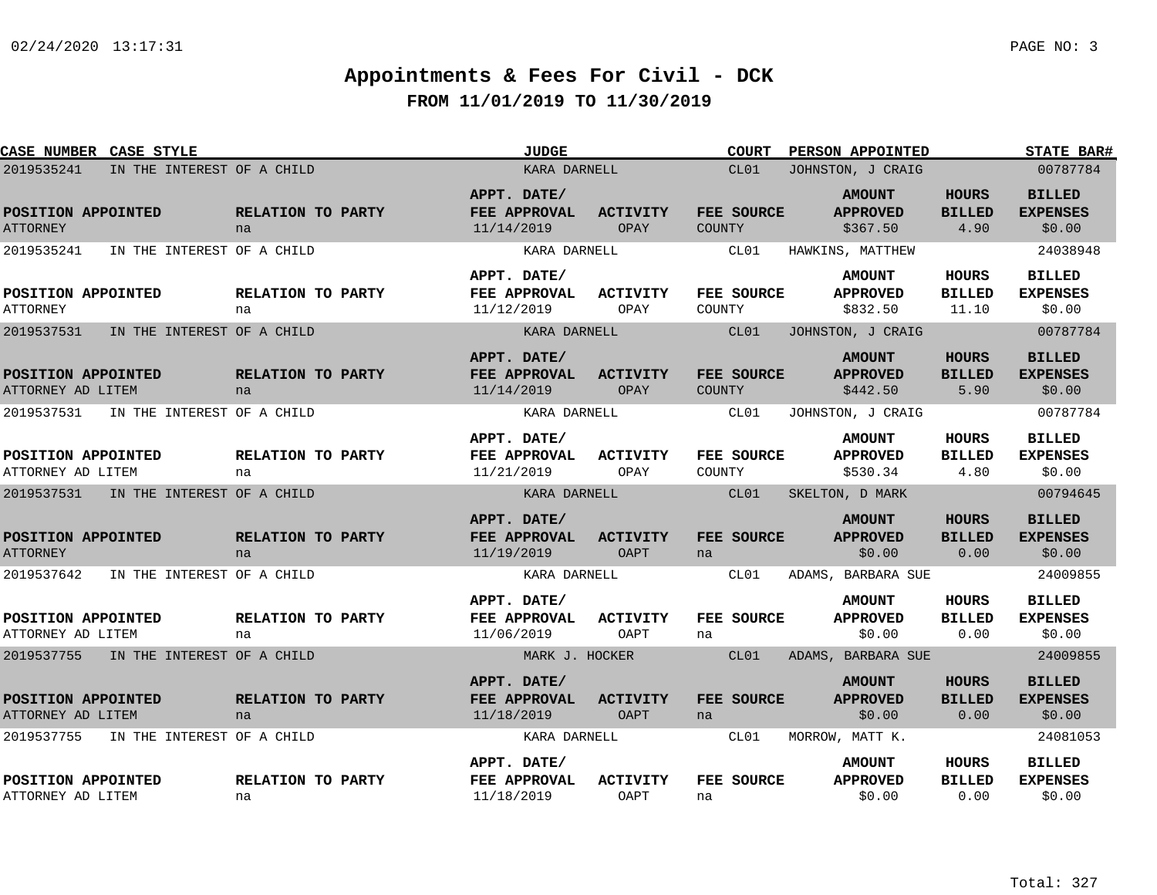| <b>CASE NUMBER CASE STYLE</b>                                                     |                         | <b>JUDGE</b>                                              |                                | <b>COURT</b>                | <b>PERSON APPOINTED</b>                                          |                                        | <b>STATE BAR#</b>                                      |
|-----------------------------------------------------------------------------------|-------------------------|-----------------------------------------------------------|--------------------------------|-----------------------------|------------------------------------------------------------------|----------------------------------------|--------------------------------------------------------|
| 2019535241<br>IN THE INTEREST OF A CHILD                                          |                         | KARA DARNELL                                              |                                | CL01                        | JOHNSTON, J CRAIG                                                |                                        | 00787784                                               |
| POSITION APPOINTED<br><b>ATTORNEY</b>                                             | RELATION TO PARTY<br>na | APPT. DATE/<br>FEE APPROVAL<br>11/14/2019                 | <b>ACTIVITY</b><br>OPAY        | FEE SOURCE<br>COUNTY        | <b>AMOUNT</b><br><b>APPROVED</b><br>\$367.50                     | <b>HOURS</b><br><b>BILLED</b><br>4.90  | <b>BILLED</b><br><b>EXPENSES</b><br>\$0.00             |
| 2019535241<br>IN THE INTEREST OF A CHILD                                          |                         | KARA DARNELL                                              |                                | CL01                        | HAWKINS, MATTHEW                                                 |                                        | 24038948                                               |
| POSITION APPOINTED<br><b>ATTORNEY</b>                                             | RELATION TO PARTY<br>na | APPT. DATE/<br>FEE APPROVAL<br>11/12/2019                 | ACTIVITY<br>OPAY               | FEE SOURCE<br>COUNTY        | <b>AMOUNT</b><br><b>APPROVED</b><br>\$832.50                     | <b>HOURS</b><br><b>BILLED</b><br>11.10 | <b>BILLED</b><br><b>EXPENSES</b><br>\$0.00             |
| 2019537531<br>IN THE INTEREST OF A CHILD                                          |                         | KARA DARNELL                                              |                                | CL01                        | JOHNSTON, J CRAIG                                                |                                        | 00787784                                               |
| POSITION APPOINTED<br>ATTORNEY AD LITEM                                           | RELATION TO PARTY<br>na | APPT. DATE/<br>FEE APPROVAL<br>11/14/2019                 | <b>ACTIVITY</b><br>OPAY        | FEE SOURCE<br><b>COUNTY</b> | <b>AMOUNT</b><br><b>APPROVED</b><br>\$442.50                     | <b>HOURS</b><br><b>BILLED</b><br>5.90  | <b>BILLED</b><br><b>EXPENSES</b><br>\$0.00             |
| 2019537531<br>IN THE INTEREST OF A CHILD                                          |                         | KARA DARNELL                                              |                                | CL01                        | JOHNSTON, J CRAIG                                                |                                        | 00787784                                               |
| POSITION APPOINTED<br>ATTORNEY AD LITEM                                           | RELATION TO PARTY<br>na | APPT. DATE/<br>FEE APPROVAL<br>11/21/2019                 | <b>ACTIVITY</b><br>OPAY        | FEE SOURCE<br>COUNTY        | <b>AMOUNT</b><br><b>APPROVED</b><br>\$530.34                     | <b>HOURS</b><br><b>BILLED</b><br>4.80  | <b>BILLED</b><br><b>EXPENSES</b><br>\$0.00             |
| 2019537531<br>IN THE INTEREST OF A CHILD                                          |                         | KARA DARNELL                                              |                                | CL01                        | SKELTON, D MARK                                                  |                                        | 00794645                                               |
| POSITION APPOINTED<br><b>ATTORNEY</b><br>2019537642<br>IN THE INTEREST OF A CHILD | RELATION TO PARTY<br>na | APPT. DATE/<br>FEE APPROVAL<br>11/19/2019<br>KARA DARNELL | <b>ACTIVITY</b><br><b>OAPT</b> | FEE SOURCE<br>na<br>CL01    | <b>AMOUNT</b><br><b>APPROVED</b><br>\$0.00<br>ADAMS, BARBARA SUE | <b>HOURS</b><br><b>BILLED</b><br>0.00  | <b>BILLED</b><br><b>EXPENSES</b><br>\$0.00<br>24009855 |
|                                                                                   |                         | APPT. DATE/                                               |                                |                             | <b>AMOUNT</b>                                                    | <b>HOURS</b>                           | <b>BILLED</b>                                          |
| POSITION APPOINTED<br>ATTORNEY AD LITEM                                           | RELATION TO PARTY<br>na | FEE APPROVAL<br>11/06/2019                                | <b>ACTIVITY</b><br>OAPT        | FEE SOURCE<br>na            | <b>APPROVED</b><br>\$0.00                                        | <b>BILLED</b><br>0.00                  | <b>EXPENSES</b><br>\$0.00                              |
| 2019537755<br>IN THE INTEREST OF A CHILD                                          |                         | MARK J. HOCKER                                            |                                | CL01                        | ADAMS, BARBARA SUE                                               |                                        | 24009855                                               |
| POSITION APPOINTED<br>ATTORNEY AD LITEM                                           | RELATION TO PARTY<br>na | APPT. DATE/<br>FEE APPROVAL<br>11/18/2019                 | <b>ACTIVITY</b><br><b>OAPT</b> | FEE SOURCE<br>na            | <b>AMOUNT</b><br><b>APPROVED</b><br>\$0.00                       | <b>HOURS</b><br><b>BILLED</b><br>0.00  | <b>BILLED</b><br><b>EXPENSES</b><br>\$0.00             |
| 2019537755<br>IN THE INTEREST OF A CHILD                                          |                         | KARA DARNELL                                              |                                | CL01                        | MORROW, MATT K.                                                  |                                        | 24081053                                               |
| POSITION APPOINTED<br>ATTORNEY AD LITEM                                           | RELATION TO PARTY<br>na | APPT. DATE/<br>FEE APPROVAL<br>11/18/2019                 | <b>ACTIVITY</b><br><b>OAPT</b> | FEE SOURCE<br>na            | <b>AMOUNT</b><br><b>APPROVED</b><br>\$0.00                       | <b>HOURS</b><br><b>BILLED</b><br>0.00  | <b>BILLED</b><br><b>EXPENSES</b><br>\$0.00             |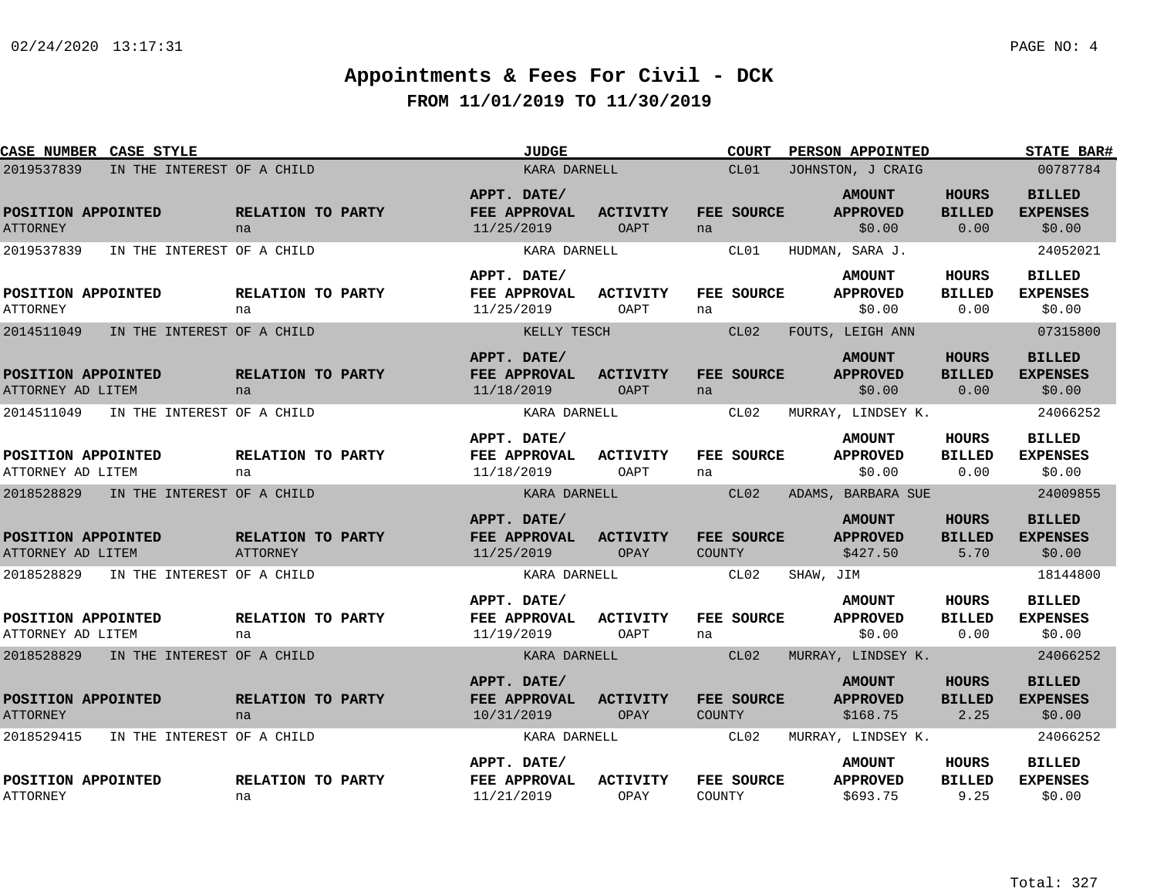| <b>CASE NUMBER CASE STYLE</b>           |                            |                               | <b>JUDGE</b>                                     |                                |               | <b>COURT</b>      | PERSON APPOINTED                             |                                       | <b>STATE BAR#</b>                          |
|-----------------------------------------|----------------------------|-------------------------------|--------------------------------------------------|--------------------------------|---------------|-------------------|----------------------------------------------|---------------------------------------|--------------------------------------------|
| 2019537839                              | IN THE INTEREST OF A CHILD |                               | KARA DARNELL                                     |                                |               | CL01              | JOHNSTON, J CRAIG                            |                                       | 00787784                                   |
| POSITION APPOINTED<br><b>ATTORNEY</b>   |                            | RELATION TO PARTY<br>na       | APPT. DATE/<br>FEE APPROVAL<br>11/25/2019        | <b>ACTIVITY</b><br>OAPT        | na            | FEE SOURCE        | <b>AMOUNT</b><br><b>APPROVED</b><br>\$0.00   | <b>HOURS</b><br><b>BILLED</b><br>0.00 | <b>BILLED</b><br><b>EXPENSES</b><br>\$0.00 |
| 2019537839                              | IN THE INTEREST OF A CHILD |                               | KARA DARNELL                                     |                                |               | CL01              | HUDMAN, SARA J.                              |                                       | 24052021                                   |
| POSITION APPOINTED<br><b>ATTORNEY</b>   |                            | RELATION TO PARTY<br>na       | APPT. DATE/<br>FEE APPROVAL<br>11/25/2019        | <b>ACTIVITY</b><br>OAPT        | na            | FEE SOURCE        | <b>AMOUNT</b><br><b>APPROVED</b><br>\$0.00   | HOURS<br><b>BILLED</b><br>0.00        | <b>BILLED</b><br><b>EXPENSES</b><br>\$0.00 |
| 2014511049                              | IN THE INTEREST OF A CHILD |                               | KELLY TESCH                                      |                                |               | CL02              | FOUTS, LEIGH ANN                             |                                       | 07315800                                   |
| POSITION APPOINTED<br>ATTORNEY AD LITEM |                            | RELATION TO PARTY<br>na       | APPT. DATE/<br>FEE APPROVAL<br>11/18/2019        | <b>ACTIVITY</b><br><b>OAPT</b> | na            | FEE SOURCE        | <b>AMOUNT</b><br><b>APPROVED</b><br>\$0.00   | <b>HOURS</b><br><b>BILLED</b><br>0.00 | <b>BILLED</b><br><b>EXPENSES</b><br>\$0.00 |
| 2014511049                              | IN THE INTEREST OF A CHILD |                               | KARA DARNELL                                     |                                |               | CL02              | MURRAY, LINDSEY K.                           |                                       | 24066252                                   |
| POSITION APPOINTED<br>ATTORNEY AD LITEM |                            | RELATION TO PARTY<br>na       | APPT. DATE/<br>FEE APPROVAL<br>11/18/2019        | ACTIVITY<br>OAPT               | na            | FEE SOURCE        | <b>AMOUNT</b><br><b>APPROVED</b><br>\$0.00   | <b>HOURS</b><br><b>BILLED</b><br>0.00 | <b>BILLED</b><br><b>EXPENSES</b><br>\$0.00 |
| 2018528829                              | IN THE INTEREST OF A CHILD |                               | KARA DARNELL                                     |                                |               | CL <sub>02</sub>  | ADAMS, BARBARA SUE                           |                                       | 24009855                                   |
| POSITION APPOINTED<br>ATTORNEY AD LITEM |                            | RELATION TO PARTY<br>ATTORNEY | APPT. DATE/<br>FEE APPROVAL<br>11/25/2019        | <b>ACTIVITY</b><br>OPAY        | <b>COUNTY</b> | FEE SOURCE        | <b>AMOUNT</b><br><b>APPROVED</b><br>\$427.50 | <b>HOURS</b><br><b>BILLED</b><br>5.70 | <b>BILLED</b><br><b>EXPENSES</b><br>\$0.00 |
| 2018528829                              | IN THE INTEREST OF A CHILD |                               | KARA DARNELL                                     |                                |               | CL02              | SHAW, JIM                                    |                                       | 18144800                                   |
| POSITION APPOINTED<br>ATTORNEY AD LITEM |                            | RELATION TO PARTY<br>na       | APPT. DATE/<br><b>FEE APPROVAL</b><br>11/19/2019 | <b>ACTIVITY</b><br>OAPT        | na            | FEE SOURCE        | <b>AMOUNT</b><br><b>APPROVED</b><br>\$0.00   | HOURS<br><b>BILLED</b><br>0.00        | <b>BILLED</b><br><b>EXPENSES</b><br>\$0.00 |
| 2018528829                              | IN THE INTEREST OF A CHILD |                               | KARA DARNELL                                     |                                |               | CL02              | MURRAY, LINDSEY K.                           |                                       | 24066252                                   |
| POSITION APPOINTED<br><b>ATTORNEY</b>   |                            | RELATION TO PARTY<br>na       | APPT. DATE/<br>FEE APPROVAL<br>10/31/2019        | <b>ACTIVITY</b><br>OPAY        | COUNTY        | <b>FEE SOURCE</b> | <b>AMOUNT</b><br><b>APPROVED</b><br>\$168.75 | HOURS<br><b>BILLED</b><br>2.25        | <b>BILLED</b><br><b>EXPENSES</b><br>\$0.00 |
| 2018529415                              | IN THE INTEREST OF A CHILD |                               | KARA DARNELL                                     |                                |               | CL02              | MURRAY, LINDSEY K.                           |                                       | 24066252                                   |
| POSITION APPOINTED<br><b>ATTORNEY</b>   |                            | RELATION TO PARTY<br>na       | APPT. DATE/<br>FEE APPROVAL<br>11/21/2019        | <b>ACTIVITY</b><br>OPAY        | COUNTY        | FEE SOURCE        | <b>AMOUNT</b><br><b>APPROVED</b><br>\$693.75 | HOURS<br><b>BILLED</b><br>9.25        | <b>BILLED</b><br><b>EXPENSES</b><br>\$0.00 |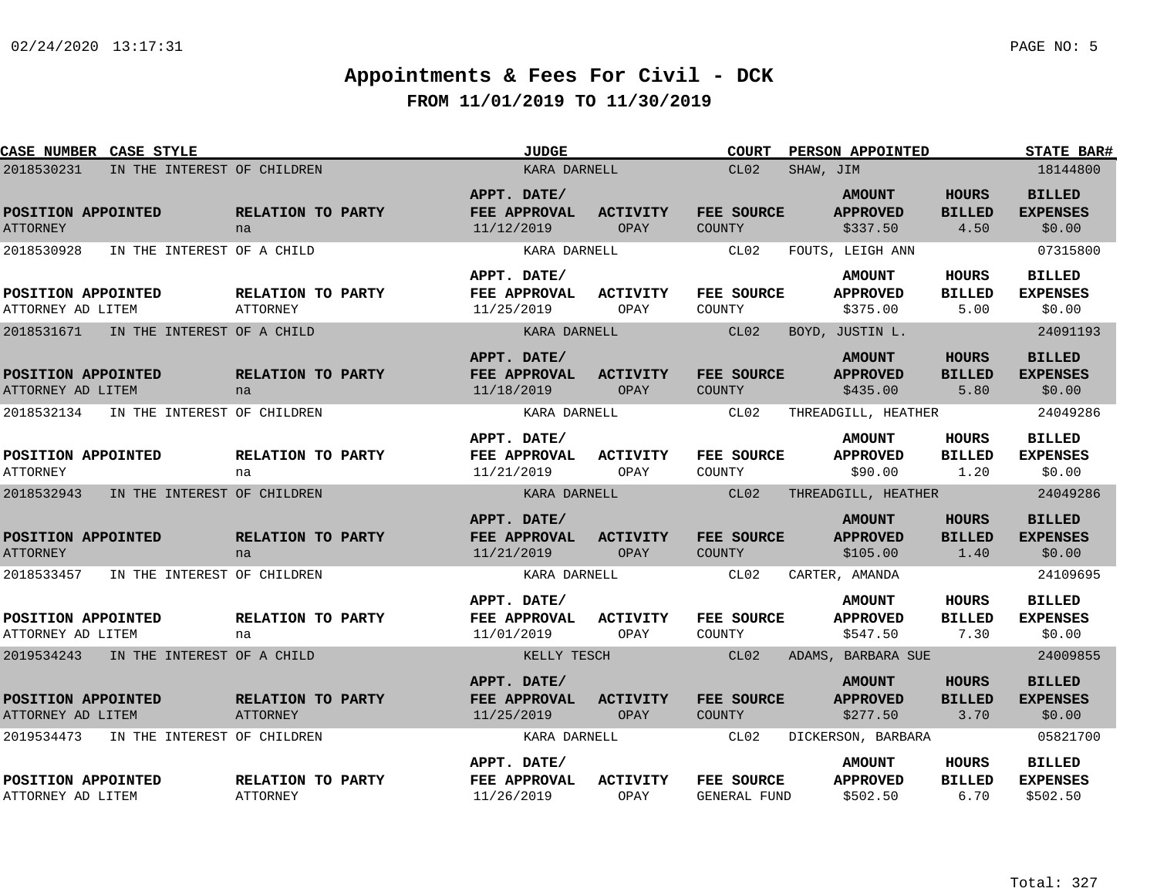| <b>CASE NUMBER CASE STYLE</b>             |                                      | <b>JUDGE</b>                              |                                | <b>COURT</b>                       | PERSON APPOINTED                             |                                       | <b>STATE BAR#</b>                            |
|-------------------------------------------|--------------------------------------|-------------------------------------------|--------------------------------|------------------------------------|----------------------------------------------|---------------------------------------|----------------------------------------------|
| 2018530231                                | IN THE INTEREST OF CHILDREN          | KARA DARNELL                              |                                | CL02                               | SHAW, JIM                                    |                                       | 18144800                                     |
| POSITION APPOINTED<br><b>ATTORNEY</b>     | RELATION TO PARTY<br>na              | APPT. DATE/<br>FEE APPROVAL<br>11/12/2019 | <b>ACTIVITY</b><br>OPAY        | FEE SOURCE<br>COUNTY               | <b>AMOUNT</b><br><b>APPROVED</b><br>\$337.50 | <b>HOURS</b><br><b>BILLED</b><br>4.50 | <b>BILLED</b><br><b>EXPENSES</b><br>\$0.00   |
| IN THE INTEREST OF A CHILD<br>2018530928  |                                      | KARA DARNELL                              |                                | CL02                               | FOUTS, LEIGH ANN                             |                                       | 07315800                                     |
| POSITION APPOINTED<br>ATTORNEY AD LITEM   | <b>RELATION TO PARTY</b><br>ATTORNEY | APPT. DATE/<br>FEE APPROVAL<br>11/25/2019 | ACTIVITY<br>OPAY               | <b>FEE SOURCE</b><br>COUNTY        | <b>AMOUNT</b><br><b>APPROVED</b><br>\$375.00 | HOURS<br><b>BILLED</b><br>5.00        | <b>BILLED</b><br><b>EXPENSES</b><br>\$0.00   |
| 2018531671<br>IN THE INTEREST OF A CHILD  |                                      | KARA DARNELL                              |                                | CL02                               | BOYD, JUSTIN L.                              |                                       | 24091193                                     |
| POSITION APPOINTED<br>ATTORNEY AD LITEM   | RELATION TO PARTY<br>na              | APPT. DATE/<br>FEE APPROVAL<br>11/18/2019 | <b>ACTIVITY</b><br>OPAY        | <b>FEE SOURCE</b><br><b>COUNTY</b> | <b>AMOUNT</b><br><b>APPROVED</b><br>\$435.00 | <b>HOURS</b><br><b>BILLED</b><br>5.80 | <b>BILLED</b><br><b>EXPENSES</b><br>\$0.00   |
| 2018532134<br>IN THE INTEREST OF CHILDREN |                                      | KARA DARNELL                              |                                | CL02                               | THREADGILL, HEATHER                          |                                       | 24049286                                     |
| POSITION APPOINTED<br><b>ATTORNEY</b>     | RELATION TO PARTY<br>na              | APPT. DATE/<br>FEE APPROVAL<br>11/21/2019 | ACTIVITY<br>OPAY               | FEE SOURCE<br>COUNTY               | <b>AMOUNT</b><br><b>APPROVED</b><br>\$90.00  | HOURS<br><b>BILLED</b><br>1.20        | <b>BILLED</b><br><b>EXPENSES</b><br>\$0.00   |
| 2018532943                                | IN THE INTEREST OF CHILDREN          | KARA DARNELL                              |                                | CL02                               | THREADGILL, HEATHER                          |                                       | 24049286                                     |
| POSITION APPOINTED<br><b>ATTORNEY</b>     | RELATION TO PARTY<br>na              | APPT. DATE/<br>FEE APPROVAL<br>11/21/2019 | <b>ACTIVITY</b><br><b>OPAY</b> | FEE SOURCE<br>COUNTY               | <b>AMOUNT</b><br><b>APPROVED</b><br>\$105.00 | <b>HOURS</b><br><b>BILLED</b><br>1.40 | <b>BILLED</b><br><b>EXPENSES</b><br>\$0.00   |
| 2018533457<br>IN THE INTEREST OF CHILDREN |                                      | KARA DARNELL                              |                                | CL02                               | CARTER, AMANDA                               |                                       | 24109695                                     |
| POSITION APPOINTED<br>ATTORNEY AD LITEM   | <b>RELATION TO PARTY</b><br>na       | APPT. DATE/<br>FEE APPROVAL<br>11/01/2019 | <b>ACTIVITY</b><br>OPAY        | FEE SOURCE<br>COUNTY               | <b>AMOUNT</b><br><b>APPROVED</b><br>\$547.50 | HOURS<br><b>BILLED</b><br>7.30        | <b>BILLED</b><br><b>EXPENSES</b><br>\$0.00   |
| 2019534243 IN THE INTEREST OF A CHILD     |                                      | KELLY TESCH                               |                                | CL02                               | ADAMS, BARBARA SUE                           |                                       | 24009855                                     |
| POSITION APPOINTED<br>ATTORNEY AD LITEM   | RELATION TO PARTY<br><b>ATTORNEY</b> | APPT. DATE/<br>FEE APPROVAL<br>11/25/2019 | <b>ACTIVITY</b><br>OPAY        | FEE SOURCE<br><b>COUNTY</b>        | <b>AMOUNT</b><br><b>APPROVED</b><br>\$277.50 | <b>HOURS</b><br><b>BILLED</b><br>3.70 | <b>BILLED</b><br><b>EXPENSES</b><br>\$0.00   |
| 2019534473<br>IN THE INTEREST OF CHILDREN |                                      | KARA DARNELL                              |                                | CL02                               | DICKERSON, BARBARA                           |                                       | 05821700                                     |
| POSITION APPOINTED<br>ATTORNEY AD LITEM   | RELATION TO PARTY<br>ATTORNEY        | APPT. DATE/<br>FEE APPROVAL<br>11/26/2019 | <b>ACTIVITY</b><br>OPAY        | FEE SOURCE<br><b>GENERAL FUND</b>  | <b>AMOUNT</b><br><b>APPROVED</b><br>\$502.50 | HOURS<br><b>BILLED</b><br>6.70        | <b>BILLED</b><br><b>EXPENSES</b><br>\$502.50 |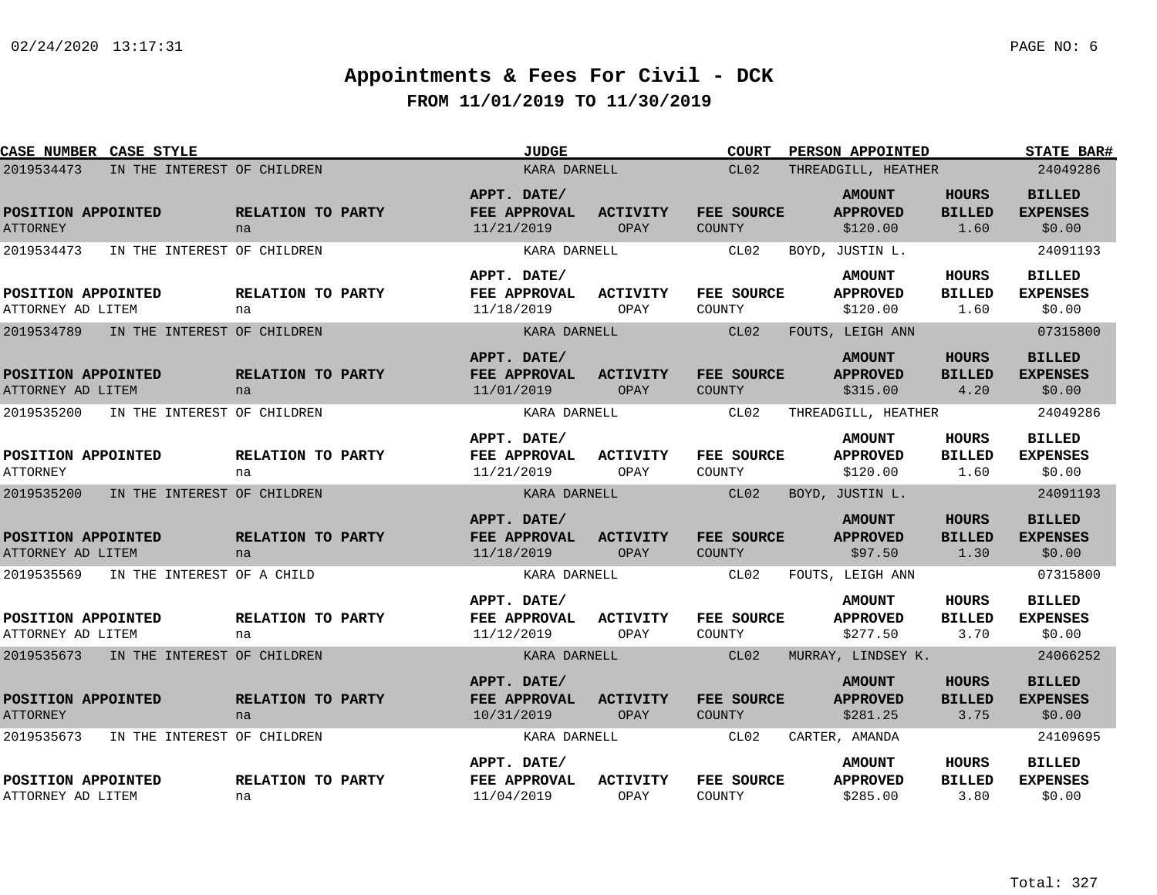| <b>CASE NUMBER CASE STYLE</b>             |                         | <b>JUDGE</b>                              |                                | <b>COURT</b>                | <b>PERSON APPOINTED</b>                      |                                       | STATE BAR#                                 |
|-------------------------------------------|-------------------------|-------------------------------------------|--------------------------------|-----------------------------|----------------------------------------------|---------------------------------------|--------------------------------------------|
| 2019534473<br>IN THE INTEREST OF CHILDREN |                         | KARA DARNELL                              |                                | CL02                        | THREADGILL, HEATHER                          |                                       | 24049286                                   |
| POSITION APPOINTED<br><b>ATTORNEY</b>     | RELATION TO PARTY<br>na | APPT. DATE/<br>FEE APPROVAL<br>11/21/2019 | <b>ACTIVITY</b><br>OPAY        | FEE SOURCE<br>COUNTY        | <b>AMOUNT</b><br><b>APPROVED</b><br>\$120.00 | <b>HOURS</b><br><b>BILLED</b><br>1.60 | <b>BILLED</b><br><b>EXPENSES</b><br>\$0.00 |
| 2019534473<br>IN THE INTEREST OF CHILDREN |                         | KARA DARNELL                              |                                | CL02                        | BOYD, JUSTIN L.                              |                                       | 24091193                                   |
| POSITION APPOINTED<br>ATTORNEY AD LITEM   | RELATION TO PARTY<br>na | APPT. DATE/<br>FEE APPROVAL<br>11/18/2019 | <b>ACTIVITY</b><br>OPAY        | FEE SOURCE<br>COUNTY        | <b>AMOUNT</b><br><b>APPROVED</b><br>\$120.00 | <b>HOURS</b><br><b>BILLED</b><br>1.60 | <b>BILLED</b><br><b>EXPENSES</b><br>\$0.00 |
| 2019534789<br>IN THE INTEREST OF CHILDREN |                         | KARA DARNELL                              |                                | CL02                        | FOUTS, LEIGH ANN                             |                                       | 07315800                                   |
| POSITION APPOINTED<br>ATTORNEY AD LITEM   | RELATION TO PARTY<br>na | APPT. DATE/<br>FEE APPROVAL<br>11/01/2019 | <b>ACTIVITY</b><br>OPAY        | FEE SOURCE<br><b>COUNTY</b> | <b>AMOUNT</b><br><b>APPROVED</b><br>\$315.00 | <b>HOURS</b><br><b>BILLED</b><br>4.20 | <b>BILLED</b><br><b>EXPENSES</b><br>\$0.00 |
| 2019535200<br>IN THE INTEREST OF CHILDREN |                         | KARA DARNELL                              |                                | CL02                        | THREADGILL, HEATHER                          |                                       | 24049286                                   |
| POSITION APPOINTED<br><b>ATTORNEY</b>     | RELATION TO PARTY<br>na | APPT. DATE/<br>FEE APPROVAL<br>11/21/2019 | ACTIVITY<br>OPAY               | FEE SOURCE<br>COUNTY        | <b>AMOUNT</b><br><b>APPROVED</b><br>\$120.00 | <b>HOURS</b><br><b>BILLED</b><br>1.60 | <b>BILLED</b><br><b>EXPENSES</b><br>\$0.00 |
| 2019535200<br>IN THE INTEREST OF CHILDREN |                         | KARA DARNELL                              |                                | CL <sub>02</sub>            | BOYD, JUSTIN L.                              |                                       | 24091193                                   |
| POSITION APPOINTED<br>ATTORNEY AD LITEM   | RELATION TO PARTY<br>na | APPT. DATE/<br>FEE APPROVAL<br>11/18/2019 | <b>ACTIVITY</b><br>OPAY        | FEE SOURCE<br><b>COUNTY</b> | <b>AMOUNT</b><br><b>APPROVED</b><br>\$97.50  | <b>HOURS</b><br><b>BILLED</b><br>1.30 | <b>BILLED</b><br><b>EXPENSES</b><br>\$0.00 |
| 2019535569<br>IN THE INTEREST OF A CHILD  |                         | KARA DARNELL                              |                                | CL02                        | FOUTS, LEIGH ANN                             |                                       | 07315800                                   |
| POSITION APPOINTED<br>ATTORNEY AD LITEM   | RELATION TO PARTY<br>na | APPT. DATE/<br>FEE APPROVAL<br>11/12/2019 | <b>ACTIVITY</b><br>OPAY        | FEE SOURCE<br>COUNTY        | <b>AMOUNT</b><br><b>APPROVED</b><br>\$277.50 | HOURS<br><b>BILLED</b><br>3.70        | <b>BILLED</b><br><b>EXPENSES</b><br>\$0.00 |
| 2019535673<br>IN THE INTEREST OF CHILDREN |                         | KARA DARNELL                              |                                | CL02                        | MURRAY, LINDSEY K.                           |                                       | 24066252                                   |
| POSITION APPOINTED<br><b>ATTORNEY</b>     | RELATION TO PARTY<br>na | APPT. DATE/<br>FEE APPROVAL<br>10/31/2019 | <b>ACTIVITY</b><br><b>OPAY</b> | FEE SOURCE<br><b>COUNTY</b> | <b>AMOUNT</b><br><b>APPROVED</b><br>\$281.25 | <b>HOURS</b><br><b>BILLED</b><br>3.75 | <b>BILLED</b><br><b>EXPENSES</b><br>\$0.00 |
| 2019535673<br>IN THE INTEREST OF CHILDREN |                         | KARA DARNELL                              |                                | CL02                        | CARTER, AMANDA                               |                                       | 24109695                                   |
| POSITION APPOINTED<br>ATTORNEY AD LITEM   | RELATION TO PARTY<br>na | APPT. DATE/<br>FEE APPROVAL<br>11/04/2019 | <b>ACTIVITY</b><br>OPAY        | FEE SOURCE<br>COUNTY        | <b>AMOUNT</b><br><b>APPROVED</b><br>\$285.00 | <b>HOURS</b><br><b>BILLED</b><br>3.80 | <b>BILLED</b><br><b>EXPENSES</b><br>\$0.00 |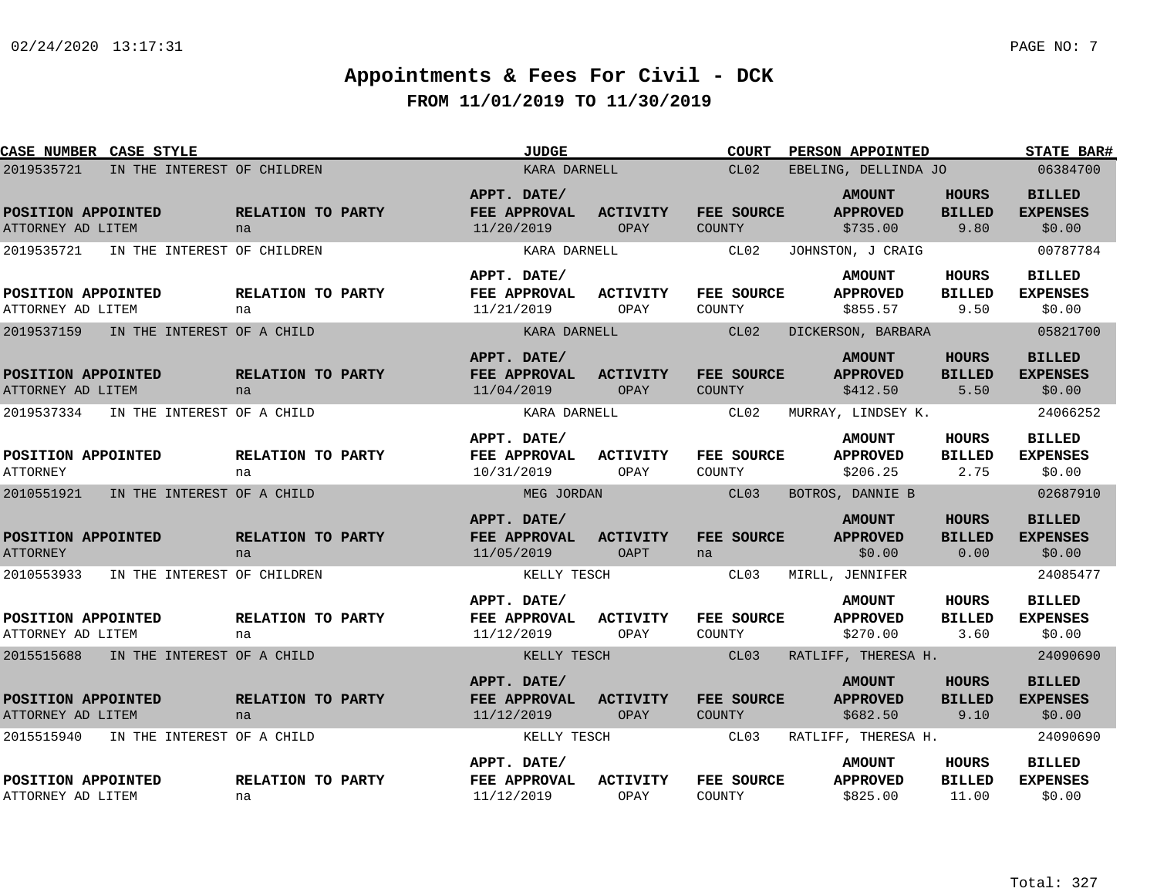| CASE NUMBER CASE STYLE                    |                         | <b>JUDGE</b>                              |                                | <b>COURT</b>                | <b>PERSON APPOINTED</b>                      |                                        | STATE BAR#                                 |
|-------------------------------------------|-------------------------|-------------------------------------------|--------------------------------|-----------------------------|----------------------------------------------|----------------------------------------|--------------------------------------------|
| 2019535721<br>IN THE INTEREST OF CHILDREN |                         | KARA DARNELL                              |                                | CL02                        | EBELING, DELLINDA JO                         |                                        | 06384700                                   |
| POSITION APPOINTED<br>ATTORNEY AD LITEM   | RELATION TO PARTY<br>na | APPT. DATE/<br>FEE APPROVAL<br>11/20/2019 | <b>ACTIVITY</b><br>OPAY        | FEE SOURCE<br><b>COUNTY</b> | <b>AMOUNT</b><br><b>APPROVED</b><br>\$735.00 | <b>HOURS</b><br><b>BILLED</b><br>9.80  | <b>BILLED</b><br><b>EXPENSES</b><br>\$0.00 |
| 2019535721<br>IN THE INTEREST OF CHILDREN |                         | KARA DARNELL                              |                                | CL02                        | JOHNSTON, J CRAIG                            |                                        | 00787784                                   |
| POSITION APPOINTED<br>ATTORNEY AD LITEM   | RELATION TO PARTY<br>na | APPT. DATE/<br>FEE APPROVAL<br>11/21/2019 | <b>ACTIVITY</b><br>OPAY        | FEE SOURCE<br>COUNTY        | <b>AMOUNT</b><br><b>APPROVED</b><br>\$855.57 | HOURS<br><b>BILLED</b><br>9.50         | <b>BILLED</b><br><b>EXPENSES</b><br>\$0.00 |
| 2019537159<br>IN THE INTEREST OF A CHILD  |                         | KARA DARNELL                              |                                | CL02                        | DICKERSON, BARBARA                           |                                        | 05821700                                   |
| POSITION APPOINTED<br>ATTORNEY AD LITEM   | RELATION TO PARTY<br>na | APPT. DATE/<br>FEE APPROVAL<br>11/04/2019 | <b>ACTIVITY</b><br>OPAY        | FEE SOURCE<br><b>COUNTY</b> | <b>AMOUNT</b><br><b>APPROVED</b><br>\$412.50 | <b>HOURS</b><br><b>BILLED</b><br>5.50  | <b>BILLED</b><br><b>EXPENSES</b><br>\$0.00 |
| 2019537334<br>IN THE INTEREST OF A CHILD  |                         | KARA DARNELL                              |                                | CL02                        | MURRAY, LINDSEY K.                           |                                        | 24066252                                   |
| POSITION APPOINTED<br><b>ATTORNEY</b>     | RELATION TO PARTY<br>na | APPT. DATE/<br>FEE APPROVAL<br>10/31/2019 | <b>ACTIVITY</b><br>OPAY        | FEE SOURCE<br>COUNTY        | <b>AMOUNT</b><br><b>APPROVED</b><br>\$206.25 | <b>HOURS</b><br><b>BILLED</b><br>2.75  | <b>BILLED</b><br><b>EXPENSES</b><br>\$0.00 |
| 2010551921<br>IN THE INTEREST OF A CHILD  |                         | MEG JORDAN                                |                                | CL <sub>03</sub>            | BOTROS, DANNIE B                             |                                        | 02687910                                   |
| POSITION APPOINTED<br><b>ATTORNEY</b>     | RELATION TO PARTY<br>na | APPT. DATE/<br>FEE APPROVAL<br>11/05/2019 | <b>ACTIVITY</b><br><b>OAPT</b> | FEE SOURCE<br>na            | <b>AMOUNT</b><br><b>APPROVED</b><br>\$0.00   | <b>HOURS</b><br><b>BILLED</b><br>0.00  | <b>BILLED</b><br><b>EXPENSES</b><br>\$0.00 |
| 2010553933<br>IN THE INTEREST OF CHILDREN |                         | KELLY TESCH                               |                                | CL03                        | MIRLL, JENNIFER                              |                                        | 24085477                                   |
| POSITION APPOINTED<br>ATTORNEY AD LITEM   | RELATION TO PARTY<br>na | APPT. DATE/<br>FEE APPROVAL<br>11/12/2019 | <b>ACTIVITY</b><br>OPAY        | FEE SOURCE<br>COUNTY        | <b>AMOUNT</b><br><b>APPROVED</b><br>\$270.00 | <b>HOURS</b><br><b>BILLED</b><br>3.60  | <b>BILLED</b><br><b>EXPENSES</b><br>\$0.00 |
| 2015515688<br>IN THE INTEREST OF A CHILD  |                         | KELLY TESCH                               |                                | CL03                        | RATLIFF, THERESA H.                          |                                        | 24090690                                   |
| POSITION APPOINTED<br>ATTORNEY AD LITEM   | RELATION TO PARTY<br>na | APPT. DATE/<br>FEE APPROVAL<br>11/12/2019 | <b>ACTIVITY</b><br>OPAY        | FEE SOURCE<br>COUNTY        | <b>AMOUNT</b><br><b>APPROVED</b><br>\$682.50 | <b>HOURS</b><br><b>BILLED</b><br>9.10  | <b>BILLED</b><br><b>EXPENSES</b><br>\$0.00 |
| 2015515940<br>IN THE INTEREST OF A CHILD  |                         | KELLY TESCH                               |                                | CL03                        | RATLIFF, THERESA H.                          |                                        | 24090690                                   |
| POSITION APPOINTED<br>ATTORNEY AD LITEM   | RELATION TO PARTY<br>na | APPT. DATE/<br>FEE APPROVAL<br>11/12/2019 | <b>ACTIVITY</b><br>OPAY        | FEE SOURCE<br>COUNTY        | <b>AMOUNT</b><br><b>APPROVED</b><br>\$825.00 | <b>HOURS</b><br><b>BILLED</b><br>11.00 | <b>BILLED</b><br><b>EXPENSES</b><br>\$0.00 |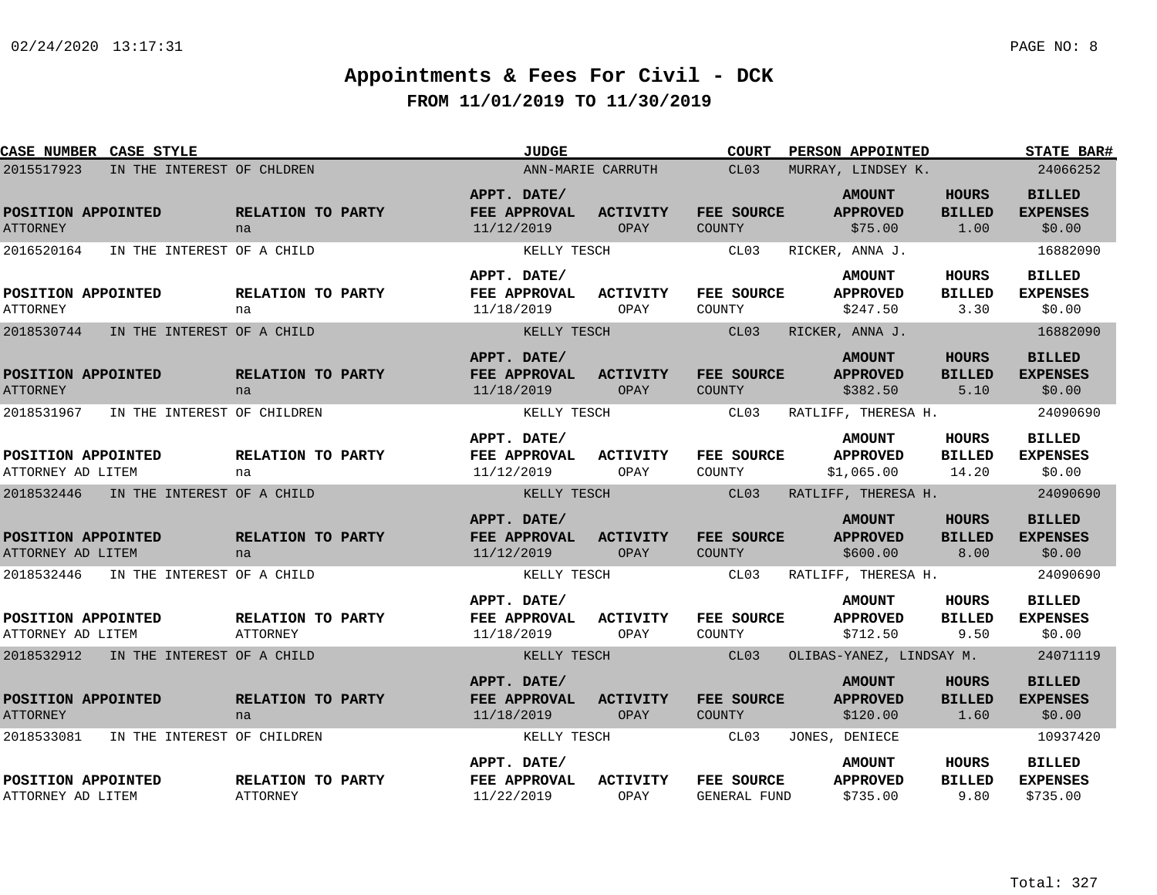| <b>CASE NUMBER CASE STYLE</b>           |                                      | <b>JUDGE</b>                              |                         | <b>COURT</b>                      | <b>PERSON APPOINTED</b>                        |                                        | STATE BAR#                                   |
|-----------------------------------------|--------------------------------------|-------------------------------------------|-------------------------|-----------------------------------|------------------------------------------------|----------------------------------------|----------------------------------------------|
| 2015517923                              | IN THE INTEREST OF CHLDREN           |                                           | ANN-MARIE CARRUTH       | CL03                              | MURRAY, LINDSEY K.                             |                                        | 24066252                                     |
| POSITION APPOINTED<br><b>ATTORNEY</b>   | RELATION TO PARTY<br>na              | APPT. DATE/<br>FEE APPROVAL<br>11/12/2019 | <b>ACTIVITY</b><br>OPAY | FEE SOURCE<br>COUNTY              | <b>AMOUNT</b><br><b>APPROVED</b><br>\$75.00    | <b>HOURS</b><br><b>BILLED</b><br>1.00  | <b>BILLED</b><br><b>EXPENSES</b><br>\$0.00   |
| 2016520164                              | IN THE INTEREST OF A CHILD           | KELLY TESCH                               |                         | CL03                              | RICKER, ANNA J.                                |                                        | 16882090                                     |
| POSITION APPOINTED<br><b>ATTORNEY</b>   | <b>RELATION TO PARTY</b><br>na       | APPT. DATE/<br>FEE APPROVAL<br>11/18/2019 | <b>ACTIVITY</b><br>OPAY | <b>FEE SOURCE</b><br>COUNTY       | <b>AMOUNT</b><br><b>APPROVED</b><br>\$247.50   | HOURS<br><b>BILLED</b><br>3.30         | <b>BILLED</b><br><b>EXPENSES</b><br>\$0.00   |
| 2018530744                              | IN THE INTEREST OF A CHILD           | KELLY TESCH                               |                         | CL03                              | RICKER, ANNA J.                                |                                        | 16882090                                     |
| POSITION APPOINTED<br><b>ATTORNEY</b>   | RELATION TO PARTY<br>na              | APPT. DATE/<br>FEE APPROVAL<br>11/18/2019 | <b>ACTIVITY</b><br>OPAY | FEE SOURCE<br><b>COUNTY</b>       | <b>AMOUNT</b><br><b>APPROVED</b><br>\$382.50   | <b>HOURS</b><br><b>BILLED</b><br>5.10  | <b>BILLED</b><br><b>EXPENSES</b><br>\$0.00   |
| 2018531967                              | IN THE INTEREST OF CHILDREN          | KELLY TESCH                               |                         | CL03                              | RATLIFF, THERESA H.                            |                                        | 24090690                                     |
| POSITION APPOINTED<br>ATTORNEY AD LITEM | RELATION TO PARTY<br>na              | APPT. DATE/<br>FEE APPROVAL<br>11/12/2019 | <b>ACTIVITY</b><br>OPAY | FEE SOURCE<br>COUNTY              | <b>AMOUNT</b><br><b>APPROVED</b><br>\$1,065.00 | <b>HOURS</b><br><b>BILLED</b><br>14.20 | <b>BILLED</b><br><b>EXPENSES</b><br>\$0.00   |
| 2018532446                              | IN THE INTEREST OF A CHILD           | KELLY TESCH                               |                         | CL <sub>03</sub>                  | RATLIFF, THERESA H.                            |                                        | 24090690                                     |
| POSITION APPOINTED<br>ATTORNEY AD LITEM | RELATION TO PARTY<br>na              | APPT. DATE/<br>FEE APPROVAL<br>11/12/2019 | <b>ACTIVITY</b><br>OPAY | FEE SOURCE<br><b>COUNTY</b>       | <b>AMOUNT</b><br><b>APPROVED</b><br>\$600.00   | <b>HOURS</b><br><b>BILLED</b><br>8.00  | <b>BILLED</b><br><b>EXPENSES</b><br>\$0.00   |
| 2018532446                              | IN THE INTEREST OF A CHILD           | KELLY TESCH                               |                         | CL03                              | RATLIFF, THERESA H.                            |                                        | 24090690                                     |
| POSITION APPOINTED<br>ATTORNEY AD LITEM | <b>RELATION TO PARTY</b><br>ATTORNEY | APPT. DATE/<br>FEE APPROVAL<br>11/18/2019 | <b>ACTIVITY</b><br>OPAY | FEE SOURCE<br>COUNTY              | <b>AMOUNT</b><br><b>APPROVED</b><br>\$712.50   | HOURS<br><b>BILLED</b><br>9.50         | <b>BILLED</b><br><b>EXPENSES</b><br>\$0.00   |
| 2018532912 IN THE INTEREST OF A CHILD   |                                      | KELLY TESCH                               |                         | CL <sub>03</sub>                  | OLIBAS-YANEZ, LINDSAY M.                       |                                        | 24071119                                     |
| POSITION APPOINTED<br><b>ATTORNEY</b>   | RELATION TO PARTY<br>na              | APPT. DATE/<br>FEE APPROVAL<br>11/18/2019 | <b>ACTIVITY</b><br>OPAY | FEE SOURCE<br><b>COUNTY</b>       | <b>AMOUNT</b><br><b>APPROVED</b><br>\$120.00   | <b>HOURS</b><br><b>BILLED</b><br>1.60  | <b>BILLED</b><br><b>EXPENSES</b><br>\$0.00   |
| 2018533081                              | IN THE INTEREST OF CHILDREN          | KELLY TESCH                               |                         | CL03                              | JONES, DENIECE                                 |                                        | 10937420                                     |
| POSITION APPOINTED<br>ATTORNEY AD LITEM | RELATION TO PARTY<br><b>ATTORNEY</b> | APPT. DATE/<br>FEE APPROVAL<br>11/22/2019 | <b>ACTIVITY</b><br>OPAY | FEE SOURCE<br><b>GENERAL FUND</b> | <b>AMOUNT</b><br><b>APPROVED</b><br>\$735.00   | HOURS<br><b>BILLED</b><br>9.80         | <b>BILLED</b><br><b>EXPENSES</b><br>\$735.00 |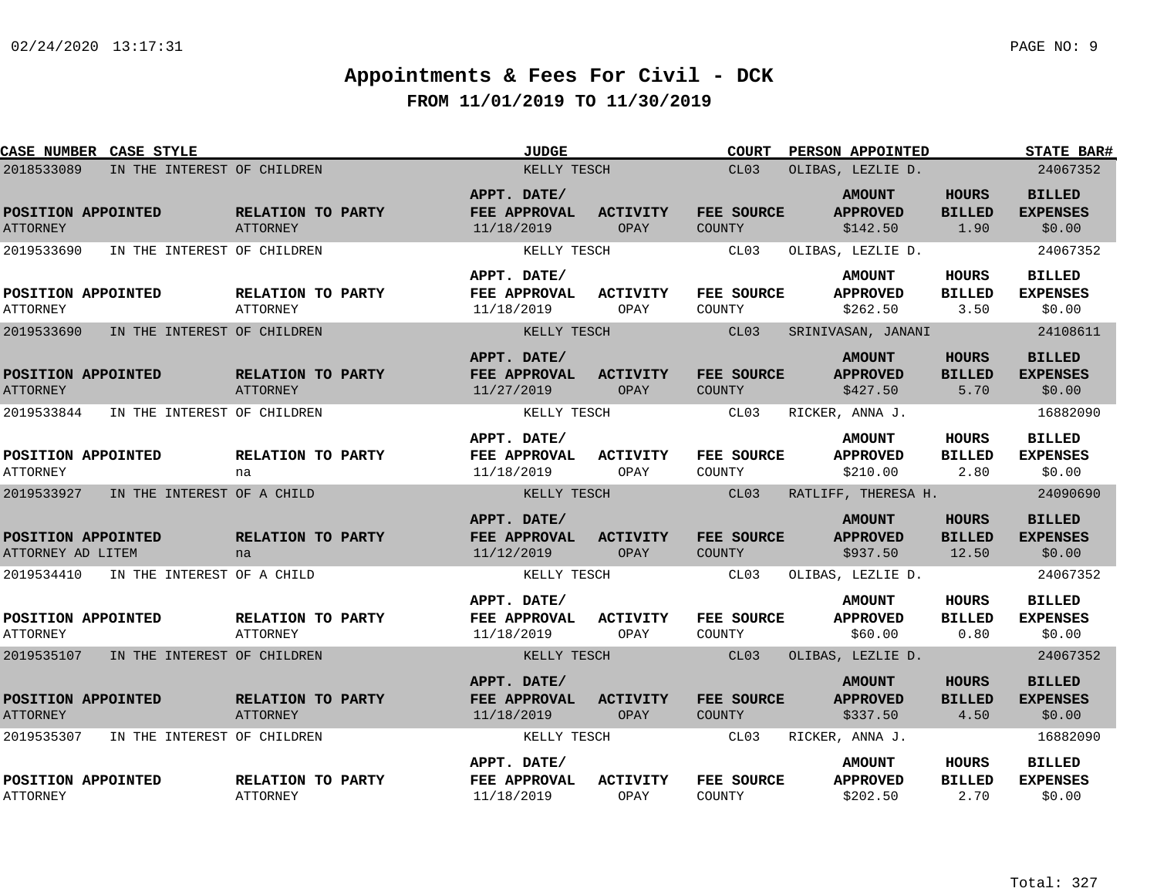| <b>CASE NUMBER CASE STYLE</b>           |                             |                                      | JUDGE                                     |                         | <b>COURT</b>                       | <b>PERSON APPOINTED</b>                      |                                        | <b>STATE BAR#</b>                          |
|-----------------------------------------|-----------------------------|--------------------------------------|-------------------------------------------|-------------------------|------------------------------------|----------------------------------------------|----------------------------------------|--------------------------------------------|
| 2018533089                              | IN THE INTEREST OF CHILDREN |                                      | KELLY TESCH                               |                         | CL03                               | OLIBAS, LEZLIE D.                            |                                        | 24067352                                   |
| POSITION APPOINTED<br><b>ATTORNEY</b>   |                             | RELATION TO PARTY<br><b>ATTORNEY</b> | APPT. DATE/<br>FEE APPROVAL<br>11/18/2019 | <b>ACTIVITY</b><br>OPAY | FEE SOURCE<br>COUNTY               | <b>AMOUNT</b><br><b>APPROVED</b><br>\$142.50 | <b>HOURS</b><br><b>BILLED</b><br>1.90  | <b>BILLED</b><br><b>EXPENSES</b><br>\$0.00 |
| 2019533690                              | IN THE INTEREST OF CHILDREN |                                      | KELLY TESCH                               |                         | CL03                               | OLIBAS, LEZLIE D.                            |                                        | 24067352                                   |
| POSITION APPOINTED<br><b>ATTORNEY</b>   |                             | RELATION TO PARTY<br>ATTORNEY        | APPT. DATE/<br>FEE APPROVAL<br>11/18/2019 | ACTIVITY<br>OPAY        | FEE SOURCE<br>COUNTY               | <b>AMOUNT</b><br><b>APPROVED</b><br>\$262.50 | HOURS<br><b>BILLED</b><br>3.50         | <b>BILLED</b><br><b>EXPENSES</b><br>\$0.00 |
| 2019533690                              | IN THE INTEREST OF CHILDREN |                                      | KELLY TESCH                               |                         | CL03                               | SRINIVASAN, JANANI                           |                                        | 24108611                                   |
| POSITION APPOINTED<br><b>ATTORNEY</b>   |                             | RELATION TO PARTY<br>ATTORNEY        | APPT. DATE/<br>FEE APPROVAL<br>11/27/2019 | <b>ACTIVITY</b><br>OPAY | <b>FEE SOURCE</b><br><b>COUNTY</b> | <b>AMOUNT</b><br><b>APPROVED</b><br>\$427.50 | <b>HOURS</b><br><b>BILLED</b><br>5.70  | <b>BILLED</b><br><b>EXPENSES</b><br>\$0.00 |
| 2019533844                              | IN THE INTEREST OF CHILDREN |                                      | KELLY TESCH                               |                         | CL03                               | RICKER, ANNA J.                              |                                        | 16882090                                   |
| POSITION APPOINTED<br><b>ATTORNEY</b>   |                             | RELATION TO PARTY<br>na              | APPT. DATE/<br>FEE APPROVAL<br>11/18/2019 | <b>ACTIVITY</b><br>OPAY | FEE SOURCE<br>COUNTY               | <b>AMOUNT</b><br><b>APPROVED</b><br>\$210.00 | HOURS<br><b>BILLED</b><br>2.80         | <b>BILLED</b><br><b>EXPENSES</b><br>\$0.00 |
| 2019533927                              | IN THE INTEREST OF A CHILD  |                                      | KELLY TESCH                               |                         | CL03                               | RATLIFF, THERESA H.                          |                                        | 24090690                                   |
| POSITION APPOINTED<br>ATTORNEY AD LITEM |                             | RELATION TO PARTY<br>na              | APPT. DATE/<br>FEE APPROVAL<br>11/12/2019 | <b>ACTIVITY</b><br>OPAY | <b>FEE SOURCE</b><br><b>COUNTY</b> | <b>AMOUNT</b><br><b>APPROVED</b><br>\$937.50 | <b>HOURS</b><br><b>BILLED</b><br>12.50 | <b>BILLED</b><br><b>EXPENSES</b><br>\$0.00 |
| 2019534410                              | IN THE INTEREST OF A CHILD  |                                      | KELLY TESCH                               |                         | CL03                               | OLIBAS, LEZLIE D.                            |                                        | 24067352                                   |
| POSITION APPOINTED<br><b>ATTORNEY</b>   |                             | RELATION TO PARTY<br><b>ATTORNEY</b> | APPT. DATE/<br>FEE APPROVAL<br>11/18/2019 | ACTIVITY<br>OPAY        | FEE SOURCE<br>COUNTY               | <b>AMOUNT</b><br><b>APPROVED</b><br>\$60.00  | HOURS<br><b>BILLED</b><br>0.80         | <b>BILLED</b><br><b>EXPENSES</b><br>\$0.00 |
| 2019535107                              | IN THE INTEREST OF CHILDREN |                                      | KELLY TESCH                               |                         | CL03                               | OLIBAS, LEZLIE D.                            |                                        | 24067352                                   |
| POSITION APPOINTED<br><b>ATTORNEY</b>   |                             | RELATION TO PARTY<br><b>ATTORNEY</b> | APPT. DATE/<br>FEE APPROVAL<br>11/18/2019 | <b>ACTIVITY</b><br>OPAY | <b>FEE SOURCE</b><br><b>COUNTY</b> | <b>AMOUNT</b><br><b>APPROVED</b><br>\$337.50 | <b>HOURS</b><br><b>BILLED</b><br>4.50  | <b>BILLED</b><br><b>EXPENSES</b><br>\$0.00 |
| 2019535307                              | IN THE INTEREST OF CHILDREN |                                      | KELLY TESCH                               |                         | CL03                               | RICKER, ANNA J.                              |                                        | 16882090                                   |
| POSITION APPOINTED<br><b>ATTORNEY</b>   |                             | RELATION TO PARTY<br>ATTORNEY        | APPT. DATE/<br>FEE APPROVAL<br>11/18/2019 | <b>ACTIVITY</b><br>OPAY | FEE SOURCE<br>COUNTY               | <b>AMOUNT</b><br><b>APPROVED</b><br>\$202.50 | HOURS<br><b>BILLED</b><br>2.70         | <b>BILLED</b><br><b>EXPENSES</b><br>\$0.00 |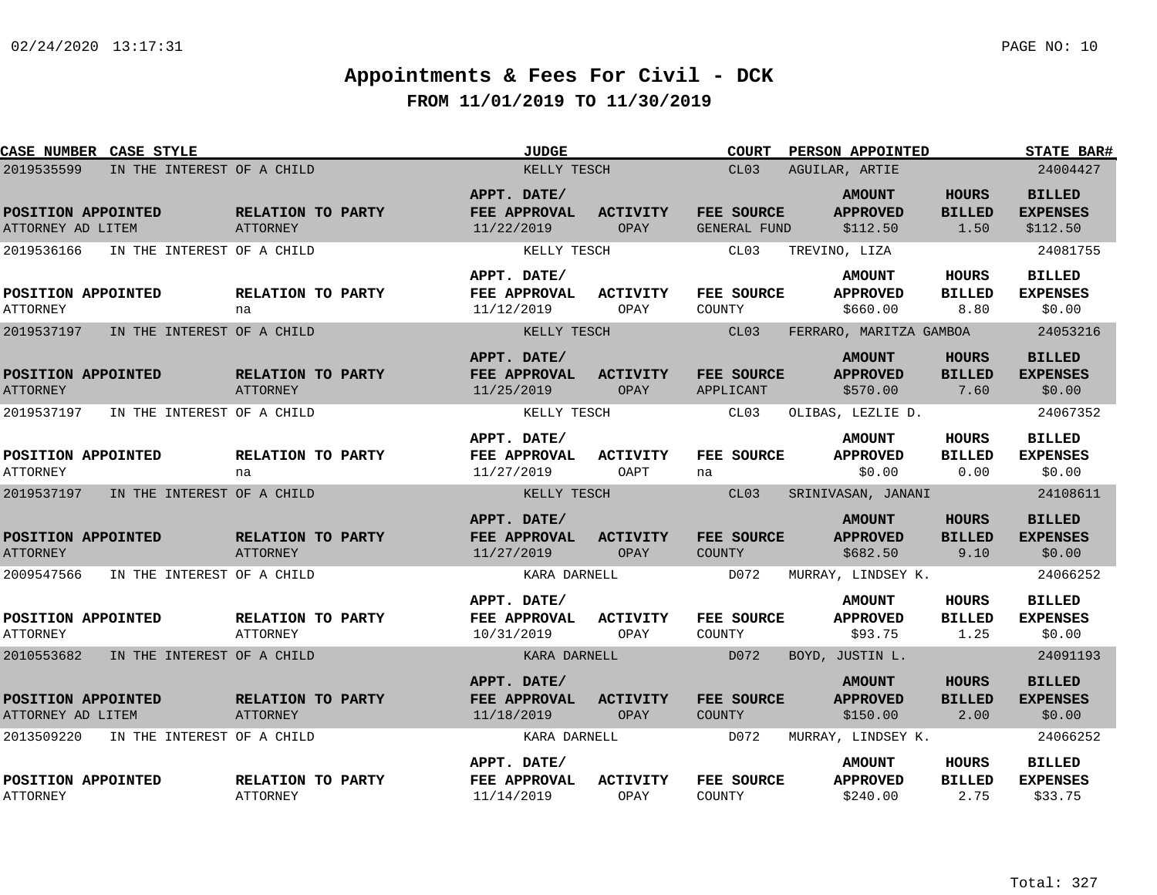| <b>CASE NUMBER CASE STYLE</b>           |                            |                                      | <b>JUDGE</b>                                     |                                | <b>COURT</b>                | PERSON APPOINTED                             |                                       | <b>STATE BAR#</b>                            |
|-----------------------------------------|----------------------------|--------------------------------------|--------------------------------------------------|--------------------------------|-----------------------------|----------------------------------------------|---------------------------------------|----------------------------------------------|
| 2019535599                              | IN THE INTEREST OF A CHILD |                                      | KELLY TESCH                                      |                                | CL03                        | AGUILAR, ARTIE                               |                                       | 24004427                                     |
| POSITION APPOINTED<br>ATTORNEY AD LITEM |                            | <b>RELATION TO PARTY</b><br>ATTORNEY | APPT. DATE/<br>FEE APPROVAL<br>11/22/2019        | <b>ACTIVITY</b><br>OPAY        | FEE SOURCE<br>GENERAL FUND  | <b>AMOUNT</b><br><b>APPROVED</b><br>\$112.50 | <b>HOURS</b><br><b>BILLED</b><br>1.50 | <b>BILLED</b><br><b>EXPENSES</b><br>\$112.50 |
| 2019536166                              | IN THE INTEREST OF A CHILD |                                      | KELLY TESCH                                      |                                | CL03                        | TREVINO, LIZA                                |                                       | 24081755                                     |
| POSITION APPOINTED<br><b>ATTORNEY</b>   |                            | RELATION TO PARTY<br>na              | APPT. DATE/<br>FEE APPROVAL<br>11/12/2019        | ACTIVITY<br>OPAY               | FEE SOURCE<br>COUNTY        | <b>AMOUNT</b><br><b>APPROVED</b><br>\$660.00 | <b>HOURS</b><br><b>BILLED</b><br>8.80 | <b>BILLED</b><br><b>EXPENSES</b><br>\$0.00   |
| 2019537197                              | IN THE INTEREST OF A CHILD |                                      | KELLY TESCH                                      |                                | CL03                        | FERRARO, MARITZA GAMBOA                      |                                       | 24053216                                     |
| POSITION APPOINTED<br><b>ATTORNEY</b>   |                            | RELATION TO PARTY<br><b>ATTORNEY</b> | APPT. DATE/<br>FEE APPROVAL<br>11/25/2019        | <b>ACTIVITY</b><br>OPAY        | FEE SOURCE<br>APPLICANT     | <b>AMOUNT</b><br><b>APPROVED</b><br>\$570.00 | HOURS<br><b>BILLED</b><br>7.60        | <b>BILLED</b><br><b>EXPENSES</b><br>\$0.00   |
| 2019537197                              | IN THE INTEREST OF A CHILD |                                      | KELLY TESCH                                      |                                | CL03                        | OLIBAS, LEZLIE D.                            |                                       | 24067352                                     |
| POSITION APPOINTED<br><b>ATTORNEY</b>   |                            | RELATION TO PARTY<br>na              | APPT. DATE/<br>FEE APPROVAL<br>11/27/2019        | <b>ACTIVITY</b><br>OAPT        | FEE SOURCE<br>na            | <b>AMOUNT</b><br><b>APPROVED</b><br>\$0.00   | <b>HOURS</b><br><b>BILLED</b><br>0.00 | <b>BILLED</b><br><b>EXPENSES</b><br>\$0.00   |
| 2019537197                              | IN THE INTEREST OF A CHILD |                                      | KELLY TESCH                                      |                                | CL03                        | SRINIVASAN, JANANI                           |                                       | 24108611                                     |
| POSITION APPOINTED<br><b>ATTORNEY</b>   |                            | RELATION TO PARTY<br>ATTORNEY        | APPT. DATE/<br>FEE APPROVAL<br>11/27/2019        | <b>ACTIVITY</b><br>OPAY        | FEE SOURCE<br><b>COUNTY</b> | <b>AMOUNT</b><br><b>APPROVED</b><br>\$682.50 | <b>HOURS</b><br><b>BILLED</b><br>9.10 | <b>BILLED</b><br><b>EXPENSES</b><br>\$0.00   |
| 2009547566                              | IN THE INTEREST OF A CHILD |                                      | KARA DARNELL                                     |                                | D072                        | MURRAY, LINDSEY K.                           |                                       | 24066252                                     |
| POSITION APPOINTED<br><b>ATTORNEY</b>   |                            | RELATION TO PARTY<br>ATTORNEY        | APPT. DATE/<br><b>FEE APPROVAL</b><br>10/31/2019 | ACTIVITY<br>OPAY               | FEE SOURCE<br>COUNTY        | <b>AMOUNT</b><br><b>APPROVED</b><br>\$93.75  | <b>HOURS</b><br><b>BILLED</b><br>1.25 | <b>BILLED</b><br><b>EXPENSES</b><br>\$0.00   |
| 2010553682                              | IN THE INTEREST OF A CHILD |                                      | KARA DARNELL                                     |                                | D072                        | BOYD, JUSTIN L.                              |                                       | 24091193                                     |
| POSITION APPOINTED<br>ATTORNEY AD LITEM |                            | RELATION TO PARTY<br><b>ATTORNEY</b> | APPT. DATE/<br>FEE APPROVAL<br>11/18/2019        | <b>ACTIVITY</b><br><b>OPAY</b> | FEE SOURCE<br><b>COUNTY</b> | <b>AMOUNT</b><br><b>APPROVED</b><br>\$150.00 | HOURS<br><b>BILLED</b><br>2.00        | <b>BILLED</b><br><b>EXPENSES</b><br>\$0.00   |
| 2013509220                              | IN THE INTEREST OF A CHILD |                                      | KARA DARNELL                                     |                                | D072                        | MURRAY, LINDSEY K.                           |                                       | 24066252                                     |
| POSITION APPOINTED<br><b>ATTORNEY</b>   |                            | RELATION TO PARTY<br><b>ATTORNEY</b> | APPT. DATE/<br>FEE APPROVAL<br>11/14/2019        | <b>ACTIVITY</b><br>OPAY        | FEE SOURCE<br>COUNTY        | <b>AMOUNT</b><br><b>APPROVED</b><br>\$240.00 | HOURS<br><b>BILLED</b><br>2.75        | <b>BILLED</b><br><b>EXPENSES</b><br>\$33.75  |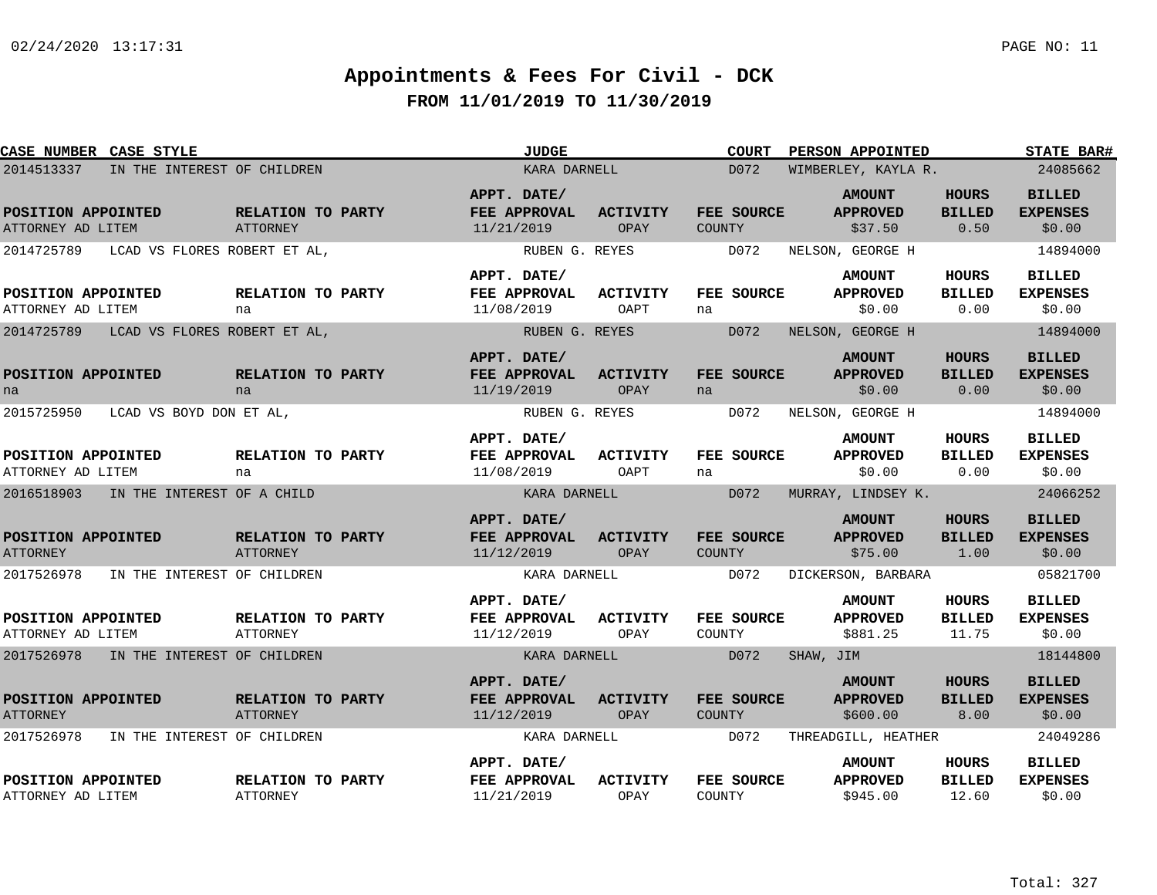| CASE NUMBER CASE STYLE                     |                                      | <b>JUDGE</b>                              |                         | <b>COURT</b>                | <b>PERSON APPOINTED</b>                      |                                        | <b>STATE BAR#</b>                          |
|--------------------------------------------|--------------------------------------|-------------------------------------------|-------------------------|-----------------------------|----------------------------------------------|----------------------------------------|--------------------------------------------|
| 2014513337<br>IN THE INTEREST OF CHILDREN  |                                      | KARA DARNELL                              |                         | D072                        | WIMBERLEY, KAYLA R.                          |                                        | 24085662                                   |
| POSITION APPOINTED<br>ATTORNEY AD LITEM    | RELATION TO PARTY<br><b>ATTORNEY</b> | APPT. DATE/<br>FEE APPROVAL<br>11/21/2019 | ACTIVITY<br>OPAY        | FEE SOURCE<br>COUNTY        | <b>AMOUNT</b><br><b>APPROVED</b><br>\$37.50  | <b>HOURS</b><br><b>BILLED</b><br>0.50  | <b>BILLED</b><br><b>EXPENSES</b><br>\$0.00 |
| 2014725789<br>LCAD VS FLORES ROBERT ET AL, |                                      | RUBEN G. REYES                            |                         | D072                        | NELSON, GEORGE H                             |                                        | 14894000                                   |
|                                            |                                      | APPT. DATE/                               |                         |                             | <b>AMOUNT</b>                                | HOURS                                  | <b>BILLED</b>                              |
| POSITION APPOINTED<br>ATTORNEY AD LITEM    | RELATION TO PARTY<br>na              | FEE APPROVAL<br>11/08/2019                | ACTIVITY<br>OAPT        | FEE SOURCE<br>na            | <b>APPROVED</b><br>\$0.00                    | <b>BILLED</b><br>0.00                  | <b>EXPENSES</b><br>\$0.00                  |
| 2014725789<br>LCAD VS FLORES ROBERT ET AL, |                                      | RUBEN G. REYES                            |                         | D072                        | NELSON, GEORGE H                             |                                        | 14894000                                   |
| POSITION APPOINTED<br>na                   | RELATION TO PARTY<br>na              | APPT. DATE/<br>FEE APPROVAL<br>11/19/2019 | <b>ACTIVITY</b><br>OPAY | FEE SOURCE<br>na            | <b>AMOUNT</b><br><b>APPROVED</b><br>\$0.00   | <b>HOURS</b><br><b>BILLED</b><br>0.00  | <b>BILLED</b><br><b>EXPENSES</b><br>\$0.00 |
| 2015725950<br>LCAD VS BOYD DON ET AL,      |                                      | RUBEN G. REYES                            |                         | D072                        | NELSON, GEORGE H                             |                                        | 14894000                                   |
| POSITION APPOINTED<br>ATTORNEY AD LITEM    | <b>RELATION TO PARTY</b><br>na       | APPT. DATE/<br>FEE APPROVAL<br>11/08/2019 | ACTIVITY<br>OAPT        | FEE SOURCE<br>na            | <b>AMOUNT</b><br><b>APPROVED</b><br>\$0.00   | <b>HOURS</b><br><b>BILLED</b><br>0.00  | <b>BILLED</b><br><b>EXPENSES</b><br>\$0.00 |
| 2016518903<br>IN THE INTEREST OF A CHILD   |                                      | KARA DARNELL                              |                         | D072                        | MURRAY, LINDSEY K.                           |                                        | 24066252                                   |
| POSITION APPOINTED<br><b>ATTORNEY</b>      | RELATION TO PARTY<br><b>ATTORNEY</b> | APPT. DATE/<br>FEE APPROVAL<br>11/12/2019 | <b>ACTIVITY</b><br>OPAY | FEE SOURCE<br>COUNTY        | <b>AMOUNT</b><br><b>APPROVED</b><br>\$75.00  | <b>HOURS</b><br><b>BILLED</b><br>1.00  | <b>BILLED</b><br><b>EXPENSES</b><br>\$0.00 |
| 2017526978<br>IN THE INTEREST OF CHILDREN  |                                      | KARA DARNELL                              |                         | D072                        | DICKERSON, BARBARA                           |                                        | 05821700                                   |
| POSITION APPOINTED<br>ATTORNEY AD LITEM    | RELATION TO PARTY<br>ATTORNEY        | APPT. DATE/<br>FEE APPROVAL<br>11/12/2019 | <b>ACTIVITY</b><br>OPAY | FEE SOURCE<br>COUNTY        | <b>AMOUNT</b><br><b>APPROVED</b><br>\$881.25 | <b>HOURS</b><br><b>BILLED</b><br>11.75 | <b>BILLED</b><br><b>EXPENSES</b><br>\$0.00 |
| 2017526978 IN THE INTEREST OF CHILDREN     |                                      | KARA DARNELL                              |                         | D072                        | SHAW, JIM                                    |                                        | 18144800                                   |
| POSITION APPOINTED<br><b>ATTORNEY</b>      | RELATION TO PARTY<br>ATTORNEY        | APPT. DATE/<br>FEE APPROVAL<br>11/12/2019 | ACTIVITY<br>OPAY        | FEE SOURCE<br><b>COUNTY</b> | <b>AMOUNT</b><br><b>APPROVED</b><br>\$600.00 | <b>HOURS</b><br><b>BILLED</b><br>8.00  | <b>BILLED</b><br><b>EXPENSES</b><br>\$0.00 |
| 2017526978<br>IN THE INTEREST OF CHILDREN  |                                      | KARA DARNELL                              |                         | D072                        | THREADGILL, HEATHER                          |                                        | 24049286                                   |
| POSITION APPOINTED<br>ATTORNEY AD LITEM    | RELATION TO PARTY<br><b>ATTORNEY</b> | APPT. DATE/<br>FEE APPROVAL<br>11/21/2019 | <b>ACTIVITY</b><br>OPAY | FEE SOURCE<br>COUNTY        | <b>AMOUNT</b><br><b>APPROVED</b><br>\$945.00 | HOURS<br><b>BILLED</b><br>12.60        | <b>BILLED</b><br><b>EXPENSES</b><br>\$0.00 |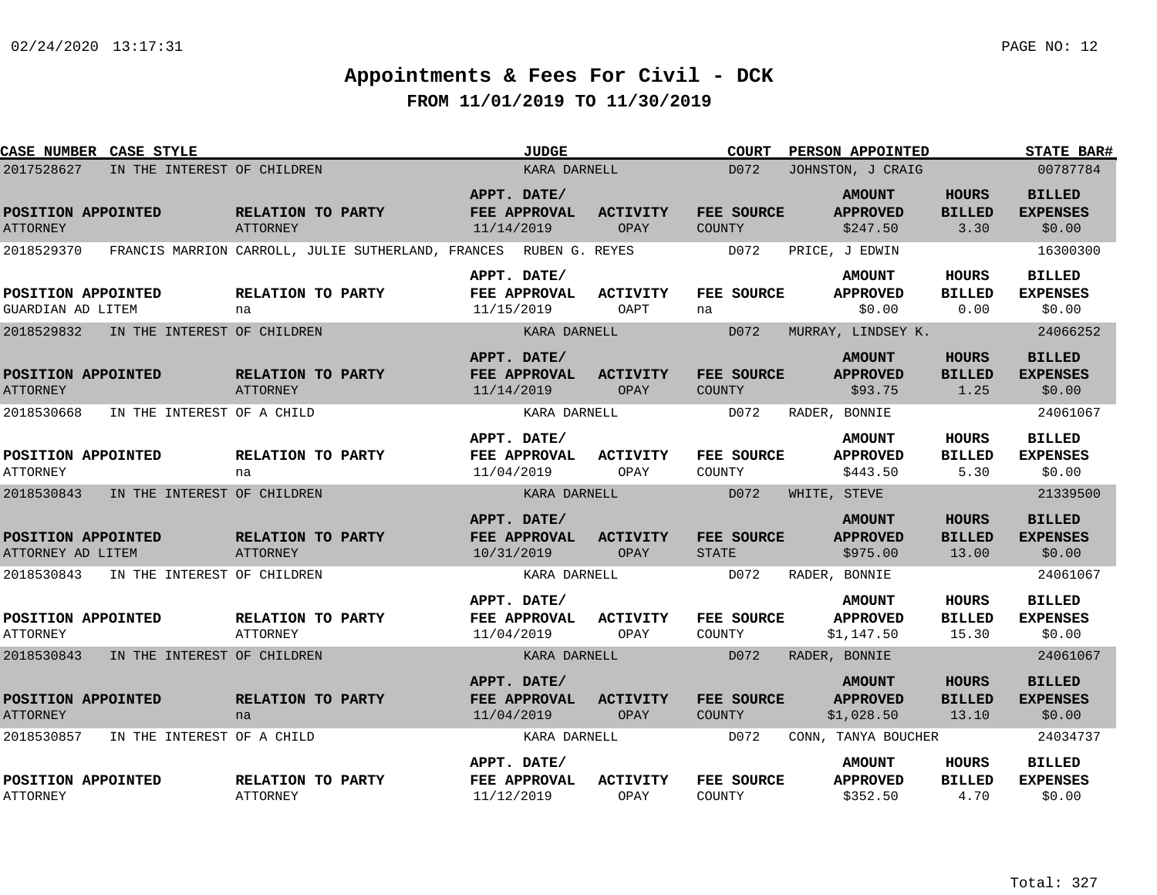| <b>CASE NUMBER CASE STYLE</b>                         |                                                                   |                                      |            | <b>JUDGE</b>                                |                                | <b>COURT</b>                       | PERSON APPOINTED                                              |                                        | <b>STATE BAR#</b>                                      |
|-------------------------------------------------------|-------------------------------------------------------------------|--------------------------------------|------------|---------------------------------------------|--------------------------------|------------------------------------|---------------------------------------------------------------|----------------------------------------|--------------------------------------------------------|
| 2017528627                                            | IN THE INTEREST OF CHILDREN                                       |                                      |            | KARA DARNELL                                |                                | D072                               | JOHNSTON, J CRAIG                                             |                                        | 00787784                                               |
| POSITION APPOINTED<br><b>ATTORNEY</b>                 |                                                                   | RELATION TO PARTY<br>ATTORNEY        | 11/14/2019 | APPT. DATE/<br>FEE APPROVAL                 | <b>ACTIVITY</b><br>OPAY        | <b>FEE SOURCE</b><br><b>COUNTY</b> | <b>AMOUNT</b><br><b>APPROVED</b><br>\$247.50                  | <b>HOURS</b><br><b>BILLED</b><br>3.30  | <b>BILLED</b><br><b>EXPENSES</b><br>\$0.00             |
| 2018529370                                            | FRANCIS MARRION CARROLL, JULIE SUTHERLAND, FRANCES RUBEN G. REYES |                                      |            |                                             |                                | D072                               | PRICE, J EDWIN                                                |                                        | 16300300                                               |
| POSITION APPOINTED<br>GUARDIAN AD LITEM               |                                                                   | RELATION TO PARTY<br>na              |            | APPT. DATE/<br>FEE APPROVAL<br>11/15/2019   | <b>ACTIVITY</b><br>OAPT        | <b>FEE SOURCE</b><br>na            | <b>AMOUNT</b><br><b>APPROVED</b><br>\$0.00                    | <b>HOURS</b><br><b>BILLED</b><br>0.00  | <b>BILLED</b><br><b>EXPENSES</b><br>\$0.00             |
| 2018529832                                            | IN THE INTEREST OF CHILDREN                                       |                                      |            | KARA DARNELL                                |                                | D072                               | MURRAY, LINDSEY K.                                            |                                        | 24066252                                               |
| POSITION APPOINTED<br><b>ATTORNEY</b>                 |                                                                   | RELATION TO PARTY<br><b>ATTORNEY</b> |            | APPT. DATE/<br>FEE APPROVAL<br>11/14/2019   | <b>ACTIVITY</b><br>OPAY        | FEE SOURCE<br><b>COUNTY</b>        | <b>AMOUNT</b><br><b>APPROVED</b><br>\$93.75                   | <b>HOURS</b><br><b>BILLED</b><br>1.25  | <b>BILLED</b><br><b>EXPENSES</b><br>\$0.00             |
| 2018530668                                            | IN THE INTEREST OF A CHILD                                        |                                      |            | KARA DARNELL                                |                                | D072                               | RADER, BONNIE                                                 |                                        | 24061067                                               |
| POSITION APPOINTED<br><b>ATTORNEY</b>                 |                                                                   | RELATION TO PARTY<br>na              |            | APPT. DATE/<br>FEE APPROVAL<br>11/04/2019   | <b>ACTIVITY</b><br>OPAY        | FEE SOURCE<br>COUNTY               | <b>AMOUNT</b><br><b>APPROVED</b><br>\$443.50                  | <b>HOURS</b><br><b>BILLED</b><br>5.30  | <b>BILLED</b><br><b>EXPENSES</b><br>\$0.00             |
| 2018530843                                            | IN THE INTEREST OF CHILDREN                                       |                                      |            | KARA DARNELL                                |                                | D072                               | WHITE, STEVE                                                  |                                        | 21339500                                               |
| POSITION APPOINTED<br>ATTORNEY AD LITEM<br>2018530843 | IN THE INTEREST OF CHILDREN                                       | RELATION TO PARTY<br>ATTORNEY        | 10/31/2019 | APPT. DATE/<br>FEE APPROVAL<br>KARA DARNELL | <b>ACTIVITY</b><br>OPAY        | FEE SOURCE<br><b>STATE</b><br>D072 | <b>AMOUNT</b><br><b>APPROVED</b><br>\$975.00<br>RADER, BONNIE | <b>HOURS</b><br><b>BILLED</b><br>13.00 | <b>BILLED</b><br><b>EXPENSES</b><br>\$0.00<br>24061067 |
|                                                       |                                                                   |                                      |            |                                             |                                |                                    |                                                               |                                        |                                                        |
| POSITION APPOINTED<br><b>ATTORNEY</b>                 |                                                                   | RELATION TO PARTY<br>ATTORNEY        | 11/04/2019 | APPT. DATE/<br><b>FEE APPROVAL</b>          | ACTIVITY<br>OPAY               | <b>FEE SOURCE</b><br>COUNTY        | <b>AMOUNT</b><br><b>APPROVED</b><br>\$1,147.50                | <b>HOURS</b><br><b>BILLED</b><br>15.30 | <b>BILLED</b><br><b>EXPENSES</b><br>\$0.00             |
| 2018530843                                            | IN THE INTEREST OF CHILDREN                                       |                                      |            | KARA DARNELL                                |                                | D072                               | RADER, BONNIE                                                 |                                        | 24061067                                               |
| POSITION APPOINTED<br><b>ATTORNEY</b>                 |                                                                   | RELATION TO PARTY<br>na              | 11/04/2019 | APPT. DATE/<br>FEE APPROVAL                 | <b>ACTIVITY</b><br><b>OPAY</b> | FEE SOURCE<br><b>COUNTY</b>        | <b>AMOUNT</b><br><b>APPROVED</b><br>\$1,028.50                | <b>HOURS</b><br><b>BILLED</b><br>13.10 | <b>BILLED</b><br><b>EXPENSES</b><br>\$0.00             |
| 2018530857                                            | IN THE INTEREST OF A CHILD                                        |                                      |            | KARA DARNELL                                |                                | D072                               | CONN, TANYA BOUCHER                                           |                                        | 24034737                                               |
| POSITION APPOINTED<br><b>ATTORNEY</b>                 |                                                                   | RELATION TO PARTY<br><b>ATTORNEY</b> |            | APPT. DATE/<br>FEE APPROVAL<br>11/12/2019   | <b>ACTIVITY</b><br>OPAY        | FEE SOURCE<br>COUNTY               | <b>AMOUNT</b><br><b>APPROVED</b><br>\$352.50                  | HOURS<br><b>BILLED</b><br>4.70         | <b>BILLED</b><br><b>EXPENSES</b><br>\$0.00             |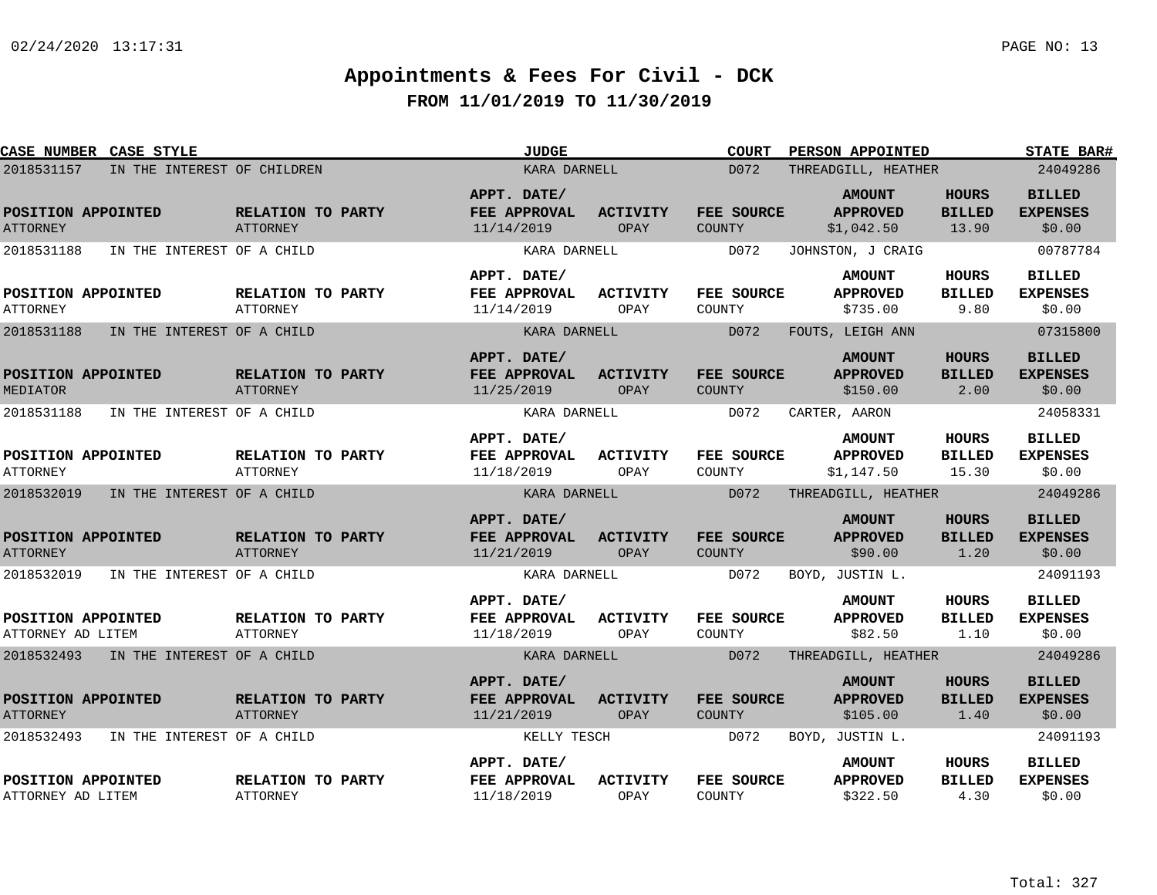| CASE NUMBER CASE STYLE                    |                                      | JUDGE                                     |                         | <b>COURT</b>                | PERSON APPOINTED                               |                                        | <b>STATE BAR#</b>                          |
|-------------------------------------------|--------------------------------------|-------------------------------------------|-------------------------|-----------------------------|------------------------------------------------|----------------------------------------|--------------------------------------------|
| 2018531157<br>IN THE INTEREST OF CHILDREN |                                      | KARA DARNELL                              |                         | D072                        | THREADGILL, HEATHER                            |                                        | 24049286                                   |
| POSITION APPOINTED<br><b>ATTORNEY</b>     | RELATION TO PARTY<br><b>ATTORNEY</b> | APPT. DATE/<br>FEE APPROVAL<br>11/14/2019 | <b>ACTIVITY</b><br>OPAY | FEE SOURCE<br><b>COUNTY</b> | <b>AMOUNT</b><br><b>APPROVED</b><br>\$1,042.50 | <b>HOURS</b><br><b>BILLED</b><br>13.90 | <b>BILLED</b><br><b>EXPENSES</b><br>\$0.00 |
| 2018531188<br>IN THE INTEREST OF A CHILD  |                                      | KARA DARNELL                              |                         | D072                        | JOHNSTON, J CRAIG                              |                                        | 00787784                                   |
| POSITION APPOINTED<br><b>ATTORNEY</b>     | RELATION TO PARTY<br>ATTORNEY        | APPT. DATE/<br>FEE APPROVAL<br>11/14/2019 | <b>ACTIVITY</b><br>OPAY | FEE SOURCE<br>COUNTY        | <b>AMOUNT</b><br><b>APPROVED</b><br>\$735.00   | <b>HOURS</b><br><b>BILLED</b><br>9.80  | <b>BILLED</b><br><b>EXPENSES</b><br>\$0.00 |
| 2018531188<br>IN THE INTEREST OF A CHILD  |                                      | KARA DARNELL                              |                         | D072                        | FOUTS, LEIGH ANN                               |                                        | 07315800                                   |
| POSITION APPOINTED<br>MEDIATOR            | RELATION TO PARTY<br>ATTORNEY        | APPT. DATE/<br>FEE APPROVAL<br>11/25/2019 | <b>ACTIVITY</b><br>OPAY | FEE SOURCE<br><b>COUNTY</b> | <b>AMOUNT</b><br><b>APPROVED</b><br>\$150.00   | <b>HOURS</b><br><b>BILLED</b><br>2.00  | <b>BILLED</b><br><b>EXPENSES</b><br>\$0.00 |
| 2018531188<br>IN THE INTEREST OF A CHILD  |                                      | KARA DARNELL                              |                         | D072                        | CARTER, AARON                                  |                                        | 24058331                                   |
| POSITION APPOINTED<br><b>ATTORNEY</b>     | RELATION TO PARTY<br><b>ATTORNEY</b> | APPT. DATE/<br>FEE APPROVAL<br>11/18/2019 | <b>ACTIVITY</b><br>OPAY | <b>FEE SOURCE</b><br>COUNTY | <b>AMOUNT</b><br><b>APPROVED</b><br>\$1,147.50 | <b>HOURS</b><br><b>BILLED</b><br>15.30 | <b>BILLED</b><br><b>EXPENSES</b><br>\$0.00 |
| 2018532019<br>IN THE INTEREST OF A CHILD  |                                      | KARA DARNELL                              |                         | D072                        | THREADGILL, HEATHER                            |                                        | 24049286                                   |
| POSITION APPOINTED<br><b>ATTORNEY</b>     | RELATION TO PARTY<br><b>ATTORNEY</b> | APPT. DATE/<br>FEE APPROVAL<br>11/21/2019 | <b>ACTIVITY</b><br>OPAY | <b>FEE SOURCE</b><br>COUNTY | <b>AMOUNT</b><br><b>APPROVED</b><br>\$90.00    | <b>HOURS</b><br><b>BILLED</b><br>1.20  | <b>BILLED</b><br><b>EXPENSES</b><br>\$0.00 |
| 2018532019<br>IN THE INTEREST OF A CHILD  |                                      | KARA DARNELL                              |                         | D072                        | BOYD, JUSTIN L.                                |                                        | 24091193                                   |
| POSITION APPOINTED<br>ATTORNEY AD LITEM   | RELATION TO PARTY<br>ATTORNEY        | APPT. DATE/<br>FEE APPROVAL<br>11/18/2019 | <b>ACTIVITY</b><br>OPAY | FEE SOURCE<br>COUNTY        | <b>AMOUNT</b><br><b>APPROVED</b><br>\$82.50    | <b>HOURS</b><br><b>BILLED</b><br>1.10  | <b>BILLED</b><br><b>EXPENSES</b><br>\$0.00 |
| 2018532493 IN THE INTEREST OF A CHILD     |                                      | KARA DARNELL                              |                         | D072                        | THREADGILL, HEATHER                            |                                        | 24049286                                   |
| POSITION APPOINTED<br><b>ATTORNEY</b>     | RELATION TO PARTY<br>ATTORNEY        | APPT. DATE/<br>FEE APPROVAL<br>11/21/2019 | <b>ACTIVITY</b><br>OPAY | FEE SOURCE<br><b>COUNTY</b> | <b>AMOUNT</b><br><b>APPROVED</b><br>\$105.00   | <b>HOURS</b><br><b>BILLED</b><br>1.40  | <b>BILLED</b><br><b>EXPENSES</b><br>\$0.00 |
| 2018532493<br>IN THE INTEREST OF A CHILD  |                                      | KELLY TESCH                               |                         | D072                        | BOYD, JUSTIN L.                                |                                        | 24091193                                   |
| POSITION APPOINTED<br>ATTORNEY AD LITEM   | RELATION TO PARTY<br><b>ATTORNEY</b> | APPT. DATE/<br>FEE APPROVAL<br>11/18/2019 | <b>ACTIVITY</b><br>OPAY | FEE SOURCE<br>COUNTY        | <b>AMOUNT</b><br><b>APPROVED</b><br>\$322.50   | HOURS<br><b>BILLED</b><br>4.30         | <b>BILLED</b><br><b>EXPENSES</b><br>\$0.00 |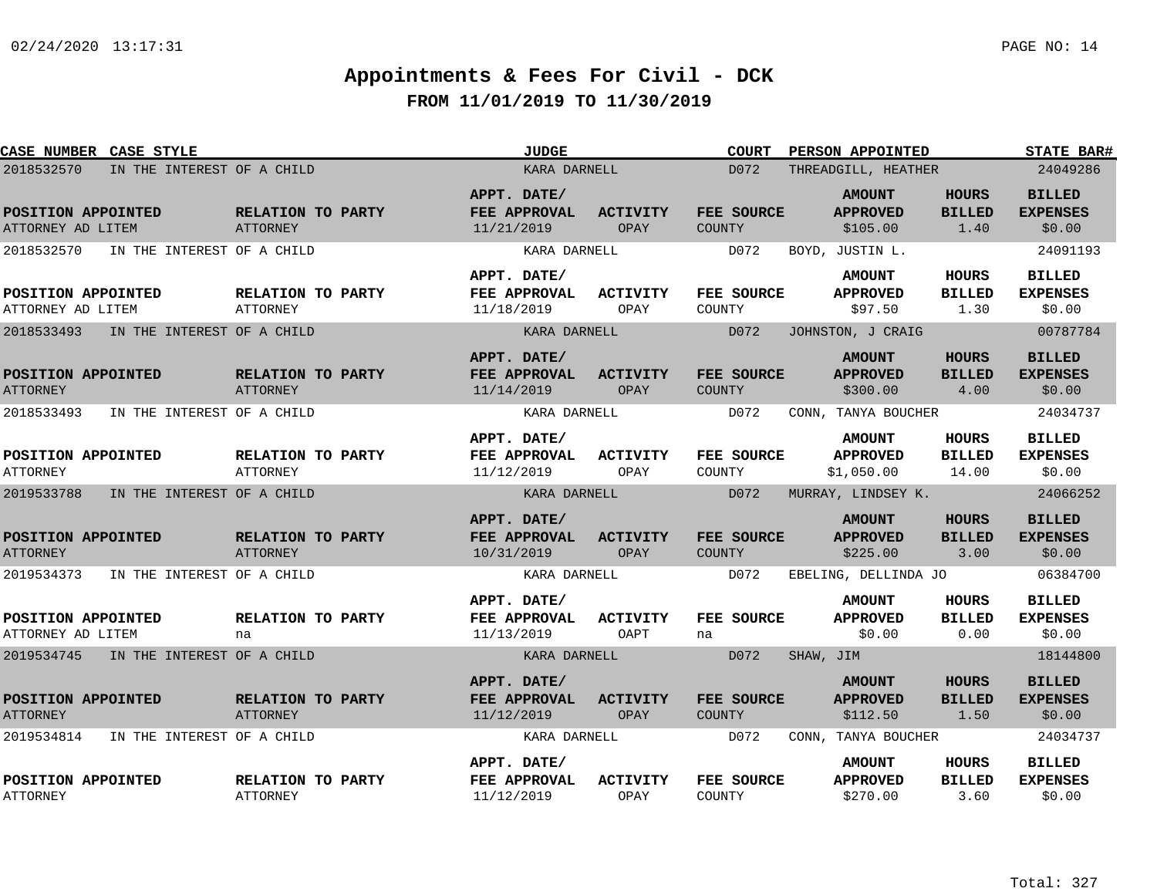| CASE NUMBER CASE STYLE                   | <b>JUDGE</b>                         |                                           | <b>COURT</b><br><b>PERSON APPOINTED</b> | <b>STATE BAR#</b>           |                                                |                                        |                                            |
|------------------------------------------|--------------------------------------|-------------------------------------------|-----------------------------------------|-----------------------------|------------------------------------------------|----------------------------------------|--------------------------------------------|
| 2018532570                               | IN THE INTEREST OF A CHILD           | KARA DARNELL                              |                                         | D072                        | THREADGILL, HEATHER                            |                                        | 24049286                                   |
| POSITION APPOINTED<br>ATTORNEY AD LITEM  | RELATION TO PARTY<br><b>ATTORNEY</b> | APPT. DATE/<br>FEE APPROVAL<br>11/21/2019 | <b>ACTIVITY</b><br>OPAY                 | FEE SOURCE<br><b>COUNTY</b> | <b>AMOUNT</b><br><b>APPROVED</b><br>\$105.00   | <b>HOURS</b><br><b>BILLED</b><br>1.40  | <b>BILLED</b><br><b>EXPENSES</b><br>\$0.00 |
| IN THE INTEREST OF A CHILD<br>2018532570 |                                      | KARA DARNELL                              |                                         | D072                        | BOYD, JUSTIN L.                                |                                        | 24091193                                   |
| POSITION APPOINTED<br>ATTORNEY AD LITEM  | <b>RELATION TO PARTY</b><br>ATTORNEY | APPT. DATE/<br>FEE APPROVAL<br>11/18/2019 | ACTIVITY<br>OPAY                        | FEE SOURCE<br>COUNTY        | <b>AMOUNT</b><br><b>APPROVED</b><br>\$97.50    | HOURS<br><b>BILLED</b><br>1.30         | <b>BILLED</b><br><b>EXPENSES</b><br>\$0.00 |
| 2018533493<br>IN THE INTEREST OF A CHILD |                                      | KARA DARNELL                              |                                         | D072                        | JOHNSTON, J CRAIG                              |                                        | 00787784                                   |
| POSITION APPOINTED<br><b>ATTORNEY</b>    | RELATION TO PARTY<br>ATTORNEY        | APPT. DATE/<br>FEE APPROVAL<br>11/14/2019 | <b>ACTIVITY</b><br>OPAY                 | FEE SOURCE<br><b>COUNTY</b> | <b>AMOUNT</b><br><b>APPROVED</b><br>\$300.00   | <b>HOURS</b><br><b>BILLED</b><br>4.00  | <b>BILLED</b><br><b>EXPENSES</b><br>\$0.00 |
| 2018533493                               | IN THE INTEREST OF A CHILD           | KARA DARNELL                              |                                         | D072                        | CONN, TANYA BOUCHER                            |                                        | 24034737                                   |
| POSITION APPOINTED<br><b>ATTORNEY</b>    | RELATION TO PARTY<br><b>ATTORNEY</b> | APPT. DATE/<br>FEE APPROVAL<br>11/12/2019 | <b>ACTIVITY</b><br>OPAY                 | FEE SOURCE<br>COUNTY        | <b>AMOUNT</b><br><b>APPROVED</b><br>\$1,050.00 | <b>HOURS</b><br><b>BILLED</b><br>14.00 | <b>BILLED</b><br><b>EXPENSES</b><br>\$0.00 |
| 2019533788<br>IN THE INTEREST OF A CHILD |                                      | KARA DARNELL                              |                                         | D072                        | MURRAY, LINDSEY K.                             |                                        | 24066252                                   |
| POSITION APPOINTED<br><b>ATTORNEY</b>    | RELATION TO PARTY<br><b>ATTORNEY</b> | APPT. DATE/<br>FEE APPROVAL<br>10/31/2019 | <b>ACTIVITY</b><br><b>OPAY</b>          | FEE SOURCE<br><b>COUNTY</b> | <b>AMOUNT</b><br><b>APPROVED</b><br>\$225.00   | <b>HOURS</b><br><b>BILLED</b><br>3.00  | <b>BILLED</b><br><b>EXPENSES</b><br>\$0.00 |
| 2019534373<br>IN THE INTEREST OF A CHILD |                                      | KARA DARNELL                              |                                         | D072                        | EBELING, DELLINDA JO                           |                                        | 06384700                                   |
| POSITION APPOINTED<br>ATTORNEY AD LITEM  | RELATION TO PARTY<br>na              | APPT. DATE/<br>FEE APPROVAL<br>11/13/2019 | <b>ACTIVITY</b><br>OAPT                 | FEE SOURCE<br>na            | <b>AMOUNT</b><br><b>APPROVED</b><br>\$0.00     | HOURS<br><b>BILLED</b><br>0.00         | <b>BILLED</b><br><b>EXPENSES</b><br>\$0.00 |
| 2019534745 IN THE INTEREST OF A CHILD    |                                      | KARA DARNELL                              |                                         | D072                        | SHAW, JIM                                      |                                        | 18144800                                   |
| POSITION APPOINTED<br><b>ATTORNEY</b>    | RELATION TO PARTY<br>ATTORNEY        | APPT. DATE/<br>FEE APPROVAL<br>11/12/2019 | <b>ACTIVITY</b><br>OPAY                 | FEE SOURCE<br><b>COUNTY</b> | <b>AMOUNT</b><br><b>APPROVED</b><br>\$112.50   | <b>HOURS</b><br><b>BILLED</b><br>1.50  | <b>BILLED</b><br><b>EXPENSES</b><br>\$0.00 |
| 2019534814<br>IN THE INTEREST OF A CHILD |                                      | KARA DARNELL                              |                                         | D072                        | CONN, TANYA BOUCHER                            |                                        | 24034737                                   |
| POSITION APPOINTED<br><b>ATTORNEY</b>    | RELATION TO PARTY<br><b>ATTORNEY</b> | APPT. DATE/<br>FEE APPROVAL<br>11/12/2019 | <b>ACTIVITY</b><br>OPAY                 | FEE SOURCE<br>COUNTY        | <b>AMOUNT</b><br><b>APPROVED</b><br>\$270.00   | HOURS<br><b>BILLED</b><br>3.60         | <b>BILLED</b><br><b>EXPENSES</b><br>\$0.00 |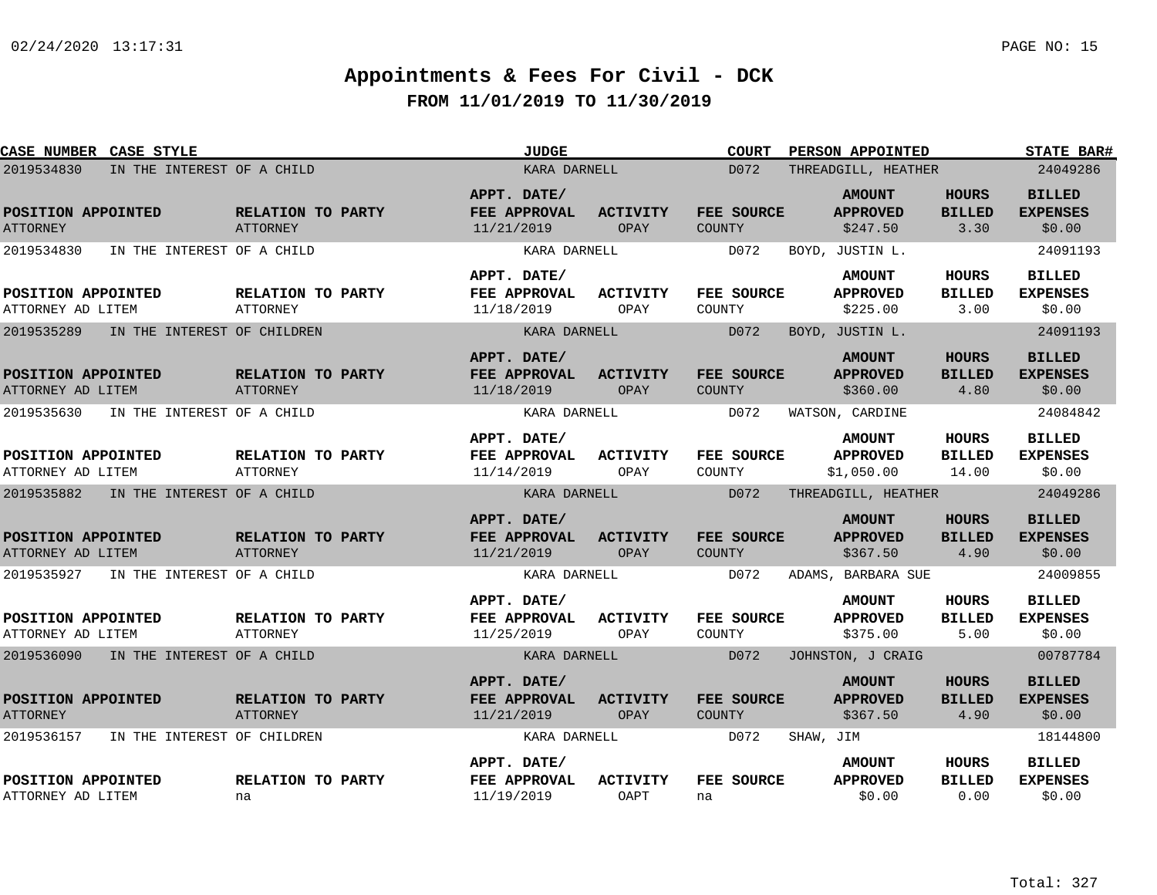| CASE NUMBER CASE STYLE                    | <b>JUDGE</b>                         |                                           | <b>COURT</b><br><b>PERSON APPOINTED</b> | <b>STATE BAR#</b>           |                                                |                                       |                                            |
|-------------------------------------------|--------------------------------------|-------------------------------------------|-----------------------------------------|-----------------------------|------------------------------------------------|---------------------------------------|--------------------------------------------|
| 2019534830<br>IN THE INTEREST OF A CHILD  |                                      | KARA DARNELL                              |                                         | D072                        | THREADGILL, HEATHER                            |                                       | 24049286                                   |
| POSITION APPOINTED<br><b>ATTORNEY</b>     | RELATION TO PARTY<br>ATTORNEY        | APPT. DATE/<br>FEE APPROVAL<br>11/21/2019 | <b>ACTIVITY</b><br>OPAY                 | FEE SOURCE<br><b>COUNTY</b> | <b>AMOUNT</b><br><b>APPROVED</b><br>\$247.50   | <b>HOURS</b><br><b>BILLED</b><br>3.30 | <b>BILLED</b><br><b>EXPENSES</b><br>\$0.00 |
| 2019534830<br>IN THE INTEREST OF A CHILD  |                                      | KARA DARNELL                              |                                         | D072                        | BOYD, JUSTIN L.                                |                                       | 24091193                                   |
| POSITION APPOINTED<br>ATTORNEY AD LITEM   | RELATION TO PARTY<br>ATTORNEY        | APPT. DATE/<br>FEE APPROVAL<br>11/18/2019 | <b>ACTIVITY</b><br>OPAY                 | FEE SOURCE<br>COUNTY        | <b>AMOUNT</b><br><b>APPROVED</b><br>\$225.00   | HOURS<br><b>BILLED</b><br>3.00        | <b>BILLED</b><br><b>EXPENSES</b><br>\$0.00 |
| 2019535289<br>IN THE INTEREST OF CHILDREN |                                      | KARA DARNELL                              |                                         | D072                        | BOYD, JUSTIN L.                                |                                       | 24091193                                   |
| POSITION APPOINTED<br>ATTORNEY AD LITEM   | RELATION TO PARTY<br>ATTORNEY        | APPT. DATE/<br>FEE APPROVAL<br>11/18/2019 | <b>ACTIVITY</b><br>OPAY                 | FEE SOURCE<br>COUNTY        | <b>AMOUNT</b><br><b>APPROVED</b><br>\$360.00   | <b>HOURS</b><br><b>BILLED</b><br>4.80 | <b>BILLED</b><br><b>EXPENSES</b><br>\$0.00 |
| IN THE INTEREST OF A CHILD<br>2019535630  |                                      | KARA DARNELL                              |                                         | D072                        | WATSON, CARDINE                                |                                       | 24084842                                   |
| POSITION APPOINTED<br>ATTORNEY AD LITEM   | RELATION TO PARTY<br><b>ATTORNEY</b> | APPT. DATE/<br>FEE APPROVAL<br>11/14/2019 | <b>ACTIVITY</b><br>OPAY                 | FEE SOURCE<br>COUNTY        | <b>AMOUNT</b><br><b>APPROVED</b><br>\$1,050.00 | HOURS<br><b>BILLED</b><br>14.00       | <b>BILLED</b><br><b>EXPENSES</b><br>\$0.00 |
| 2019535882<br>IN THE INTEREST OF A CHILD  |                                      | KARA DARNELL                              |                                         | D072                        | THREADGILL, HEATHER                            |                                       | 24049286                                   |
| POSITION APPOINTED<br>ATTORNEY AD LITEM   | RELATION TO PARTY<br>ATTORNEY        | APPT. DATE/<br>FEE APPROVAL<br>11/21/2019 | <b>ACTIVITY</b><br>OPAY                 | FEE SOURCE<br><b>COUNTY</b> | <b>AMOUNT</b><br><b>APPROVED</b><br>\$367.50   | <b>HOURS</b><br><b>BILLED</b><br>4.90 | <b>BILLED</b><br><b>EXPENSES</b><br>\$0.00 |
| 2019535927<br>IN THE INTEREST OF A CHILD  |                                      | KARA DARNELL                              |                                         | D072                        | ADAMS, BARBARA SUE                             |                                       | 24009855                                   |
| POSITION APPOINTED<br>ATTORNEY AD LITEM   | RELATION TO PARTY<br><b>ATTORNEY</b> | APPT. DATE/<br>FEE APPROVAL<br>11/25/2019 | ACTIVITY<br>OPAY                        | FEE SOURCE<br>COUNTY        | <b>AMOUNT</b><br><b>APPROVED</b><br>\$375.00   | <b>HOURS</b><br><b>BILLED</b><br>5.00 | <b>BILLED</b><br><b>EXPENSES</b><br>\$0.00 |
| 2019536090<br>IN THE INTEREST OF A CHILD  |                                      | KARA DARNELL                              |                                         | D072                        | JOHNSTON, J CRAIG                              |                                       | 00787784                                   |
| POSITION APPOINTED<br><b>ATTORNEY</b>     | RELATION TO PARTY<br><b>ATTORNEY</b> | APPT. DATE/<br>FEE APPROVAL<br>11/21/2019 | <b>ACTIVITY</b><br>OPAY                 | FEE SOURCE<br><b>COUNTY</b> | <b>AMOUNT</b><br><b>APPROVED</b><br>\$367.50   | <b>HOURS</b><br><b>BILLED</b><br>4.90 | <b>BILLED</b><br><b>EXPENSES</b><br>\$0.00 |
| 2019536157<br>IN THE INTEREST OF CHILDREN |                                      | KARA DARNELL                              |                                         | D072                        | SHAW, JIM                                      |                                       | 18144800                                   |
| POSITION APPOINTED<br>ATTORNEY AD LITEM   | RELATION TO PARTY<br>na              | APPT. DATE/<br>FEE APPROVAL<br>11/19/2019 | <b>ACTIVITY</b><br>OAPT                 | FEE SOURCE<br>na            | <b>AMOUNT</b><br><b>APPROVED</b><br>\$0.00     | HOURS<br><b>BILLED</b><br>0.00        | <b>BILLED</b><br><b>EXPENSES</b><br>\$0.00 |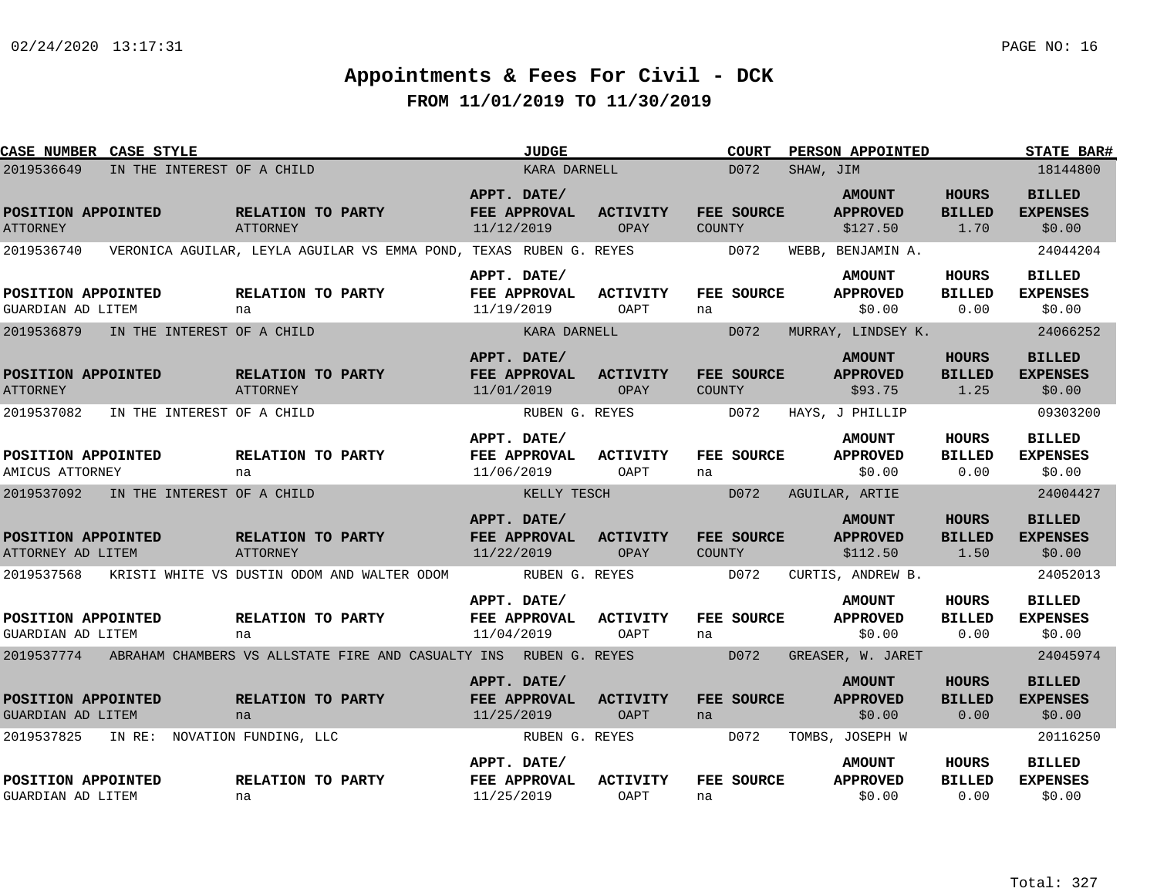| <b>CASE NUMBER CASE STYLE</b>                  |                              |                                      |                                                                              |                           | <b>JUDGE</b>   |                                |               | <b>COURT</b> |           | PERSON APPOINTED                             |                                       | <b>STATE BAR#</b>                          |
|------------------------------------------------|------------------------------|--------------------------------------|------------------------------------------------------------------------------|---------------------------|----------------|--------------------------------|---------------|--------------|-----------|----------------------------------------------|---------------------------------------|--------------------------------------------|
| 2019536649                                     | IN THE INTEREST OF A CHILD   |                                      |                                                                              |                           | KARA DARNELL   |                                |               | D072         | SHAW, JIM |                                              |                                       | 18144800                                   |
| POSITION APPOINTED<br><b>ATTORNEY</b>          |                              | RELATION TO PARTY<br><b>ATTORNEY</b> |                                                                              | APPT. DATE/<br>11/12/2019 | FEE APPROVAL   | <b>ACTIVITY</b><br>OPAY        | COUNTY        | FEE SOURCE   |           | <b>AMOUNT</b><br><b>APPROVED</b><br>\$127.50 | <b>HOURS</b><br><b>BILLED</b><br>1.70 | <b>BILLED</b><br><b>EXPENSES</b><br>\$0.00 |
| 2019536740                                     |                              |                                      | VERONICA AGUILAR, LEYLA AGUILAR VS EMMA POND, TEXAS RUBEN G. REYES           |                           |                |                                |               | D072         |           | WEBB, BENJAMIN A.                            |                                       | 24044204                                   |
| POSITION APPOINTED<br>GUARDIAN AD LITEM        |                              | RELATION TO PARTY<br>na              |                                                                              | APPT. DATE/<br>11/19/2019 | FEE APPROVAL   | <b>ACTIVITY</b><br>OAPT        | na            | FEE SOURCE   |           | <b>AMOUNT</b><br><b>APPROVED</b><br>\$0.00   | <b>HOURS</b><br><b>BILLED</b><br>0.00 | <b>BILLED</b><br><b>EXPENSES</b><br>\$0.00 |
| 2019536879                                     | IN THE INTEREST OF A CHILD   |                                      |                                                                              |                           | KARA DARNELL   |                                |               | D072         |           | MURRAY, LINDSEY K.                           |                                       | 24066252                                   |
| POSITION APPOINTED<br><b>ATTORNEY</b>          |                              | RELATION TO PARTY<br>ATTORNEY        |                                                                              | APPT. DATE/<br>11/01/2019 | FEE APPROVAL   | <b>ACTIVITY</b><br>OPAY        | COUNTY        | FEE SOURCE   |           | <b>AMOUNT</b><br><b>APPROVED</b><br>\$93.75  | <b>HOURS</b><br><b>BILLED</b><br>1.25 | <b>BILLED</b><br><b>EXPENSES</b><br>\$0.00 |
| 2019537082                                     | IN THE INTEREST OF A CHILD   |                                      |                                                                              |                           | RUBEN G. REYES |                                |               | D072         |           | HAYS, J PHILLIP                              |                                       | 09303200                                   |
| POSITION APPOINTED<br>AMICUS ATTORNEY          |                              | RELATION TO PARTY<br>na              |                                                                              | APPT. DATE/<br>11/06/2019 | FEE APPROVAL   | <b>ACTIVITY</b><br>OAPT        | na            | FEE SOURCE   |           | <b>AMOUNT</b><br><b>APPROVED</b><br>\$0.00   | HOURS<br><b>BILLED</b><br>0.00        | <b>BILLED</b><br><b>EXPENSES</b><br>\$0.00 |
| 2019537092                                     | IN THE INTEREST OF A CHILD   |                                      |                                                                              |                           | KELLY TESCH    |                                |               | D072         |           | AGUILAR, ARTIE                               |                                       | 24004427                                   |
| POSITION APPOINTED<br>ATTORNEY AD LITEM        |                              | <b>RELATION TO PARTY</b><br>ATTORNEY |                                                                              | APPT. DATE/<br>11/22/2019 | FEE APPROVAL   | <b>ACTIVITY</b><br>OPAY        | <b>COUNTY</b> | FEE SOURCE   |           | <b>AMOUNT</b><br><b>APPROVED</b><br>\$112.50 | <b>HOURS</b><br><b>BILLED</b><br>1.50 | <b>BILLED</b><br><b>EXPENSES</b><br>\$0.00 |
| 2019537568                                     |                              |                                      | KRISTI WHITE VS DUSTIN ODOM AND WALTER ODOM                                  |                           | RUBEN G. REYES |                                |               | D072         |           | CURTIS, ANDREW B.                            |                                       | 24052013                                   |
| POSITION APPOINTED<br>GUARDIAN AD LITEM        |                              | RELATION TO PARTY<br>na              |                                                                              | APPT. DATE/<br>11/04/2019 | FEE APPROVAL   | <b>ACTIVITY</b><br>OAPT        | na            | FEE SOURCE   |           | <b>AMOUNT</b><br><b>APPROVED</b><br>\$0.00   | HOURS<br><b>BILLED</b><br>0.00        | <b>BILLED</b><br><b>EXPENSES</b><br>\$0.00 |
|                                                |                              |                                      | 2019537774 ABRAHAM CHAMBERS VS ALLSTATE FIRE AND CASUALTY INS RUBEN G. REYES |                           |                |                                |               | D072         |           | GREASER, W. JARET                            |                                       | 24045974                                   |
| POSITION APPOINTED<br><b>GUARDIAN AD LITEM</b> |                              | RELATION TO PARTY<br>na              |                                                                              | APPT. DATE/<br>11/25/2019 | FEE APPROVAL   | <b>ACTIVITY</b><br><b>OAPT</b> | na            | FEE SOURCE   |           | <b>AMOUNT</b><br><b>APPROVED</b><br>\$0.00   | <b>HOURS</b><br><b>BILLED</b><br>0.00 | <b>BILLED</b><br><b>EXPENSES</b><br>\$0.00 |
| 2019537825                                     | IN RE: NOVATION FUNDING, LLC |                                      |                                                                              |                           | RUBEN G. REYES |                                |               | D072         |           | TOMBS, JOSEPH W                              |                                       | 20116250                                   |
| POSITION APPOINTED<br>GUARDIAN AD LITEM        |                              | RELATION TO PARTY<br>na              |                                                                              | APPT. DATE/<br>11/25/2019 | FEE APPROVAL   | <b>ACTIVITY</b><br>OAPT        | na            | FEE SOURCE   |           | <b>AMOUNT</b><br><b>APPROVED</b><br>\$0.00   | HOURS<br><b>BILLED</b><br>0.00        | <b>BILLED</b><br><b>EXPENSES</b><br>\$0.00 |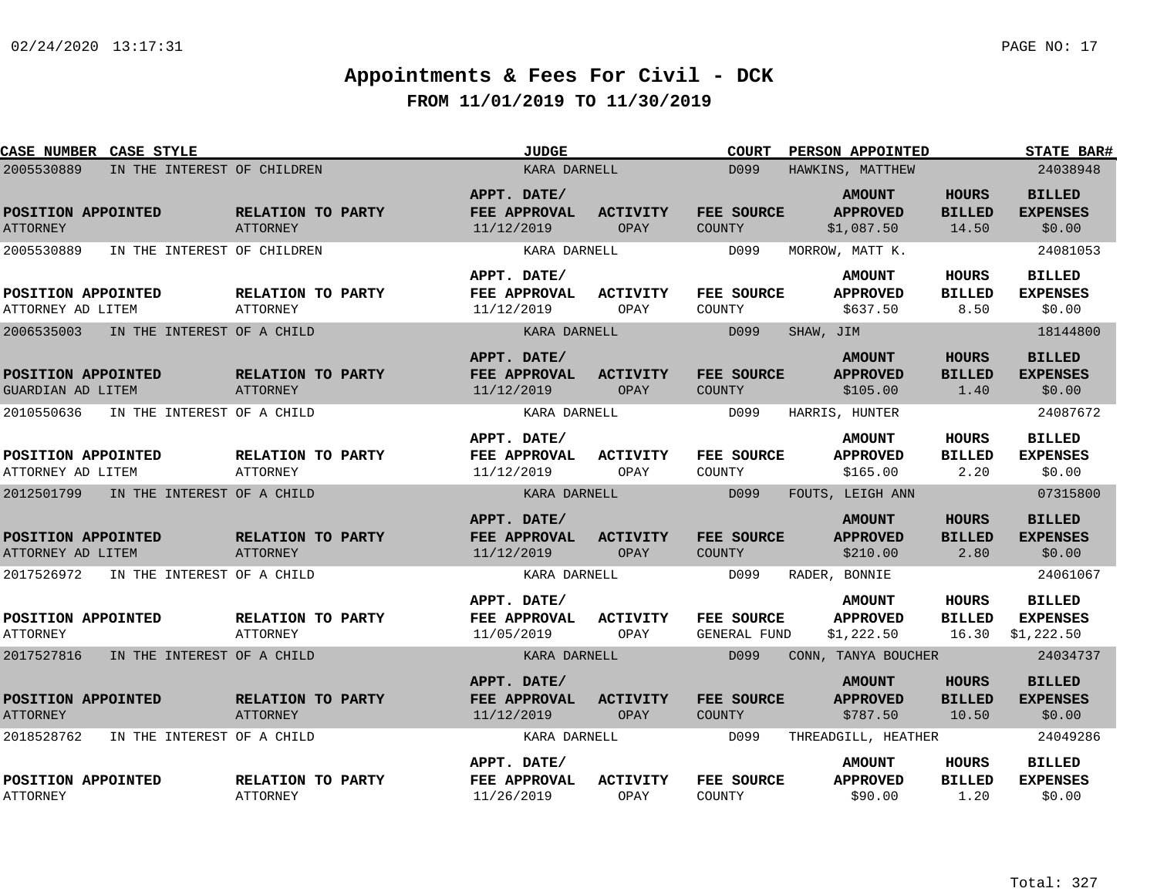| CASE NUMBER CASE STYLE                  |                            |                                      | JUDGE                                     |                                | <b>COURT</b><br>PERSON APPOINTED | <b>STATE BAR#</b>                              |                                        |                                                |
|-----------------------------------------|----------------------------|--------------------------------------|-------------------------------------------|--------------------------------|----------------------------------|------------------------------------------------|----------------------------------------|------------------------------------------------|
| 2005530889                              |                            | IN THE INTEREST OF CHILDREN          | KARA DARNELL                              |                                | D <sub>099</sub>                 | HAWKINS, MATTHEW                               |                                        | 24038948                                       |
| POSITION APPOINTED<br><b>ATTORNEY</b>   |                            | RELATION TO PARTY<br><b>ATTORNEY</b> | APPT. DATE/<br>FEE APPROVAL<br>11/12/2019 | <b>ACTIVITY</b><br>OPAY        | FEE SOURCE<br><b>COUNTY</b>      | <b>AMOUNT</b><br><b>APPROVED</b><br>\$1,087.50 | <b>HOURS</b><br><b>BILLED</b><br>14.50 | <b>BILLED</b><br><b>EXPENSES</b><br>\$0.00     |
| 2005530889                              |                            | IN THE INTEREST OF CHILDREN          | KARA DARNELL                              |                                | D099                             | MORROW, MATT K.                                |                                        | 24081053                                       |
| POSITION APPOINTED<br>ATTORNEY AD LITEM |                            | RELATION TO PARTY<br><b>ATTORNEY</b> | APPT. DATE/<br>FEE APPROVAL<br>11/12/2019 | ACTIVITY<br>OPAY               | FEE SOURCE<br>COUNTY             | <b>AMOUNT</b><br><b>APPROVED</b><br>\$637.50   | HOURS<br><b>BILLED</b><br>8.50         | <b>BILLED</b><br><b>EXPENSES</b><br>\$0.00     |
| 2006535003                              |                            | IN THE INTEREST OF A CHILD           | KARA DARNELL                              |                                | D099                             | SHAW, JIM                                      |                                        | 18144800                                       |
| POSITION APPOINTED<br>GUARDIAN AD LITEM |                            | RELATION TO PARTY<br>ATTORNEY        | APPT. DATE/<br>FEE APPROVAL<br>11/12/2019 | <b>ACTIVITY</b><br><b>OPAY</b> | FEE SOURCE<br><b>COUNTY</b>      | <b>AMOUNT</b><br><b>APPROVED</b><br>\$105.00   | <b>HOURS</b><br><b>BILLED</b><br>1.40  | <b>BILLED</b><br><b>EXPENSES</b><br>\$0.00     |
| 2010550636                              |                            | IN THE INTEREST OF A CHILD           | KARA DARNELL                              |                                | D099                             | HARRIS, HUNTER                                 |                                        | 24087672                                       |
| POSITION APPOINTED<br>ATTORNEY AD LITEM |                            | RELATION TO PARTY<br><b>ATTORNEY</b> | APPT. DATE/<br>FEE APPROVAL<br>11/12/2019 | <b>ACTIVITY</b><br>OPAY        | FEE SOURCE<br>COUNTY             | <b>AMOUNT</b><br><b>APPROVED</b><br>\$165.00   | <b>HOURS</b><br><b>BILLED</b><br>2.20  | <b>BILLED</b><br><b>EXPENSES</b><br>\$0.00     |
| 2012501799                              | IN THE INTEREST OF A CHILD |                                      | KARA DARNELL                              |                                | D099                             | FOUTS, LEIGH ANN                               |                                        | 07315800                                       |
| POSITION APPOINTED<br>ATTORNEY AD LITEM |                            | RELATION TO PARTY<br><b>ATTORNEY</b> | APPT. DATE/<br>FEE APPROVAL<br>11/12/2019 | <b>ACTIVITY</b><br><b>OPAY</b> | FEE SOURCE<br><b>COUNTY</b>      | <b>AMOUNT</b><br><b>APPROVED</b><br>\$210.00   | <b>HOURS</b><br><b>BILLED</b><br>2.80  | <b>BILLED</b><br><b>EXPENSES</b><br>\$0.00     |
| 2017526972                              | IN THE INTEREST OF A CHILD |                                      | KARA DARNELL                              |                                | D099                             | RADER, BONNIE                                  |                                        | 24061067                                       |
| POSITION APPOINTED<br><b>ATTORNEY</b>   |                            | RELATION TO PARTY<br>ATTORNEY        | APPT. DATE/<br>FEE APPROVAL<br>11/05/2019 | <b>ACTIVITY</b><br>OPAY        | FEE SOURCE<br>GENERAL FUND       | <b>AMOUNT</b><br><b>APPROVED</b><br>\$1,222.50 | <b>HOURS</b><br><b>BILLED</b><br>16.30 | <b>BILLED</b><br><b>EXPENSES</b><br>\$1,222.50 |
| 2017527816                              |                            | IN THE INTEREST OF A CHILD           | KARA DARNELL                              |                                | D099                             | CONN, TANYA BOUCHER                            |                                        | 24034737                                       |
| POSITION APPOINTED<br><b>ATTORNEY</b>   |                            | RELATION TO PARTY<br>ATTORNEY        | APPT. DATE/<br>FEE APPROVAL<br>11/12/2019 | <b>ACTIVITY</b><br>OPAY        | FEE SOURCE<br><b>COUNTY</b>      | <b>AMOUNT</b><br><b>APPROVED</b><br>\$787.50   | <b>HOURS</b><br><b>BILLED</b><br>10.50 | <b>BILLED</b><br><b>EXPENSES</b><br>\$0.00     |
| 2018528762                              |                            | IN THE INTEREST OF A CHILD           | KARA DARNELL                              |                                | D099                             | THREADGILL, HEATHER                            |                                        | 24049286                                       |
| POSITION APPOINTED<br><b>ATTORNEY</b>   |                            | RELATION TO PARTY<br><b>ATTORNEY</b> | APPT. DATE/<br>FEE APPROVAL<br>11/26/2019 | <b>ACTIVITY</b><br>OPAY        | FEE SOURCE<br>COUNTY             | <b>AMOUNT</b><br><b>APPROVED</b><br>\$90.00    | <b>HOURS</b><br><b>BILLED</b><br>1.20  | <b>BILLED</b><br><b>EXPENSES</b><br>\$0.00     |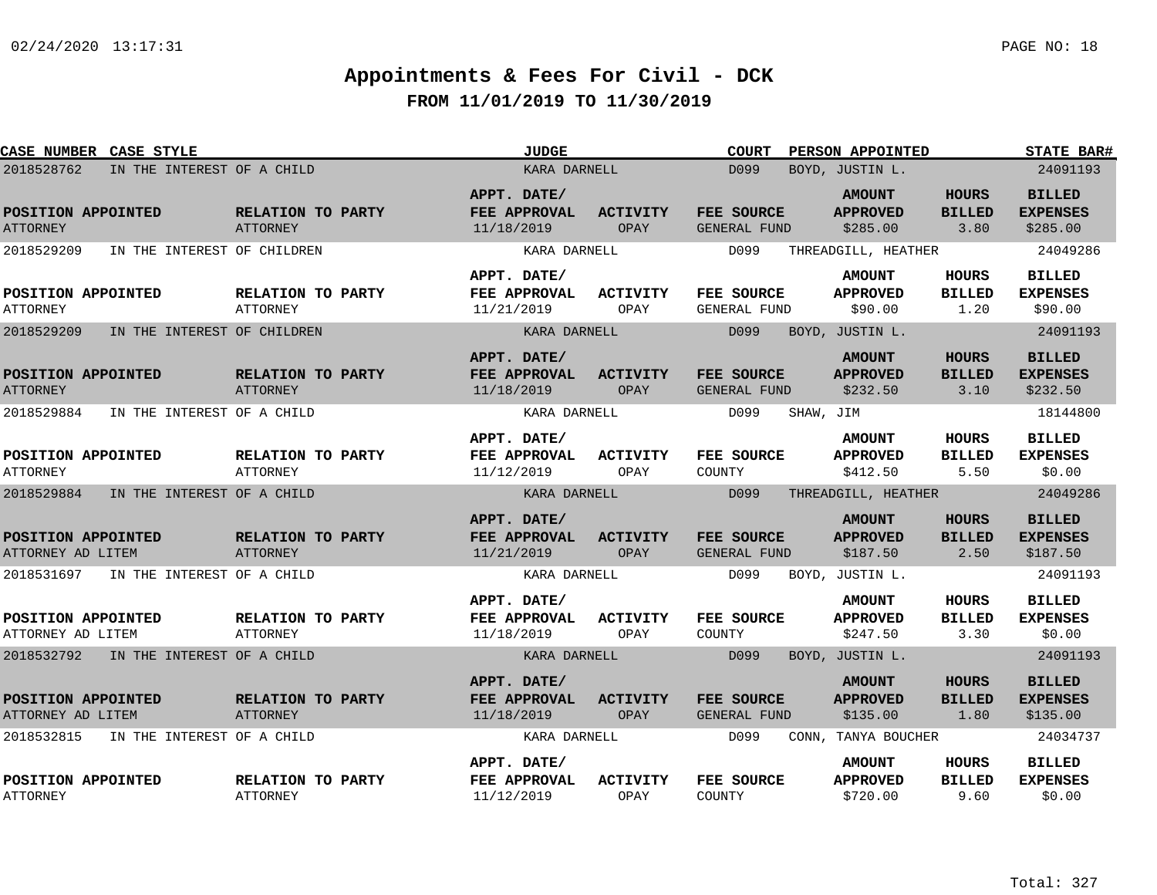| <b>CASE NUMBER CASE STYLE</b>           |                                       |                                      | <b>JUDGE</b>                                     |                         | <b>COURT</b>                      | PERSON APPOINTED                             |                                       | <b>STATE BAR#</b>                            |
|-----------------------------------------|---------------------------------------|--------------------------------------|--------------------------------------------------|-------------------------|-----------------------------------|----------------------------------------------|---------------------------------------|----------------------------------------------|
| 2018528762                              | IN THE INTEREST OF A CHILD            |                                      | KARA DARNELL                                     |                         | D099                              | BOYD, JUSTIN L.                              |                                       | 24091193                                     |
| POSITION APPOINTED<br><b>ATTORNEY</b>   |                                       | RELATION TO PARTY<br>ATTORNEY        | APPT. DATE/<br>FEE APPROVAL<br>11/18/2019        | <b>ACTIVITY</b><br>OPAY | FEE SOURCE<br>GENERAL FUND        | <b>AMOUNT</b><br><b>APPROVED</b><br>\$285.00 | <b>HOURS</b><br><b>BILLED</b><br>3.80 | <b>BILLED</b><br><b>EXPENSES</b><br>\$285.00 |
| 2018529209                              | IN THE INTEREST OF CHILDREN           |                                      | KARA DARNELL                                     |                         | D099                              | THREADGILL, HEATHER                          |                                       | 24049286                                     |
| POSITION APPOINTED<br><b>ATTORNEY</b>   |                                       | RELATION TO PARTY<br><b>ATTORNEY</b> | APPT. DATE/<br>FEE APPROVAL<br>11/21/2019        | ACTIVITY<br>OPAY        | FEE SOURCE<br>GENERAL FUND        | <b>AMOUNT</b><br><b>APPROVED</b><br>\$90.00  | <b>HOURS</b><br><b>BILLED</b><br>1.20 | <b>BILLED</b><br><b>EXPENSES</b><br>\$90.00  |
| 2018529209                              | IN THE INTEREST OF CHILDREN           |                                      | KARA DARNELL                                     |                         | D099                              | BOYD, JUSTIN L.                              |                                       | 24091193                                     |
| POSITION APPOINTED<br><b>ATTORNEY</b>   |                                       | RELATION TO PARTY<br><b>ATTORNEY</b> | APPT. DATE/<br>FEE APPROVAL<br>11/18/2019        | <b>ACTIVITY</b><br>OPAY | FEE SOURCE<br><b>GENERAL FUND</b> | <b>AMOUNT</b><br><b>APPROVED</b><br>\$232.50 | <b>HOURS</b><br><b>BILLED</b><br>3.10 | <b>BILLED</b><br><b>EXPENSES</b><br>\$232.50 |
| 2018529884                              | IN THE INTEREST OF A CHILD            |                                      | KARA DARNELL                                     |                         | D099<br>SHAW, JIM                 |                                              |                                       | 18144800                                     |
| POSITION APPOINTED<br><b>ATTORNEY</b>   |                                       | RELATION TO PARTY<br><b>ATTORNEY</b> | APPT. DATE/<br>FEE APPROVAL<br>11/12/2019        | <b>ACTIVITY</b><br>OPAY | FEE SOURCE<br>COUNTY              | <b>AMOUNT</b><br><b>APPROVED</b><br>\$412.50 | HOURS<br><b>BILLED</b><br>5.50        | <b>BILLED</b><br><b>EXPENSES</b><br>\$0.00   |
| 2018529884                              | IN THE INTEREST OF A CHILD            |                                      | KARA DARNELL                                     |                         | D099                              | THREADGILL, HEATHER                          |                                       | 24049286                                     |
| POSITION APPOINTED<br>ATTORNEY AD LITEM |                                       | RELATION TO PARTY<br><b>ATTORNEY</b> | APPT. DATE/<br>FEE APPROVAL<br>11/21/2019        | <b>ACTIVITY</b><br>OPAY | FEE SOURCE<br>GENERAL FUND        | <b>AMOUNT</b><br><b>APPROVED</b><br>\$187.50 | <b>HOURS</b><br><b>BILLED</b><br>2.50 | <b>BILLED</b><br><b>EXPENSES</b><br>\$187.50 |
|                                         | 2018531697 IN THE INTEREST OF A CHILD |                                      | KARA DARNELL                                     |                         | D099                              | BOYD, JUSTIN L.                              |                                       | 24091193                                     |
| POSITION APPOINTED<br>ATTORNEY AD LITEM |                                       | RELATION TO PARTY<br>ATTORNEY        | APPT. DATE/<br><b>FEE APPROVAL</b><br>11/18/2019 | ACTIVITY<br>OPAY        | <b>FEE SOURCE</b><br>COUNTY       | <b>AMOUNT</b><br><b>APPROVED</b><br>\$247.50 | <b>HOURS</b><br><b>BILLED</b><br>3.30 | <b>BILLED</b><br><b>EXPENSES</b><br>\$0.00   |
|                                         | 2018532792 IN THE INTEREST OF A CHILD |                                      | KARA DARNELL                                     |                         | D099                              | BOYD, JUSTIN L.                              |                                       | 24091193                                     |
| POSITION APPOINTED<br>ATTORNEY AD LITEM |                                       | RELATION TO PARTY<br><b>ATTORNEY</b> | APPT. DATE/<br>FEE APPROVAL<br>11/18/2019        | <b>ACTIVITY</b><br>OPAY | FEE SOURCE<br>GENERAL FUND        | <b>AMOUNT</b><br><b>APPROVED</b><br>\$135.00 | HOURS<br><b>BILLED</b><br>1.80        | <b>BILLED</b><br><b>EXPENSES</b><br>\$135.00 |
| 2018532815                              | IN THE INTEREST OF A CHILD            |                                      | KARA DARNELL                                     |                         | D099                              | CONN, TANYA BOUCHER                          |                                       | 24034737                                     |
| POSITION APPOINTED<br><b>ATTORNEY</b>   |                                       | RELATION TO PARTY<br><b>ATTORNEY</b> | APPT. DATE/<br>FEE APPROVAL<br>11/12/2019        | <b>ACTIVITY</b><br>OPAY | FEE SOURCE<br>COUNTY              | <b>AMOUNT</b><br><b>APPROVED</b><br>\$720.00 | HOURS<br><b>BILLED</b><br>9.60        | <b>BILLED</b><br><b>EXPENSES</b><br>\$0.00   |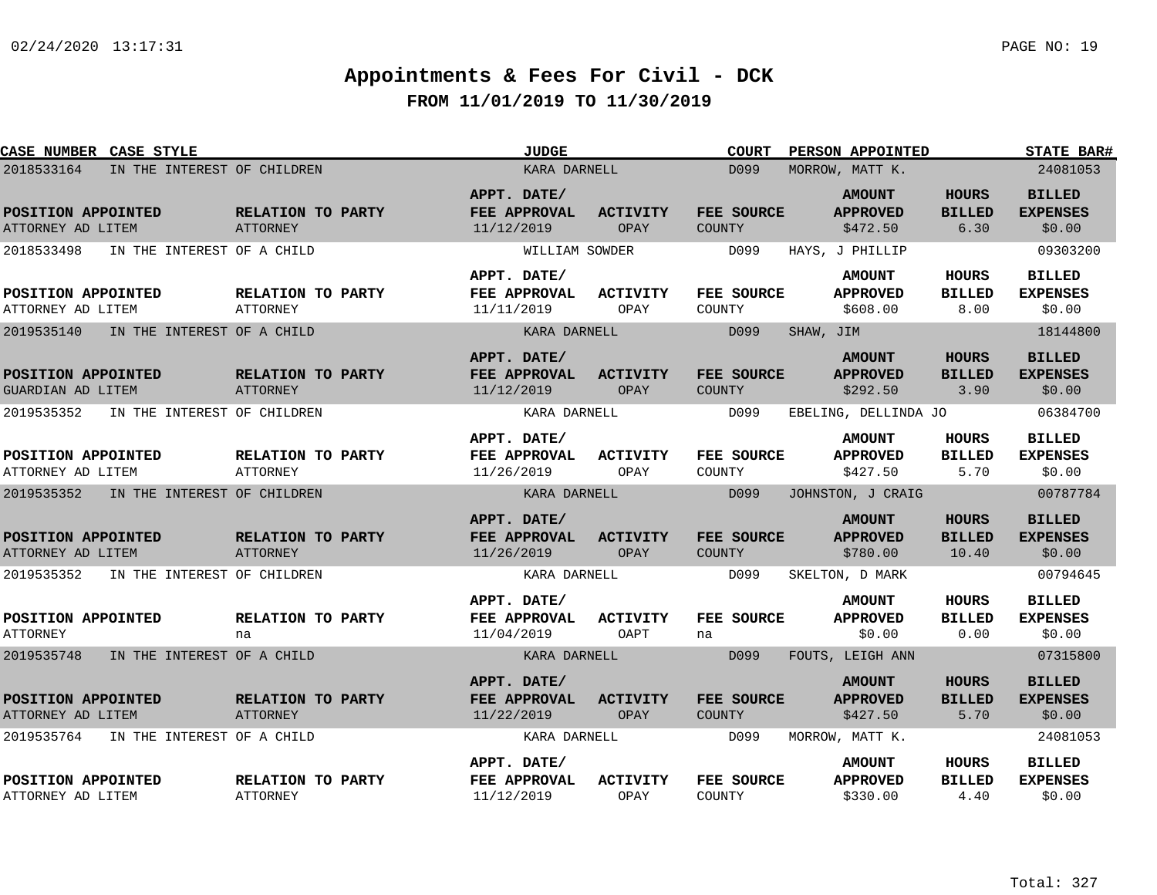| CASE NUMBER CASE STYLE                         |                                      | <b>JUDGE</b>                              |                                | <b>COURT</b>                | <b>PERSON APPOINTED</b>                      |                                        | <b>STATE BAR#</b>                          |
|------------------------------------------------|--------------------------------------|-------------------------------------------|--------------------------------|-----------------------------|----------------------------------------------|----------------------------------------|--------------------------------------------|
| 2018533164<br>IN THE INTEREST OF CHILDREN      |                                      | KARA DARNELL                              |                                | D <sub>099</sub>            | MORROW, MATT K.                              |                                        | 24081053                                   |
| POSITION APPOINTED<br>ATTORNEY AD LITEM        | RELATION TO PARTY<br><b>ATTORNEY</b> | APPT. DATE/<br>FEE APPROVAL<br>11/12/2019 | <b>ACTIVITY</b><br>OPAY        | FEE SOURCE<br><b>COUNTY</b> | <b>AMOUNT</b><br><b>APPROVED</b><br>\$472.50 | <b>HOURS</b><br><b>BILLED</b><br>6.30  | <b>BILLED</b><br><b>EXPENSES</b><br>\$0.00 |
| 2018533498<br>IN THE INTEREST OF A CHILD       |                                      | WILLIAM SOWDER                            |                                | D099                        | HAYS, J PHILLIP                              |                                        | 09303200                                   |
| POSITION APPOINTED<br>ATTORNEY AD LITEM        | RELATION TO PARTY<br><b>ATTORNEY</b> | APPT. DATE/<br>FEE APPROVAL<br>11/11/2019 | ACTIVITY<br>OPAY               | FEE SOURCE<br>COUNTY        | <b>AMOUNT</b><br><b>APPROVED</b><br>\$608.00 | HOURS<br><b>BILLED</b><br>8.00         | <b>BILLED</b><br><b>EXPENSES</b><br>\$0.00 |
| 2019535140<br>IN THE INTEREST OF A CHILD       |                                      | KARA DARNELL                              |                                | D099                        | SHAW, JIM                                    |                                        | 18144800                                   |
| POSITION APPOINTED<br><b>GUARDIAN AD LITEM</b> | RELATION TO PARTY<br><b>ATTORNEY</b> | APPT. DATE/<br>FEE APPROVAL<br>11/12/2019 | <b>ACTIVITY</b><br>OPAY        | FEE SOURCE<br><b>COUNTY</b> | <b>AMOUNT</b><br><b>APPROVED</b><br>\$292.50 | <b>HOURS</b><br><b>BILLED</b><br>3.90  | <b>BILLED</b><br><b>EXPENSES</b><br>\$0.00 |
| 2019535352<br>IN THE INTEREST OF CHILDREN      |                                      | KARA DARNELL                              |                                | D099                        | EBELING, DELLINDA JO                         |                                        | 06384700                                   |
| POSITION APPOINTED<br>ATTORNEY AD LITEM        | RELATION TO PARTY<br><b>ATTORNEY</b> | APPT. DATE/<br>FEE APPROVAL<br>11/26/2019 | ACTIVITY<br>OPAY               | FEE SOURCE<br>COUNTY        | <b>AMOUNT</b><br><b>APPROVED</b><br>\$427.50 | HOURS<br><b>BILLED</b><br>5.70         | <b>BILLED</b><br><b>EXPENSES</b><br>\$0.00 |
| 2019535352<br>IN THE INTEREST OF CHILDREN      |                                      | KARA DARNELL                              |                                | D099                        | JOHNSTON, J CRAIG                            |                                        | 00787784                                   |
| POSITION APPOINTED<br>ATTORNEY AD LITEM        | RELATION TO PARTY<br>ATTORNEY        | APPT. DATE/<br>FEE APPROVAL<br>11/26/2019 | <b>ACTIVITY</b><br><b>OPAY</b> | FEE SOURCE<br><b>COUNTY</b> | <b>AMOUNT</b><br><b>APPROVED</b><br>\$780.00 | <b>HOURS</b><br><b>BILLED</b><br>10.40 | <b>BILLED</b><br><b>EXPENSES</b><br>\$0.00 |
| 2019535352<br>IN THE INTEREST OF CHILDREN      |                                      | KARA DARNELL                              |                                | D099                        | SKELTON, D MARK                              |                                        | 00794645                                   |
| POSITION APPOINTED<br><b>ATTORNEY</b>          | RELATION TO PARTY<br>na              | APPT. DATE/<br>FEE APPROVAL<br>11/04/2019 | <b>ACTIVITY</b><br>OAPT        | FEE SOURCE<br>na            | <b>AMOUNT</b><br><b>APPROVED</b><br>\$0.00   | <b>HOURS</b><br><b>BILLED</b><br>0.00  | <b>BILLED</b><br><b>EXPENSES</b><br>\$0.00 |
| 2019535748<br>IN THE INTEREST OF A CHILD       |                                      | KARA DARNELL                              |                                | D099                        | FOUTS, LEIGH ANN                             |                                        | 07315800                                   |
| POSITION APPOINTED<br>ATTORNEY AD LITEM        | RELATION TO PARTY<br><b>ATTORNEY</b> | APPT. DATE/<br>FEE APPROVAL<br>11/22/2019 | <b>ACTIVITY</b><br>OPAY        | FEE SOURCE<br><b>COUNTY</b> | <b>AMOUNT</b><br><b>APPROVED</b><br>\$427.50 | <b>HOURS</b><br><b>BILLED</b><br>5.70  | <b>BILLED</b><br><b>EXPENSES</b><br>\$0.00 |
| 2019535764<br>IN THE INTEREST OF A CHILD       |                                      | KARA DARNELL                              |                                | D099                        | MORROW, MATT K.                              |                                        | 24081053                                   |
| POSITION APPOINTED<br>ATTORNEY AD LITEM        | RELATION TO PARTY<br><b>ATTORNEY</b> | APPT. DATE/<br>FEE APPROVAL<br>11/12/2019 | <b>ACTIVITY</b><br>OPAY        | FEE SOURCE<br>COUNTY        | <b>AMOUNT</b><br><b>APPROVED</b><br>\$330.00 | HOURS<br><b>BILLED</b><br>4.40         | <b>BILLED</b><br><b>EXPENSES</b><br>\$0.00 |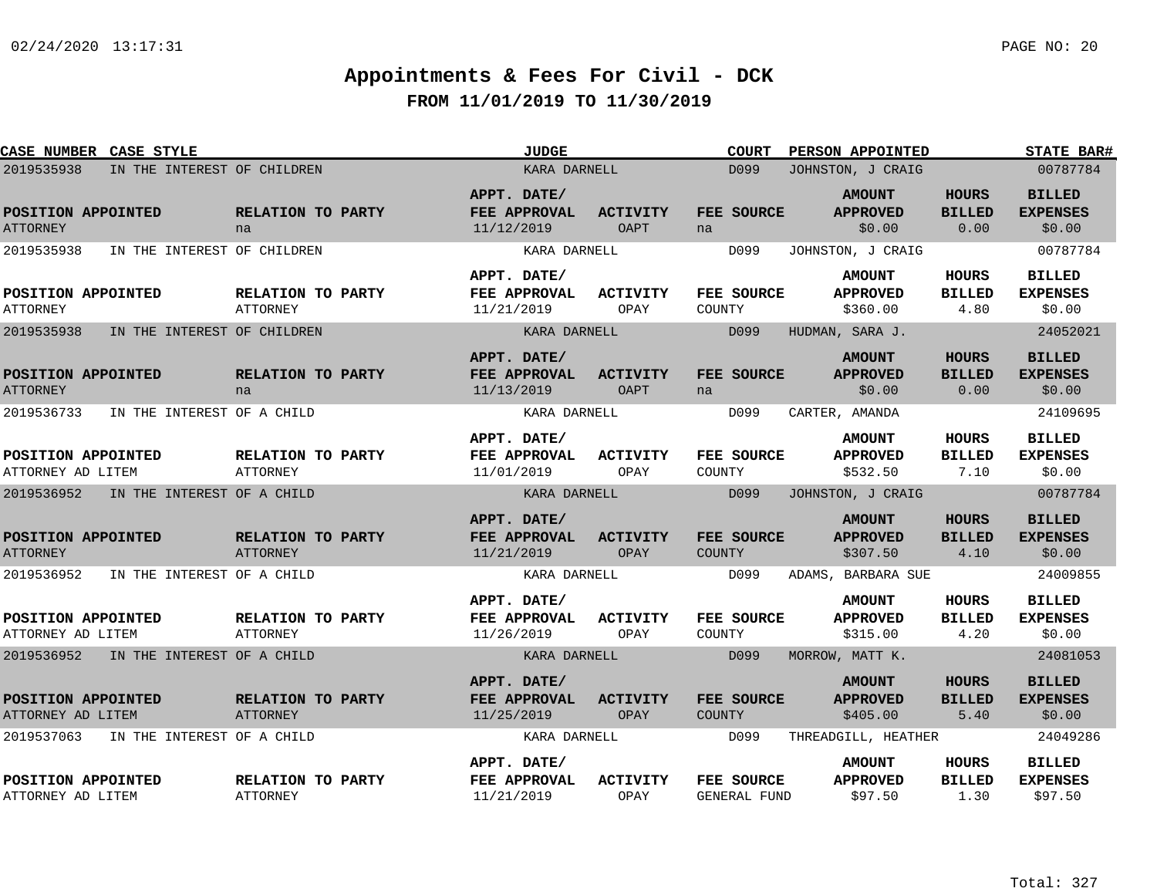| CASE NUMBER CASE STYLE                    |                                      | JUDGE                                     |                                | <b>COURT</b>                      | <b>PERSON APPOINTED</b>                      |                                       | <b>STATE BAR#</b>                           |
|-------------------------------------------|--------------------------------------|-------------------------------------------|--------------------------------|-----------------------------------|----------------------------------------------|---------------------------------------|---------------------------------------------|
| 2019535938<br>IN THE INTEREST OF CHILDREN |                                      | KARA DARNELL                              |                                | D099                              | JOHNSTON, J CRAIG                            |                                       | 00787784                                    |
| POSITION APPOINTED<br><b>ATTORNEY</b>     | RELATION TO PARTY<br>na              | APPT. DATE/<br>FEE APPROVAL<br>11/12/2019 | <b>ACTIVITY</b><br><b>OAPT</b> | FEE SOURCE<br>na                  | <b>AMOUNT</b><br><b>APPROVED</b><br>\$0.00   | <b>HOURS</b><br><b>BILLED</b><br>0.00 | <b>BILLED</b><br><b>EXPENSES</b><br>\$0.00  |
| 2019535938<br>IN THE INTEREST OF CHILDREN |                                      | KARA DARNELL                              |                                | D099                              | JOHNSTON, J CRAIG                            |                                       | 00787784                                    |
| POSITION APPOINTED<br><b>ATTORNEY</b>     | RELATION TO PARTY<br><b>ATTORNEY</b> | APPT. DATE/<br>FEE APPROVAL<br>11/21/2019 | <b>ACTIVITY</b><br>OPAY        | FEE SOURCE<br>COUNTY              | <b>AMOUNT</b><br><b>APPROVED</b><br>\$360.00 | HOURS<br><b>BILLED</b><br>4.80        | <b>BILLED</b><br><b>EXPENSES</b><br>\$0.00  |
| 2019535938<br>IN THE INTEREST OF CHILDREN |                                      | KARA DARNELL                              |                                | D099                              | HUDMAN, SARA J.                              |                                       | 24052021                                    |
| POSITION APPOINTED<br><b>ATTORNEY</b>     | RELATION TO PARTY<br>na              | APPT. DATE/<br>FEE APPROVAL<br>11/13/2019 | <b>ACTIVITY</b><br><b>OAPT</b> | FEE SOURCE<br>na                  | <b>AMOUNT</b><br><b>APPROVED</b><br>\$0.00   | <b>HOURS</b><br><b>BILLED</b><br>0.00 | <b>BILLED</b><br><b>EXPENSES</b><br>\$0.00  |
| 2019536733<br>IN THE INTEREST OF A CHILD  |                                      | KARA DARNELL                              |                                | D099                              | CARTER, AMANDA                               |                                       | 24109695                                    |
| POSITION APPOINTED<br>ATTORNEY AD LITEM   | RELATION TO PARTY<br><b>ATTORNEY</b> | APPT. DATE/<br>FEE APPROVAL<br>11/01/2019 | <b>ACTIVITY</b><br>OPAY        | <b>FEE SOURCE</b><br>COUNTY       | <b>AMOUNT</b><br><b>APPROVED</b><br>\$532.50 | <b>HOURS</b><br><b>BILLED</b><br>7.10 | <b>BILLED</b><br><b>EXPENSES</b><br>\$0.00  |
| 2019536952<br>IN THE INTEREST OF A CHILD  |                                      | KARA DARNELL                              |                                | D099                              | JOHNSTON, J CRAIG                            |                                       | 00787784                                    |
| POSITION APPOINTED<br><b>ATTORNEY</b>     | RELATION TO PARTY<br><b>ATTORNEY</b> | APPT. DATE/<br>FEE APPROVAL<br>11/21/2019 | <b>ACTIVITY</b><br>OPAY        | <b>FEE SOURCE</b><br>COUNTY       | <b>AMOUNT</b><br><b>APPROVED</b><br>\$307.50 | <b>HOURS</b><br><b>BILLED</b><br>4.10 | <b>BILLED</b><br><b>EXPENSES</b><br>\$0.00  |
| 2019536952<br>IN THE INTEREST OF A CHILD  |                                      | KARA DARNELL                              |                                | D099                              | ADAMS, BARBARA SUE                           |                                       | 24009855                                    |
| POSITION APPOINTED<br>ATTORNEY AD LITEM   | RELATION TO PARTY<br>ATTORNEY        | APPT. DATE/<br>FEE APPROVAL<br>11/26/2019 | <b>ACTIVITY</b><br>OPAY        | FEE SOURCE<br>COUNTY              | <b>AMOUNT</b><br><b>APPROVED</b><br>\$315.00 | <b>HOURS</b><br><b>BILLED</b><br>4.20 | <b>BILLED</b><br><b>EXPENSES</b><br>\$0.00  |
| 2019536952 IN THE INTEREST OF A CHILD     |                                      | KARA DARNELL                              |                                | D099                              | MORROW, MATT K.                              |                                       | 24081053                                    |
| POSITION APPOINTED<br>ATTORNEY AD LITEM   | RELATION TO PARTY<br>ATTORNEY        | APPT. DATE/<br>FEE APPROVAL<br>11/25/2019 | <b>ACTIVITY</b><br>OPAY        | FEE SOURCE<br><b>COUNTY</b>       | <b>AMOUNT</b><br><b>APPROVED</b><br>\$405.00 | <b>HOURS</b><br><b>BILLED</b><br>5.40 | <b>BILLED</b><br><b>EXPENSES</b><br>\$0.00  |
| 2019537063<br>IN THE INTEREST OF A CHILD  |                                      | KARA DARNELL                              |                                | D099                              | THREADGILL, HEATHER                          |                                       | 24049286                                    |
| POSITION APPOINTED<br>ATTORNEY AD LITEM   | RELATION TO PARTY<br><b>ATTORNEY</b> | APPT. DATE/<br>FEE APPROVAL<br>11/21/2019 | <b>ACTIVITY</b><br>OPAY        | FEE SOURCE<br><b>GENERAL FUND</b> | <b>AMOUNT</b><br><b>APPROVED</b><br>\$97.50  | HOURS<br><b>BILLED</b><br>1.30        | <b>BILLED</b><br><b>EXPENSES</b><br>\$97.50 |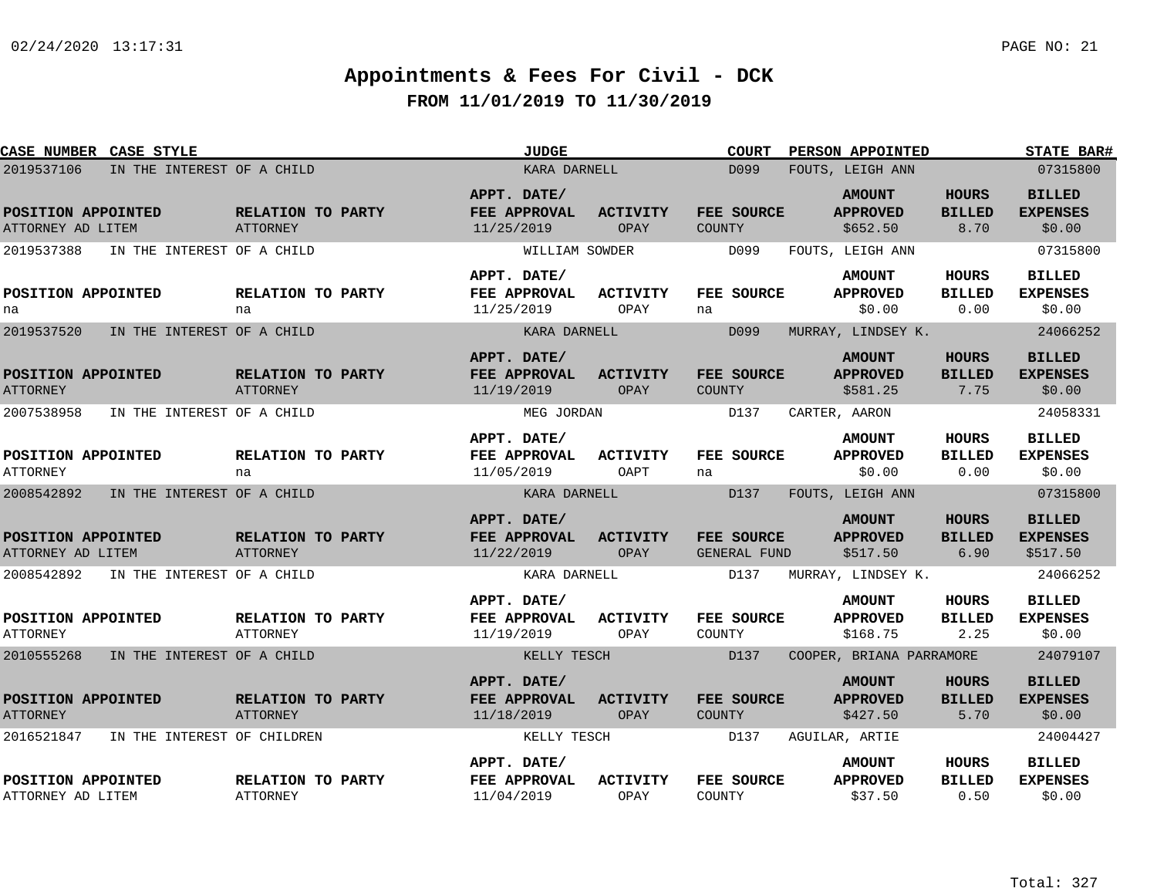| CASE NUMBER CASE STYLE                   |                             |                                      | <b>JUDGE</b>                              |                                | <b>COURT</b>                      | <b>PERSON APPOINTED</b>                      |                                       | <b>STATE BAR#</b>                            |
|------------------------------------------|-----------------------------|--------------------------------------|-------------------------------------------|--------------------------------|-----------------------------------|----------------------------------------------|---------------------------------------|----------------------------------------------|
| 2019537106<br>IN THE INTEREST OF A CHILD |                             |                                      | KARA DARNELL                              |                                | D099                              | FOUTS, LEIGH ANN                             |                                       | 07315800                                     |
| POSITION APPOINTED<br>ATTORNEY AD LITEM  |                             | RELATION TO PARTY<br><b>ATTORNEY</b> | APPT. DATE/<br>FEE APPROVAL<br>11/25/2019 | <b>ACTIVITY</b><br>OPAY        | FEE SOURCE<br>COUNTY              | <b>AMOUNT</b><br><b>APPROVED</b><br>\$652.50 | <b>HOURS</b><br><b>BILLED</b><br>8.70 | <b>BILLED</b><br><b>EXPENSES</b><br>\$0.00   |
| 2019537388                               | IN THE INTEREST OF A CHILD  |                                      | WILLIAM SOWDER                            |                                | D099                              | FOUTS, LEIGH ANN                             |                                       | 07315800                                     |
| POSITION APPOINTED<br>na                 |                             | RELATION TO PARTY<br>na              | APPT. DATE/<br>FEE APPROVAL<br>11/25/2019 | ACTIVITY<br>OPAY               | FEE SOURCE<br>na                  | <b>AMOUNT</b><br><b>APPROVED</b><br>\$0.00   | <b>HOURS</b><br><b>BILLED</b><br>0.00 | <b>BILLED</b><br><b>EXPENSES</b><br>\$0.00   |
| 2019537520                               | IN THE INTEREST OF A CHILD  |                                      | KARA DARNELL                              |                                | D099                              | MURRAY, LINDSEY K.                           |                                       | 24066252                                     |
| POSITION APPOINTED<br><b>ATTORNEY</b>    |                             | RELATION TO PARTY<br>ATTORNEY        | APPT. DATE/<br>FEE APPROVAL<br>11/19/2019 | <b>ACTIVITY</b><br>OPAY        | FEE SOURCE<br><b>COUNTY</b>       | <b>AMOUNT</b><br><b>APPROVED</b><br>\$581.25 | <b>HOURS</b><br><b>BILLED</b><br>7.75 | <b>BILLED</b><br><b>EXPENSES</b><br>\$0.00   |
| 2007538958                               | IN THE INTEREST OF A CHILD  |                                      | MEG JORDAN                                |                                | D137                              | CARTER, AARON                                |                                       | 24058331                                     |
| POSITION APPOINTED<br><b>ATTORNEY</b>    |                             | RELATION TO PARTY<br>na              | APPT. DATE/<br>FEE APPROVAL<br>11/05/2019 | <b>ACTIVITY</b><br>OAPT        | FEE SOURCE<br>na                  | <b>AMOUNT</b><br><b>APPROVED</b><br>\$0.00   | <b>HOURS</b><br><b>BILLED</b><br>0.00 | <b>BILLED</b><br><b>EXPENSES</b><br>\$0.00   |
| 2008542892                               | IN THE INTEREST OF A CHILD  |                                      | KARA DARNELL                              |                                | D137                              | FOUTS, LEIGH ANN                             |                                       | 07315800                                     |
| POSITION APPOINTED<br>ATTORNEY AD LITEM  |                             | RELATION TO PARTY<br><b>ATTORNEY</b> | APPT. DATE/<br>FEE APPROVAL<br>11/22/2019 | <b>ACTIVITY</b><br><b>OPAY</b> | FEE SOURCE<br><b>GENERAL FUND</b> | <b>AMOUNT</b><br><b>APPROVED</b><br>\$517.50 | <b>HOURS</b><br><b>BILLED</b><br>6.90 | <b>BILLED</b><br><b>EXPENSES</b><br>\$517.50 |
| 2008542892                               | IN THE INTEREST OF A CHILD  |                                      | KARA DARNELL                              |                                | D137                              | MURRAY, LINDSEY K.                           |                                       | 24066252                                     |
| POSITION APPOINTED<br><b>ATTORNEY</b>    |                             | RELATION TO PARTY<br>ATTORNEY        | APPT. DATE/<br>FEE APPROVAL<br>11/19/2019 | <b>ACTIVITY</b><br>OPAY        | FEE SOURCE<br>COUNTY              | <b>AMOUNT</b><br><b>APPROVED</b><br>\$168.75 | <b>HOURS</b><br><b>BILLED</b><br>2.25 | <b>BILLED</b><br><b>EXPENSES</b><br>\$0.00   |
| 2010555268                               | IN THE INTEREST OF A CHILD  |                                      | KELLY TESCH                               |                                | D137                              | COOPER, BRIANA PARRAMORE                     |                                       | 24079107                                     |
| POSITION APPOINTED<br><b>ATTORNEY</b>    |                             | RELATION TO PARTY<br><b>ATTORNEY</b> | APPT. DATE/<br>FEE APPROVAL<br>11/18/2019 | <b>ACTIVITY</b><br>OPAY        | FEE SOURCE<br><b>COUNTY</b>       | <b>AMOUNT</b><br><b>APPROVED</b><br>\$427.50 | <b>HOURS</b><br><b>BILLED</b><br>5.70 | <b>BILLED</b><br><b>EXPENSES</b><br>\$0.00   |
| 2016521847                               | IN THE INTEREST OF CHILDREN |                                      | KELLY TESCH                               |                                | D137                              | AGUILAR, ARTIE                               |                                       | 24004427                                     |
| POSITION APPOINTED<br>ATTORNEY AD LITEM  |                             | RELATION TO PARTY<br><b>ATTORNEY</b> | APPT. DATE/<br>FEE APPROVAL<br>11/04/2019 | <b>ACTIVITY</b><br>OPAY        | FEE SOURCE<br>COUNTY              | <b>AMOUNT</b><br><b>APPROVED</b><br>\$37.50  | <b>HOURS</b><br><b>BILLED</b><br>0.50 | <b>BILLED</b><br><b>EXPENSES</b><br>\$0.00   |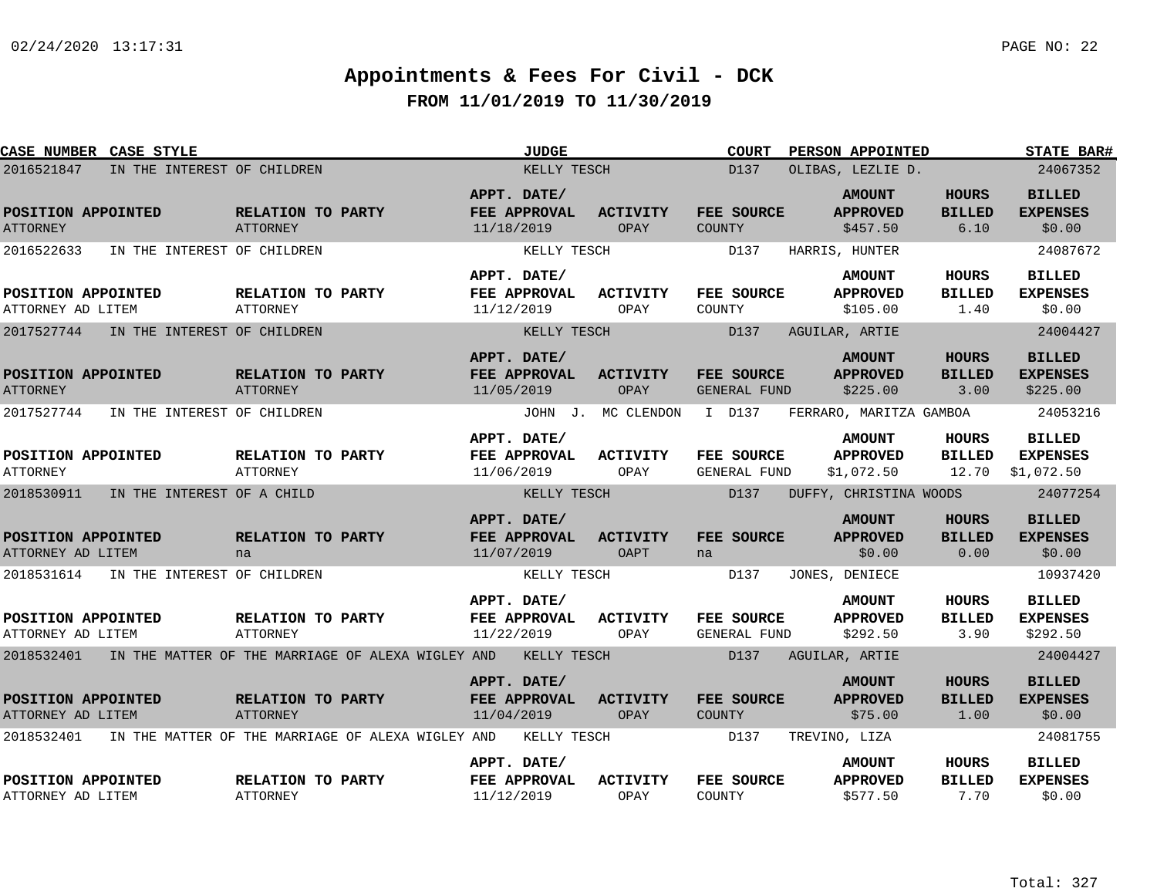| <b>CASE NUMBER CASE STYLE</b>                         |                             |                                      |                                                   |                           | <b>JUDGE</b>                |                         |               | <b>COURT</b>                             | PERSON APPOINTED                                             |                                       | <b>STATE BAR#</b>                                      |
|-------------------------------------------------------|-----------------------------|--------------------------------------|---------------------------------------------------|---------------------------|-----------------------------|-------------------------|---------------|------------------------------------------|--------------------------------------------------------------|---------------------------------------|--------------------------------------------------------|
| 2016521847                                            | IN THE INTEREST OF CHILDREN |                                      |                                                   |                           | KELLY TESCH                 |                         |               | D137                                     | OLIBAS, LEZLIE D.                                            |                                       | 24067352                                               |
| POSITION APPOINTED<br><b>ATTORNEY</b>                 |                             | RELATION TO PARTY<br>ATTORNEY        |                                                   | APPT. DATE/<br>11/18/2019 | FEE APPROVAL                | <b>ACTIVITY</b><br>OPAY | COUNTY        | FEE SOURCE                               | <b>AMOUNT</b><br><b>APPROVED</b><br>\$457.50                 | <b>HOURS</b><br><b>BILLED</b><br>6.10 | <b>BILLED</b><br><b>EXPENSES</b><br>\$0.00             |
| 2016522633                                            | IN THE INTEREST OF CHILDREN |                                      |                                                   |                           | KELLY TESCH                 |                         |               | D137                                     | HARRIS, HUNTER                                               |                                       | 24087672                                               |
| POSITION APPOINTED<br>ATTORNEY AD LITEM               |                             | RELATION TO PARTY<br>ATTORNEY        |                                                   | APPT. DATE/<br>11/12/2019 | FEE APPROVAL                | <b>ACTIVITY</b><br>OPAY | COUNTY        | FEE SOURCE                               | <b>AMOUNT</b><br><b>APPROVED</b><br>\$105.00                 | <b>HOURS</b><br><b>BILLED</b><br>1.40 | <b>BILLED</b><br><b>EXPENSES</b><br>\$0.00             |
| 2017527744                                            | IN THE INTEREST OF CHILDREN |                                      |                                                   |                           | KELLY TESCH                 |                         |               | D137                                     | AGUILAR, ARTIE                                               |                                       | 24004427                                               |
| POSITION APPOINTED<br><b>ATTORNEY</b>                 |                             | RELATION TO PARTY<br>ATTORNEY        |                                                   | APPT. DATE/<br>11/05/2019 | FEE APPROVAL                | <b>ACTIVITY</b><br>OPAY |               | FEE SOURCE<br><b>GENERAL FUND</b>        | <b>AMOUNT</b><br><b>APPROVED</b><br>\$225.00                 | HOURS<br><b>BILLED</b><br>3.00        | <b>BILLED</b><br><b>EXPENSES</b><br>\$225.00           |
| 2017527744                                            | IN THE INTEREST OF CHILDREN |                                      |                                                   |                           |                             | JOHN J. MC CLENDON      |               | I D137                                   | FERRARO, MARITZA GAMBOA                                      |                                       | 24053216                                               |
| POSITION APPOINTED<br><b>ATTORNEY</b>                 |                             | RELATION TO PARTY<br><b>ATTORNEY</b> |                                                   | APPT. DATE/<br>11/06/2019 | FEE APPROVAL                | <b>ACTIVITY</b><br>OPAY |               | <b>FEE SOURCE</b><br><b>GENERAL FUND</b> | <b>AMOUNT</b><br><b>APPROVED</b><br>\$1,072.50               | HOURS<br><b>BILLED</b><br>12.70       | <b>BILLED</b><br><b>EXPENSES</b><br>\$1,072.50         |
| 2018530911                                            | IN THE INTEREST OF A CHILD  |                                      |                                                   |                           | KELLY TESCH                 |                         |               | D137                                     | DUFFY, CHRISTINA WOODS                                       |                                       | 24077254                                               |
| POSITION APPOINTED<br>ATTORNEY AD LITEM<br>2018531614 | IN THE INTEREST OF CHILDREN | RELATION TO PARTY<br>na              |                                                   | APPT. DATE/<br>11/07/2019 | FEE APPROVAL<br>KELLY TESCH | <b>ACTIVITY</b><br>OAPT | na            | <b>FEE SOURCE</b><br>D137                | <b>AMOUNT</b><br><b>APPROVED</b><br>\$0.00<br>JONES, DENIECE | <b>HOURS</b><br><b>BILLED</b><br>0.00 | <b>BILLED</b><br><b>EXPENSES</b><br>\$0.00<br>10937420 |
|                                                       |                             |                                      |                                                   |                           |                             |                         |               |                                          |                                                              |                                       |                                                        |
| POSITION APPOINTED<br>ATTORNEY AD LITEM               |                             | RELATION TO PARTY<br>ATTORNEY        |                                                   | APPT. DATE/<br>11/22/2019 | FEE APPROVAL                | <b>ACTIVITY</b><br>OPAY |               | FEE SOURCE<br>GENERAL FUND               | <b>AMOUNT</b><br><b>APPROVED</b><br>\$292.50                 | <b>HOURS</b><br><b>BILLED</b><br>3.90 | <b>BILLED</b><br><b>EXPENSES</b><br>\$292.50           |
| 2018532401                                            |                             |                                      | IN THE MATTER OF THE MARRIAGE OF ALEXA WIGLEY AND |                           | KELLY TESCH                 |                         |               | D137                                     | AGUILAR, ARTIE                                               |                                       | 24004427                                               |
| POSITION APPOINTED<br>ATTORNEY AD LITEM               |                             | RELATION TO PARTY<br>ATTORNEY        |                                                   | APPT. DATE/<br>11/04/2019 | <b>FEE APPROVAL</b>         | <b>ACTIVITY</b><br>OPAY | <b>COUNTY</b> | FEE SOURCE                               | <b>AMOUNT</b><br><b>APPROVED</b><br>\$75.00                  | <b>HOURS</b><br><b>BILLED</b><br>1.00 | <b>BILLED</b><br><b>EXPENSES</b><br>\$0.00             |
| 2018532401                                            |                             |                                      | IN THE MATTER OF THE MARRIAGE OF ALEXA WIGLEY AND |                           | KELLY TESCH                 |                         |               | D137                                     | TREVINO, LIZA                                                |                                       | 24081755                                               |
| POSITION APPOINTED<br>ATTORNEY AD LITEM               |                             | RELATION TO PARTY<br><b>ATTORNEY</b> |                                                   | APPT. DATE/<br>11/12/2019 | FEE APPROVAL                | <b>ACTIVITY</b><br>OPAY | COUNTY        | FEE SOURCE                               | <b>AMOUNT</b><br><b>APPROVED</b><br>\$577.50                 | HOURS<br><b>BILLED</b><br>7.70        | <b>BILLED</b><br><b>EXPENSES</b><br>\$0.00             |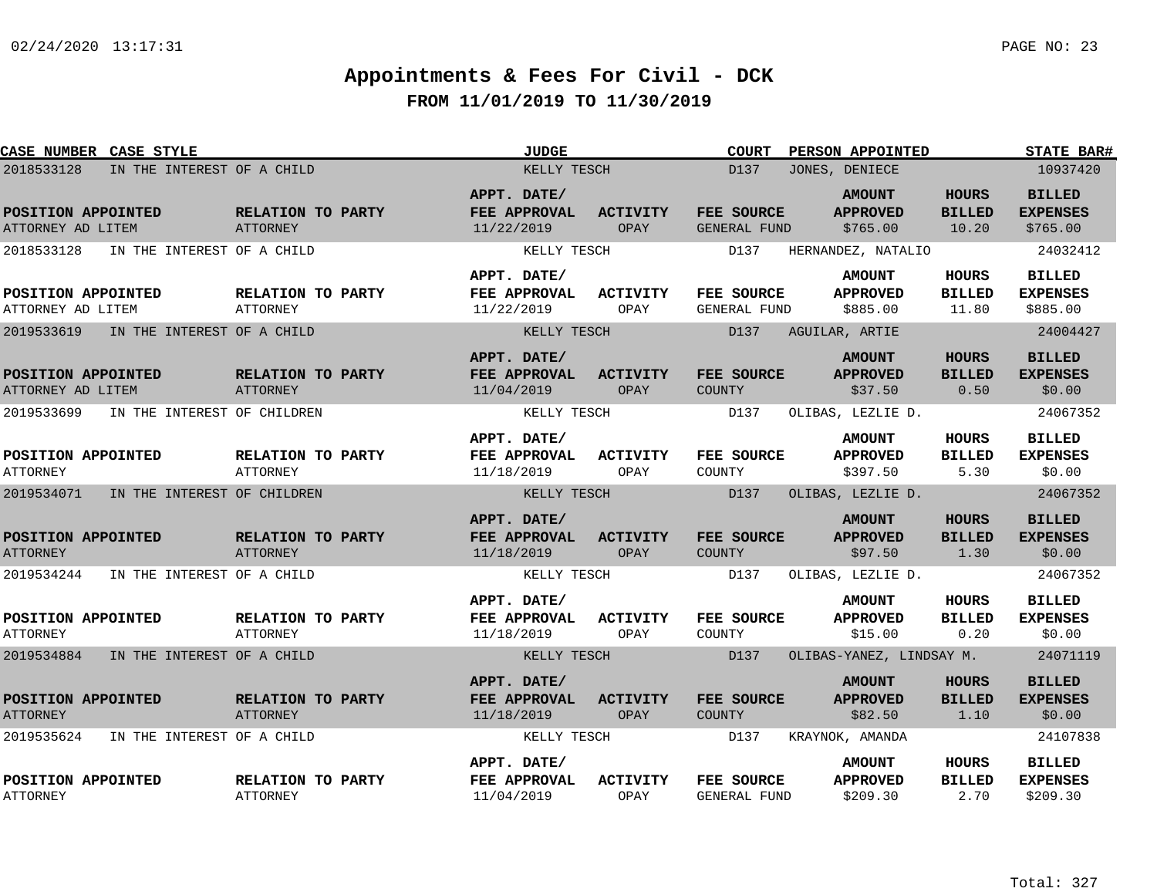| CASE NUMBER CASE STYLE                  |                             |                                      | <b>JUDGE</b>                              |                         | <b>COURT</b>               | PERSON APPOINTED                             |                                        | <b>STATE BAR#</b>                            |
|-----------------------------------------|-----------------------------|--------------------------------------|-------------------------------------------|-------------------------|----------------------------|----------------------------------------------|----------------------------------------|----------------------------------------------|
| 2018533128                              | IN THE INTEREST OF A CHILD  |                                      | KELLY TESCH                               |                         | D137                       | JONES, DENIECE                               |                                        | 10937420                                     |
| POSITION APPOINTED<br>ATTORNEY AD LITEM |                             | RELATION TO PARTY<br>ATTORNEY        | APPT. DATE/<br>FEE APPROVAL<br>11/22/2019 | <b>ACTIVITY</b><br>OPAY | FEE SOURCE<br>GENERAL FUND | <b>AMOUNT</b><br><b>APPROVED</b><br>\$765.00 | <b>HOURS</b><br><b>BILLED</b><br>10.20 | <b>BILLED</b><br><b>EXPENSES</b><br>\$765.00 |
| 2018533128                              | IN THE INTEREST OF A CHILD  |                                      | KELLY TESCH                               |                         | D137                       | HERNANDEZ, NATALIO                           |                                        | 24032412                                     |
| POSITION APPOINTED<br>ATTORNEY AD LITEM |                             | RELATION TO PARTY<br><b>ATTORNEY</b> | APPT. DATE/<br>FEE APPROVAL<br>11/22/2019 | <b>ACTIVITY</b><br>OPAY | FEE SOURCE<br>GENERAL FUND | <b>AMOUNT</b><br><b>APPROVED</b><br>\$885.00 | <b>HOURS</b><br><b>BILLED</b><br>11.80 | <b>BILLED</b><br><b>EXPENSES</b><br>\$885.00 |
| 2019533619                              | IN THE INTEREST OF A CHILD  |                                      | KELLY TESCH                               |                         | D137                       | AGUILAR, ARTIE                               |                                        | 24004427                                     |
| POSITION APPOINTED<br>ATTORNEY AD LITEM |                             | RELATION TO PARTY<br><b>ATTORNEY</b> | APPT. DATE/<br>FEE APPROVAL<br>11/04/2019 | <b>ACTIVITY</b><br>OPAY | FEE SOURCE<br>COUNTY       | <b>AMOUNT</b><br><b>APPROVED</b><br>\$37.50  | <b>HOURS</b><br><b>BILLED</b><br>0.50  | <b>BILLED</b><br><b>EXPENSES</b><br>\$0.00   |
| 2019533699                              | IN THE INTEREST OF CHILDREN |                                      | KELLY TESCH                               |                         | D137                       | OLIBAS, LEZLIE D.                            |                                        | 24067352                                     |
| POSITION APPOINTED<br><b>ATTORNEY</b>   |                             | RELATION TO PARTY<br><b>ATTORNEY</b> | APPT. DATE/<br>FEE APPROVAL<br>11/18/2019 | <b>ACTIVITY</b><br>OPAY | FEE SOURCE<br>COUNTY       | <b>AMOUNT</b><br><b>APPROVED</b><br>\$397.50 | <b>HOURS</b><br><b>BILLED</b><br>5.30  | <b>BILLED</b><br><b>EXPENSES</b><br>\$0.00   |
| 2019534071                              | IN THE INTEREST OF CHILDREN |                                      | KELLY TESCH                               |                         | D137                       | OLIBAS, LEZLIE D.                            |                                        | 24067352                                     |
| POSITION APPOINTED<br><b>ATTORNEY</b>   |                             | RELATION TO PARTY<br><b>ATTORNEY</b> | APPT. DATE/<br>FEE APPROVAL<br>11/18/2019 | <b>ACTIVITY</b><br>OPAY | FEE SOURCE<br>COUNTY       | <b>AMOUNT</b><br><b>APPROVED</b><br>\$97.50  | <b>HOURS</b><br><b>BILLED</b><br>1.30  | <b>BILLED</b><br><b>EXPENSES</b><br>\$0.00   |
| 2019534244                              | IN THE INTEREST OF A CHILD  |                                      | KELLY TESCH                               |                         | D137                       | OLIBAS, LEZLIE D.                            |                                        | 24067352                                     |
| POSITION APPOINTED<br><b>ATTORNEY</b>   |                             | RELATION TO PARTY<br><b>ATTORNEY</b> | APPT. DATE/<br>FEE APPROVAL<br>11/18/2019 | <b>ACTIVITY</b><br>OPAY | FEE SOURCE<br>COUNTY       | <b>AMOUNT</b><br><b>APPROVED</b><br>\$15.00  | <b>HOURS</b><br><b>BILLED</b><br>0.20  | <b>BILLED</b><br><b>EXPENSES</b><br>\$0.00   |
| 2019534884                              | IN THE INTEREST OF A CHILD  |                                      | KELLY TESCH                               |                         | D137                       | OLIBAS-YANEZ, LINDSAY M.                     |                                        | 24071119                                     |
| POSITION APPOINTED<br><b>ATTORNEY</b>   |                             | RELATION TO PARTY<br><b>ATTORNEY</b> | APPT. DATE/<br>FEE APPROVAL<br>11/18/2019 | <b>ACTIVITY</b><br>OPAY | FEE SOURCE<br>COUNTY       | <b>AMOUNT</b><br><b>APPROVED</b><br>\$82.50  | <b>HOURS</b><br><b>BILLED</b><br>1.10  | <b>BILLED</b><br><b>EXPENSES</b><br>\$0.00   |
| 2019535624                              | IN THE INTEREST OF A CHILD  |                                      | KELLY TESCH                               |                         | D137                       | KRAYNOK, AMANDA                              |                                        | 24107838                                     |
| POSITION APPOINTED<br><b>ATTORNEY</b>   |                             | RELATION TO PARTY<br><b>ATTORNEY</b> | APPT. DATE/<br>FEE APPROVAL<br>11/04/2019 | <b>ACTIVITY</b><br>OPAY | FEE SOURCE<br>GENERAL FUND | <b>AMOUNT</b><br><b>APPROVED</b><br>\$209.30 | HOURS<br><b>BILLED</b><br>2.70         | <b>BILLED</b><br><b>EXPENSES</b><br>\$209.30 |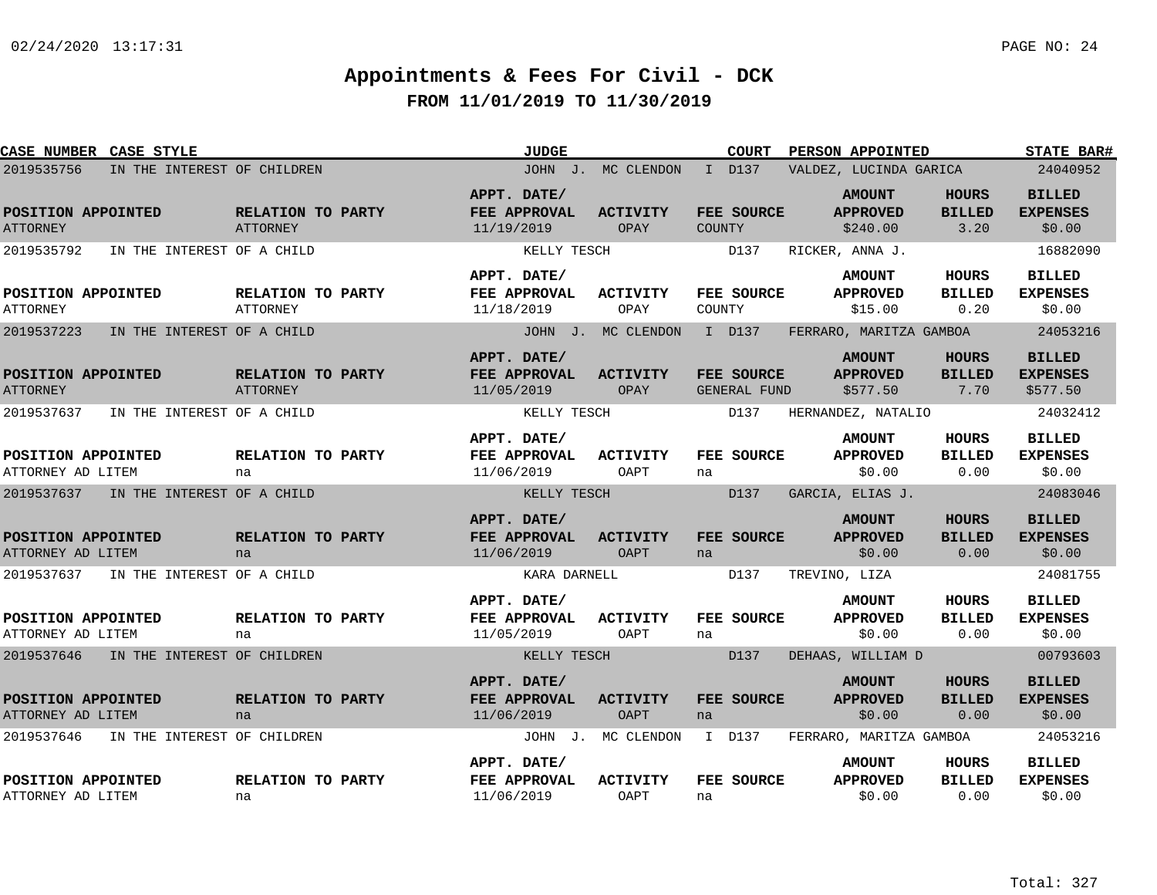| <b>CASE NUMBER CASE STYLE</b>             |                                      | <b>JUDGE</b>                                     |                                | <b>COURT</b>               | PERSON APPOINTED                             |                                       | <b>STATE BAR#</b>                            |
|-------------------------------------------|--------------------------------------|--------------------------------------------------|--------------------------------|----------------------------|----------------------------------------------|---------------------------------------|----------------------------------------------|
| 2019535756<br>IN THE INTEREST OF CHILDREN |                                      |                                                  | JOHN J. MC CLENDON             | I D137                     | VALDEZ, LUCINDA GARICA                       |                                       | 24040952                                     |
| POSITION APPOINTED<br><b>ATTORNEY</b>     | RELATION TO PARTY<br><b>ATTORNEY</b> | APPT. DATE/<br>FEE APPROVAL<br>11/19/2019        | <b>ACTIVITY</b><br>OPAY        | FEE SOURCE<br>COUNTY       | <b>AMOUNT</b><br><b>APPROVED</b><br>\$240.00 | <b>HOURS</b><br><b>BILLED</b><br>3.20 | <b>BILLED</b><br><b>EXPENSES</b><br>\$0.00   |
| 2019535792<br>IN THE INTEREST OF A CHILD  |                                      | KELLY TESCH                                      |                                | D137                       | RICKER, ANNA J.                              |                                       | 16882090                                     |
| POSITION APPOINTED<br><b>ATTORNEY</b>     | RELATION TO PARTY<br>ATTORNEY        | APPT. DATE/<br>FEE APPROVAL<br>11/18/2019        | ACTIVITY<br>OPAY               | FEE SOURCE<br>COUNTY       | <b>AMOUNT</b><br><b>APPROVED</b><br>\$15.00  | HOURS<br><b>BILLED</b><br>0.20        | <b>BILLED</b><br><b>EXPENSES</b><br>\$0.00   |
| 2019537223<br>IN THE INTEREST OF A CHILD  |                                      |                                                  | JOHN J. MC CLENDON             | I D137                     | FERRARO, MARITZA GAMBOA                      |                                       | 24053216                                     |
| POSITION APPOINTED<br><b>ATTORNEY</b>     | RELATION TO PARTY<br><b>ATTORNEY</b> | APPT. DATE/<br><b>FEE APPROVAL</b><br>11/05/2019 | <b>ACTIVITY</b><br>OPAY        | FEE SOURCE<br>GENERAL FUND | <b>AMOUNT</b><br><b>APPROVED</b><br>\$577.50 | HOURS<br><b>BILLED</b><br>7.70        | <b>BILLED</b><br><b>EXPENSES</b><br>\$577.50 |
| 2019537637<br>IN THE INTEREST OF A CHILD  |                                      | KELLY TESCH                                      |                                | D137                       | HERNANDEZ, NATALIO                           |                                       | 24032412                                     |
| POSITION APPOINTED<br>ATTORNEY AD LITEM   | RELATION TO PARTY<br>na              | APPT. DATE/<br>FEE APPROVAL<br>11/06/2019        | <b>ACTIVITY</b><br>OAPT        | FEE SOURCE<br>na           | <b>AMOUNT</b><br><b>APPROVED</b><br>\$0.00   | <b>HOURS</b><br><b>BILLED</b><br>0.00 | <b>BILLED</b><br><b>EXPENSES</b><br>\$0.00   |
| 2019537637<br>IN THE INTEREST OF A CHILD  |                                      | KELLY TESCH                                      |                                | D137                       | GARCIA, ELIAS J.                             |                                       | 24083046                                     |
| POSITION APPOINTED<br>ATTORNEY AD LITEM   | RELATION TO PARTY<br>na              | APPT. DATE/<br>FEE APPROVAL<br>11/06/2019        | <b>ACTIVITY</b><br><b>OAPT</b> | FEE SOURCE<br>na           | <b>AMOUNT</b><br><b>APPROVED</b><br>\$0.00   | <b>HOURS</b><br><b>BILLED</b><br>0.00 | <b>BILLED</b><br><b>EXPENSES</b><br>\$0.00   |
| 2019537637<br>IN THE INTEREST OF A CHILD  |                                      | KARA DARNELL                                     |                                | D137                       | TREVINO, LIZA                                |                                       | 24081755                                     |
| POSITION APPOINTED<br>ATTORNEY AD LITEM   | RELATION TO PARTY<br>na              | APPT. DATE/<br>FEE APPROVAL<br>11/05/2019        | <b>ACTIVITY</b><br>OAPT        | FEE SOURCE<br>na           | <b>AMOUNT</b><br><b>APPROVED</b><br>\$0.00   | HOURS<br><b>BILLED</b><br>0.00        | <b>BILLED</b><br><b>EXPENSES</b><br>\$0.00   |
| 2019537646<br>IN THE INTEREST OF CHILDREN |                                      | KELLY TESCH                                      |                                | D137                       | DEHAAS, WILLIAM D                            |                                       | 00793603                                     |
| POSITION APPOINTED<br>ATTORNEY AD LITEM   | RELATION TO PARTY<br>na              | APPT. DATE/<br><b>FEE APPROVAL</b><br>11/06/2019 | <b>ACTIVITY</b><br><b>OAPT</b> | FEE SOURCE<br>na           | <b>AMOUNT</b><br><b>APPROVED</b><br>\$0.00   | <b>HOURS</b><br><b>BILLED</b><br>0.00 | <b>BILLED</b><br><b>EXPENSES</b><br>\$0.00   |
| 2019537646<br>IN THE INTEREST OF CHILDREN |                                      |                                                  | JOHN J. MC CLENDON             | I D137                     | FERRARO, MARITZA GAMBOA                      |                                       | 24053216                                     |
| POSITION APPOINTED<br>ATTORNEY AD LITEM   | RELATION TO PARTY<br>na              | APPT. DATE/<br>FEE APPROVAL<br>11/06/2019        | <b>ACTIVITY</b><br><b>OAPT</b> | FEE SOURCE<br>na           | <b>AMOUNT</b><br><b>APPROVED</b><br>\$0.00   | HOURS<br><b>BILLED</b><br>0.00        | <b>BILLED</b><br><b>EXPENSES</b><br>\$0.00   |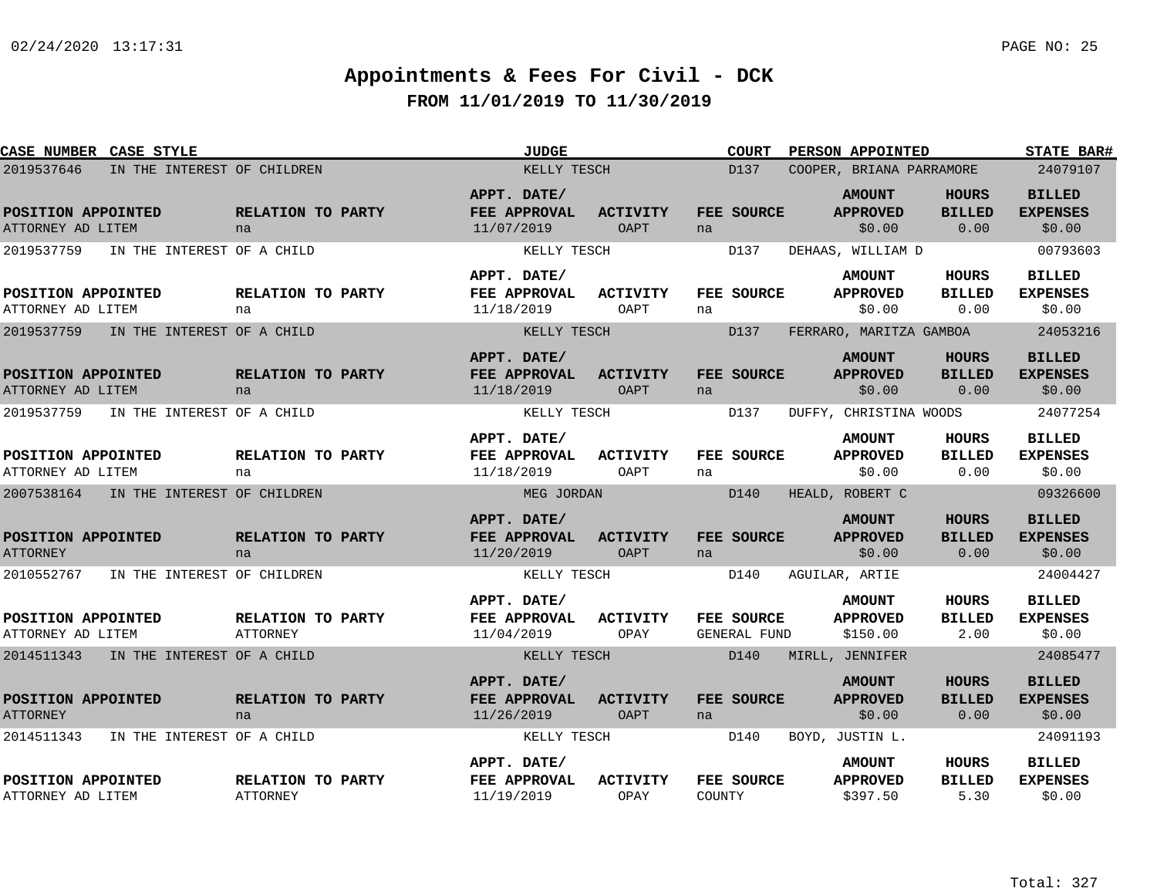| CASE NUMBER CASE STYLE                    |                                      | <b>JUDGE</b>                                     |                                | <b>COURT</b>                      | PERSON APPOINTED                             |                                       | <b>STATE BAR#</b>                          |
|-------------------------------------------|--------------------------------------|--------------------------------------------------|--------------------------------|-----------------------------------|----------------------------------------------|---------------------------------------|--------------------------------------------|
| 2019537646<br>IN THE INTEREST OF CHILDREN |                                      | KELLY TESCH                                      |                                | D137                              | COOPER, BRIANA PARRAMORE                     |                                       | 24079107                                   |
| POSITION APPOINTED<br>ATTORNEY AD LITEM   | RELATION TO PARTY<br>na              | APPT. DATE/<br>FEE APPROVAL<br>11/07/2019        | <b>ACTIVITY</b><br>OAPT        | <b>FEE SOURCE</b><br>na           | <b>AMOUNT</b><br><b>APPROVED</b><br>\$0.00   | HOURS<br><b>BILLED</b><br>0.00        | <b>BILLED</b><br><b>EXPENSES</b><br>\$0.00 |
| IN THE INTEREST OF A CHILD<br>2019537759  |                                      | KELLY TESCH                                      |                                | D137                              | DEHAAS, WILLIAM D                            |                                       | 00793603                                   |
| POSITION APPOINTED<br>ATTORNEY AD LITEM   | RELATION TO PARTY<br>na              | APPT. DATE/<br>FEE APPROVAL<br>11/18/2019        | ACTIVITY<br>OAPT               | FEE SOURCE<br>na                  | <b>AMOUNT</b><br><b>APPROVED</b><br>\$0.00   | HOURS<br><b>BILLED</b><br>0.00        | <b>BILLED</b><br><b>EXPENSES</b><br>\$0.00 |
| 2019537759<br>IN THE INTEREST OF A CHILD  |                                      | KELLY TESCH                                      |                                | D137                              | FERRARO, MARITZA GAMBOA                      |                                       | 24053216                                   |
| POSITION APPOINTED<br>ATTORNEY AD LITEM   | RELATION TO PARTY<br>na              | APPT. DATE/<br><b>FEE APPROVAL</b><br>11/18/2019 | <b>ACTIVITY</b><br><b>OAPT</b> | <b>FEE SOURCE</b><br>na           | <b>AMOUNT</b><br><b>APPROVED</b><br>\$0.00   | <b>HOURS</b><br><b>BILLED</b><br>0.00 | <b>BILLED</b><br><b>EXPENSES</b><br>\$0.00 |
| 2019537759<br>IN THE INTEREST OF A CHILD  |                                      | KELLY TESCH                                      |                                | D137                              | DUFFY, CHRISTINA WOODS                       |                                       | 24077254                                   |
| POSITION APPOINTED<br>ATTORNEY AD LITEM   | RELATION TO PARTY<br>na              | APPT. DATE/<br>FEE APPROVAL<br>11/18/2019        | <b>ACTIVITY</b><br>OAPT        | FEE SOURCE<br>na                  | <b>AMOUNT</b><br><b>APPROVED</b><br>\$0.00   | <b>HOURS</b><br><b>BILLED</b><br>0.00 | <b>BILLED</b><br><b>EXPENSES</b><br>\$0.00 |
| 2007538164<br>IN THE INTEREST OF CHILDREN |                                      | MEG JORDAN                                       |                                | D140                              | HEALD, ROBERT C                              |                                       | 09326600                                   |
| POSITION APPOINTED<br><b>ATTORNEY</b>     | RELATION TO PARTY<br>na              | APPT. DATE/<br><b>FEE APPROVAL</b><br>11/20/2019 | <b>ACTIVITY</b><br><b>OAPT</b> | FEE SOURCE<br>na                  | <b>AMOUNT</b><br><b>APPROVED</b><br>\$0.00   | <b>HOURS</b><br><b>BILLED</b><br>0.00 | <b>BILLED</b><br><b>EXPENSES</b><br>\$0.00 |
| 2010552767<br>IN THE INTEREST OF CHILDREN |                                      | KELLY TESCH                                      |                                | D140                              | AGUILAR, ARTIE                               |                                       | 24004427                                   |
| POSITION APPOINTED<br>ATTORNEY AD LITEM   | RELATION TO PARTY<br>ATTORNEY        | APPT. DATE/<br><b>FEE APPROVAL</b><br>11/04/2019 | <b>ACTIVITY</b><br>OPAY        | FEE SOURCE<br><b>GENERAL FUND</b> | <b>AMOUNT</b><br><b>APPROVED</b><br>\$150.00 | <b>HOURS</b><br><b>BILLED</b><br>2.00 | <b>BILLED</b><br><b>EXPENSES</b><br>\$0.00 |
| IN THE INTEREST OF A CHILD<br>2014511343  |                                      | KELLY TESCH                                      |                                | D140                              | MIRLL, JENNIFER                              |                                       | 24085477                                   |
| POSITION APPOINTED<br><b>ATTORNEY</b>     | RELATION TO PARTY<br>na              | APPT. DATE/<br><b>FEE APPROVAL</b><br>11/26/2019 | <b>ACTIVITY</b><br>OAPT        | <b>FEE SOURCE</b><br>na           | <b>AMOUNT</b><br><b>APPROVED</b><br>\$0.00   | <b>HOURS</b><br><b>BILLED</b><br>0.00 | <b>BILLED</b><br><b>EXPENSES</b><br>\$0.00 |
| 2014511343<br>IN THE INTEREST OF A CHILD  |                                      | KELLY TESCH                                      |                                | D140                              | BOYD, JUSTIN L.                              |                                       | 24091193                                   |
| POSITION APPOINTED<br>ATTORNEY AD LITEM   | RELATION TO PARTY<br><b>ATTORNEY</b> | APPT. DATE/<br>FEE APPROVAL<br>11/19/2019        | <b>ACTIVITY</b><br>OPAY        | FEE SOURCE<br>COUNTY              | <b>AMOUNT</b><br><b>APPROVED</b><br>\$397.50 | <b>HOURS</b><br><b>BILLED</b><br>5.30 | <b>BILLED</b><br><b>EXPENSES</b><br>\$0.00 |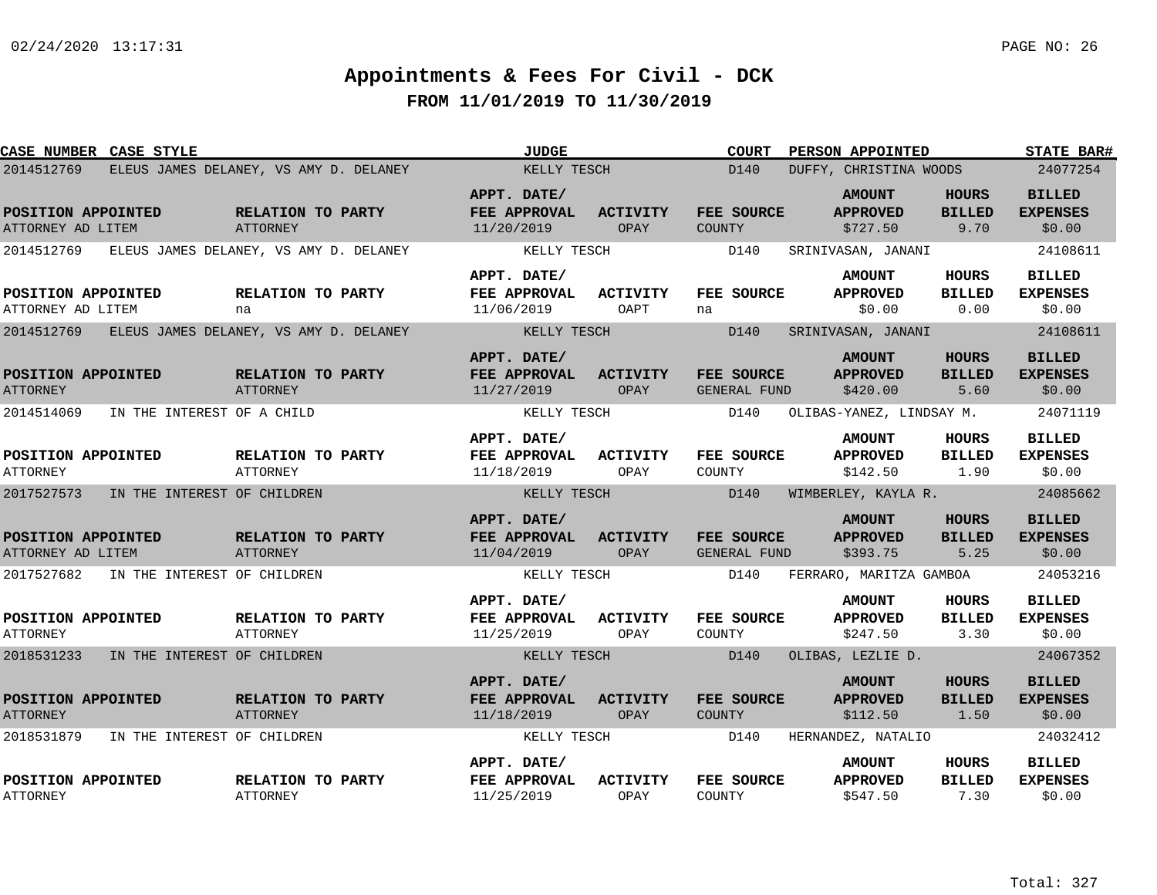| CASE NUMBER CASE STYLE                            |                                        | <b>JUDGE</b>                                     |                         | <b>COURT</b>                     | PERSON APPOINTED                             |                                       | <b>STATE BAR#</b>                          |
|---------------------------------------------------|----------------------------------------|--------------------------------------------------|-------------------------|----------------------------------|----------------------------------------------|---------------------------------------|--------------------------------------------|
| 2014512769                                        | ELEUS JAMES DELANEY, VS AMY D. DELANEY | KELLY TESCH                                      |                         | D <sub>140</sub>                 | DUFFY, CHRISTINA WOODS                       |                                       | 24077254                                   |
| POSITION APPOINTED<br>ATTORNEY AD LITEM           | RELATION TO PARTY<br>ATTORNEY          | APPT. DATE/<br>FEE APPROVAL<br>11/20/2019        | ACTIVITY<br>OPAY        | FEE SOURCE<br>COUNTY             | <b>AMOUNT</b><br><b>APPROVED</b><br>\$727.50 | <b>HOURS</b><br><b>BILLED</b><br>9.70 | <b>BILLED</b><br><b>EXPENSES</b><br>\$0.00 |
| 2014512769 ELEUS JAMES DELANEY, VS AMY D. DELANEY |                                        | KELLY TESCH                                      |                         | D140                             | SRINIVASAN, JANANI                           |                                       | 24108611                                   |
| POSITION APPOINTED<br>ATTORNEY AD LITEM           | RELATION TO PARTY<br>na                | APPT. DATE/<br>FEE APPROVAL<br>11/06/2019        | ACTIVITY<br>OAPT        | FEE SOURCE<br>na                 | <b>AMOUNT</b><br><b>APPROVED</b><br>\$0.00   | <b>HOURS</b><br><b>BILLED</b><br>0.00 | <b>BILLED</b><br><b>EXPENSES</b><br>\$0.00 |
| 2014512769                                        | ELEUS JAMES DELANEY, VS AMY D. DELANEY | KELLY TESCH                                      |                         | D140                             | SRINIVASAN, JANANI                           |                                       | 24108611                                   |
| POSITION APPOINTED<br><b>ATTORNEY</b>             | RELATION TO PARTY<br><b>ATTORNEY</b>   | APPT. DATE/<br>FEE APPROVAL<br>11/27/2019        | <b>ACTIVITY</b><br>OPAY | FEE SOURCE<br>GENERAL FUND       | <b>AMOUNT</b><br><b>APPROVED</b><br>\$420.00 | <b>HOURS</b><br><b>BILLED</b><br>5.60 | <b>BILLED</b><br><b>EXPENSES</b><br>\$0.00 |
| 2014514069<br>IN THE INTEREST OF A CHILD          |                                        | KELLY TESCH                                      |                         | D140<br>OLIBAS-YANEZ, LINDSAY M. |                                              |                                       | 24071119                                   |
| POSITION APPOINTED<br><b>ATTORNEY</b>             | RELATION TO PARTY<br><b>ATTORNEY</b>   | APPT. DATE/<br><b>FEE APPROVAL</b><br>11/18/2019 | ACTIVITY<br>OPAY        | FEE SOURCE<br>COUNTY             | <b>AMOUNT</b><br><b>APPROVED</b><br>\$142.50 | HOURS<br><b>BILLED</b><br>1.90        | <b>BILLED</b><br><b>EXPENSES</b><br>\$0.00 |
| 2017527573 IN THE INTEREST OF CHILDREN            |                                        | KELLY TESCH                                      |                         | D140                             | WIMBERLEY, KAYLA R.                          |                                       | 24085662                                   |
| POSITION APPOINTED<br>ATTORNEY AD LITEM           | RELATION TO PARTY<br><b>ATTORNEY</b>   | APPT. DATE/<br>FEE APPROVAL<br>11/04/2019        | <b>ACTIVITY</b><br>OPAY | FEE SOURCE<br>GENERAL FUND       | <b>AMOUNT</b><br><b>APPROVED</b><br>\$393.75 | <b>HOURS</b><br><b>BILLED</b><br>5.25 | <b>BILLED</b><br><b>EXPENSES</b><br>\$0.00 |
| 2017527682 IN THE INTEREST OF CHILDREN            |                                        | KELLY TESCH                                      |                         | D140                             | FERRARO, MARITZA GAMBOA                      |                                       | 24053216                                   |
| POSITION APPOINTED<br><b>ATTORNEY</b>             | RELATION TO PARTY<br>ATTORNEY          | APPT. DATE/<br><b>FEE APPROVAL</b><br>11/25/2019 | <b>ACTIVITY</b><br>OPAY | FEE SOURCE<br>COUNTY             | <b>AMOUNT</b><br><b>APPROVED</b><br>\$247.50 | HOURS<br>BILLED<br>3.30               | <b>BILLED</b><br><b>EXPENSES</b><br>\$0.00 |
| 2018531233 IN THE INTEREST OF CHILDREN            |                                        | KELLY TESCH                                      |                         | D140                             | OLIBAS, LEZLIE D.                            |                                       | 24067352                                   |
| POSITION APPOINTED<br><b>ATTORNEY</b>             | RELATION TO PARTY<br>ATTORNEY          | APPT. DATE/<br>FEE APPROVAL<br>11/18/2019        | <b>ACTIVITY</b><br>OPAY | FEE SOURCE<br>COUNTY             | <b>AMOUNT</b><br><b>APPROVED</b><br>\$112.50 | <b>HOURS</b><br><b>BILLED</b><br>1.50 | <b>BILLED</b><br><b>EXPENSES</b><br>\$0.00 |
| 2018531879<br>IN THE INTEREST OF CHILDREN         |                                        | KELLY TESCH                                      |                         | D140                             | HERNANDEZ, NATALIO                           |                                       | 24032412                                   |
| POSITION APPOINTED<br><b>ATTORNEY</b>             | RELATION TO PARTY<br>ATTORNEY          | APPT. DATE/<br>FEE APPROVAL<br>11/25/2019        | <b>ACTIVITY</b><br>OPAY | FEE SOURCE<br>COUNTY             | <b>AMOUNT</b><br><b>APPROVED</b><br>\$547.50 | HOURS<br><b>BILLED</b><br>7.30        | <b>BILLED</b><br><b>EXPENSES</b><br>\$0.00 |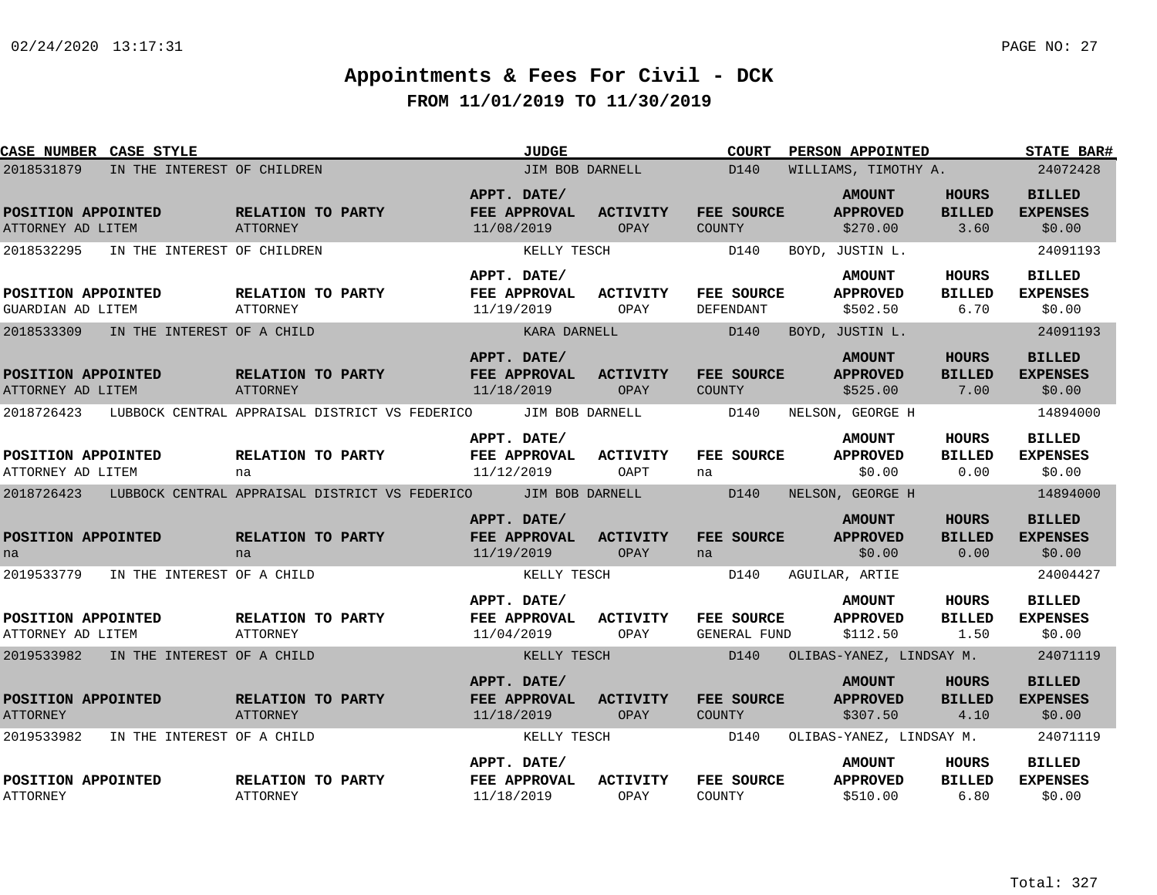| <b>CASE NUMBER CASE STYLE</b>           |                             |                                      |                                                                           |                             | <b>JUDGE</b>    |                         |               | <b>COURT</b>        | PERSON APPOINTED                 |                               | STATE BAR#                       |
|-----------------------------------------|-----------------------------|--------------------------------------|---------------------------------------------------------------------------|-----------------------------|-----------------|-------------------------|---------------|---------------------|----------------------------------|-------------------------------|----------------------------------|
| 2018531879                              | IN THE INTEREST OF CHILDREN |                                      |                                                                           |                             | JIM BOB DARNELL |                         |               | D140                | WILLIAMS, TIMOTHY A.             |                               | 24072428                         |
| POSITION APPOINTED                      |                             | RELATION TO PARTY                    |                                                                           | APPT. DATE/<br>FEE APPROVAL |                 | <b>ACTIVITY</b>         |               | FEE SOURCE          | <b>AMOUNT</b><br><b>APPROVED</b> | <b>HOURS</b><br><b>BILLED</b> | <b>BILLED</b><br><b>EXPENSES</b> |
| ATTORNEY AD LITEM                       |                             | ATTORNEY                             |                                                                           | 11/08/2019                  |                 | OPAY                    | <b>COUNTY</b> |                     | \$270.00                         | 3.60                          | \$0.00                           |
| 2018532295                              | IN THE INTEREST OF CHILDREN |                                      |                                                                           |                             | KELLY TESCH     |                         |               | D140                | BOYD, JUSTIN L.                  |                               | 24091193                         |
|                                         |                             |                                      |                                                                           | APPT. DATE/                 |                 |                         |               |                     | <b>AMOUNT</b>                    | HOURS                         | <b>BILLED</b>                    |
| POSITION APPOINTED                      |                             | RELATION TO PARTY                    |                                                                           | FEE APPROVAL                |                 | <b>ACTIVITY</b>         |               | FEE SOURCE          | <b>APPROVED</b>                  | <b>BILLED</b>                 | <b>EXPENSES</b>                  |
| GUARDIAN AD LITEM                       |                             | ATTORNEY                             |                                                                           | 11/19/2019                  |                 | OPAY                    | DEFENDANT     |                     | \$502.50                         | 6.70                          | \$0.00                           |
| 2018533309                              | IN THE INTEREST OF A CHILD  |                                      |                                                                           |                             | KARA DARNELL    |                         |               | D140                | BOYD, JUSTIN L.                  |                               | 24091193                         |
|                                         |                             |                                      |                                                                           | APPT. DATE/                 |                 |                         |               |                     | <b>AMOUNT</b>                    | <b>HOURS</b>                  | <b>BILLED</b>                    |
| POSITION APPOINTED<br>ATTORNEY AD LITEM |                             | RELATION TO PARTY<br><b>ATTORNEY</b> |                                                                           | FEE APPROVAL<br>11/18/2019  |                 | <b>ACTIVITY</b><br>OPAY | <b>COUNTY</b> | FEE SOURCE          | <b>APPROVED</b><br>\$525.00      | <b>BILLED</b><br>7.00         | <b>EXPENSES</b><br>\$0.00        |
|                                         |                             |                                      | 2018726423 LUBBOCK CENTRAL APPRAISAL DISTRICT VS FEDERICO                 |                             | JIM BOB DARNELL |                         |               | D140                | NELSON, GEORGE H                 |                               | 14894000                         |
|                                         |                             |                                      |                                                                           | APPT. DATE/                 |                 |                         |               |                     | <b>AMOUNT</b>                    | <b>HOURS</b>                  | <b>BILLED</b>                    |
| POSITION APPOINTED                      |                             | <b>RELATION TO PARTY</b>             |                                                                           | FEE APPROVAL                |                 | <b>ACTIVITY</b>         |               | FEE SOURCE          | <b>APPROVED</b>                  | <b>BILLED</b>                 | <b>EXPENSES</b>                  |
| ATTORNEY AD LITEM                       |                             | na                                   |                                                                           | 11/12/2019                  |                 | OAPT                    | na            |                     | \$0.00                           | 0.00                          | \$0.00                           |
|                                         |                             |                                      | 2018726423 LUBBOCK CENTRAL APPRAISAL DISTRICT VS FEDERICO JIM BOB DARNELL |                             |                 |                         |               | D140                | NELSON, GEORGE H                 |                               | 14894000                         |
|                                         |                             |                                      |                                                                           | APPT. DATE/                 |                 |                         |               |                     | <b>AMOUNT</b>                    | <b>HOURS</b>                  | <b>BILLED</b>                    |
| POSITION APPOINTED                      |                             | RELATION TO PARTY                    |                                                                           | FEE APPROVAL                |                 | <b>ACTIVITY</b>         |               | FEE SOURCE          | <b>APPROVED</b>                  | <b>BILLED</b>                 | <b>EXPENSES</b>                  |
| na                                      |                             | na                                   |                                                                           | 11/19/2019                  |                 | OPAY                    | na            |                     | \$0.00                           | 0.00                          | \$0.00                           |
| 2019533779                              | IN THE INTEREST OF A CHILD  |                                      |                                                                           |                             | KELLY TESCH     |                         |               | D140                | AGUILAR, ARTIE                   |                               | 24004427                         |
|                                         |                             |                                      |                                                                           | APPT. DATE/                 |                 |                         |               |                     | <b>AMOUNT</b>                    | HOURS                         | BILLED                           |
| POSITION APPOINTED                      |                             | <b>RELATION TO PARTY</b>             |                                                                           | FEE APPROVAL                |                 | <b>ACTIVITY</b>         |               | FEE SOURCE          | <b>APPROVED</b>                  | <b>BILLED</b>                 | <b>EXPENSES</b>                  |
| ATTORNEY AD LITEM                       |                             | ATTORNEY                             |                                                                           | 11/04/2019                  |                 | OPAY                    |               | <b>GENERAL FUND</b> | \$112.50                         | 1.50                          | \$0.00                           |
| 2019533982 IN THE INTEREST OF A CHILD   |                             |                                      |                                                                           |                             | KELLY TESCH     |                         |               | D140                | OLIBAS-YANEZ, LINDSAY M.         |                               | 24071119                         |
|                                         |                             |                                      |                                                                           | APPT. DATE/                 |                 |                         |               |                     | <b>AMOUNT</b>                    | HOURS                         | <b>BILLED</b>                    |
| POSITION APPOINTED                      |                             | RELATION TO PARTY                    |                                                                           | FEE APPROVAL                |                 | <b>ACTIVITY</b>         |               | FEE SOURCE          | <b>APPROVED</b>                  | <b>BILLED</b>                 | <b>EXPENSES</b>                  |
| <b>ATTORNEY</b>                         |                             | ATTORNEY                             |                                                                           | 11/18/2019                  |                 | OPAY                    | COUNTY        |                     | \$307.50                         | 4.10                          | \$0.00                           |
| 2019533982                              | IN THE INTEREST OF A CHILD  |                                      |                                                                           |                             | KELLY TESCH     |                         |               | D140                | OLIBAS-YANEZ, LINDSAY M.         |                               | 24071119                         |
|                                         |                             |                                      |                                                                           | APPT. DATE/                 |                 |                         |               |                     | <b>AMOUNT</b>                    | HOURS                         | <b>BILLED</b>                    |
| POSITION APPOINTED<br><b>ATTORNEY</b>   |                             | RELATION TO PARTY<br><b>ATTORNEY</b> |                                                                           | FEE APPROVAL<br>11/18/2019  |                 | <b>ACTIVITY</b><br>OPAY | COUNTY        | FEE SOURCE          | <b>APPROVED</b><br>\$510.00      | <b>BILLED</b><br>6.80         | <b>EXPENSES</b><br>\$0.00        |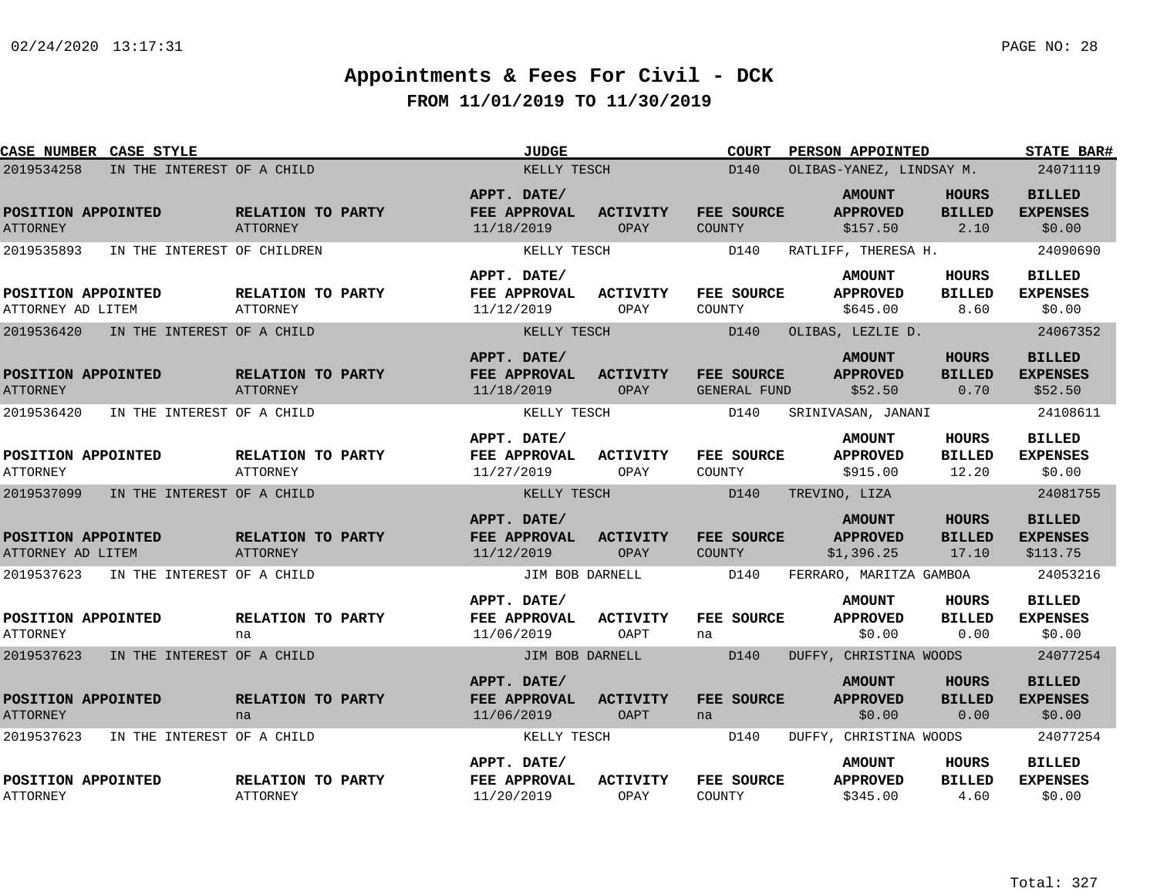| <b>CASE NUMBER CASE STYLE</b>             |                                      | <b>JUDGE</b>                                     |                         | <b>COURT</b>                | <b>PERSON APPOINTED</b>                        |                                        | <b>STATE BAR#</b>                            |
|-------------------------------------------|--------------------------------------|--------------------------------------------------|-------------------------|-----------------------------|------------------------------------------------|----------------------------------------|----------------------------------------------|
| 2019534258<br>IN THE INTEREST OF A CHILD  |                                      | KELLY TESCH                                      |                         | D140                        | OLIBAS-YANEZ, LINDSAY M.                       |                                        | 24071119                                     |
| POSITION APPOINTED<br><b>ATTORNEY</b>     | RELATION TO PARTY<br><b>ATTORNEY</b> | APPT. DATE/<br>FEE APPROVAL<br>11/18/2019        | <b>ACTIVITY</b><br>OPAY | FEE SOURCE<br>COUNTY        | <b>AMOUNT</b><br><b>APPROVED</b><br>\$157.50   | HOURS<br><b>BILLED</b><br>2.10         | <b>BILLED</b><br><b>EXPENSES</b><br>\$0.00   |
| 2019535893<br>IN THE INTEREST OF CHILDREN |                                      | KELLY TESCH                                      |                         | D140                        | RATLIFF, THERESA H.                            |                                        | 24090690                                     |
| POSITION APPOINTED<br>ATTORNEY AD LITEM   | RELATION TO PARTY<br><b>ATTORNEY</b> | APPT. DATE/<br>FEE APPROVAL<br>11/12/2019        | <b>ACTIVITY</b><br>OPAY | FEE SOURCE<br>COUNTY        | <b>AMOUNT</b><br><b>APPROVED</b><br>\$645.00   | <b>HOURS</b><br><b>BILLED</b><br>8.60  | <b>BILLED</b><br><b>EXPENSES</b><br>\$0.00   |
| 2019536420<br>IN THE INTEREST OF A CHILD  |                                      | KELLY TESCH                                      |                         | D140                        | OLIBAS, LEZLIE D.                              |                                        | 24067352                                     |
| POSITION APPOINTED<br><b>ATTORNEY</b>     | RELATION TO PARTY<br><b>ATTORNEY</b> | APPT. DATE/<br>FEE APPROVAL<br>11/18/2019        | <b>ACTIVITY</b><br>OPAY | FEE SOURCE<br>GENERAL FUND  | <b>AMOUNT</b><br><b>APPROVED</b><br>\$52.50    | <b>HOURS</b><br><b>BILLED</b><br>0.70  | <b>BILLED</b><br><b>EXPENSES</b><br>\$52.50  |
| 2019536420<br>IN THE INTEREST OF A CHILD  |                                      | KELLY TESCH                                      |                         | D140                        | SRINIVASAN, JANANI                             |                                        | 24108611                                     |
| POSITION APPOINTED<br><b>ATTORNEY</b>     | RELATION TO PARTY<br><b>ATTORNEY</b> | APPT. DATE/<br>FEE APPROVAL<br>11/27/2019        | <b>ACTIVITY</b><br>OPAY | FEE SOURCE<br>COUNTY        | <b>AMOUNT</b><br><b>APPROVED</b><br>\$915.00   | <b>HOURS</b><br><b>BILLED</b><br>12.20 | <b>BILLED</b><br><b>EXPENSES</b><br>\$0.00   |
| 2019537099<br>IN THE INTEREST OF A CHILD  |                                      | KELLY TESCH                                      |                         | D140                        | TREVINO, LIZA                                  |                                        | 24081755                                     |
| POSITION APPOINTED<br>ATTORNEY AD LITEM   | RELATION TO PARTY<br><b>ATTORNEY</b> | APPT. DATE/<br>FEE APPROVAL<br>11/12/2019        | <b>ACTIVITY</b><br>OPAY | FEE SOURCE<br><b>COUNTY</b> | <b>AMOUNT</b><br><b>APPROVED</b><br>\$1,396.25 | <b>HOURS</b><br><b>BILLED</b><br>17.10 | <b>BILLED</b><br><b>EXPENSES</b><br>\$113.75 |
| 2019537623<br>IN THE INTEREST OF A CHILD  |                                      | JIM BOB DARNELL                                  |                         | D140                        | FERRARO, MARITZA GAMBOA                        |                                        | 24053216                                     |
| POSITION APPOINTED<br><b>ATTORNEY</b>     | RELATION TO PARTY<br>na              | APPT. DATE/<br>FEE APPROVAL<br>11/06/2019        | <b>ACTIVITY</b><br>OAPT | FEE SOURCE<br>na            | <b>AMOUNT</b><br><b>APPROVED</b><br>\$0.00     | HOURS<br><b>BILLED</b><br>0.00         | <b>BILLED</b><br><b>EXPENSES</b><br>\$0.00   |
| 2019537623<br>IN THE INTEREST OF A CHILD  |                                      | JIM BOB DARNELL                                  |                         | D140                        | DUFFY, CHRISTINA WOODS                         |                                        | 24077254                                     |
| POSITION APPOINTED<br><b>ATTORNEY</b>     | RELATION TO PARTY<br>na              | APPT. DATE/<br><b>FEE APPROVAL</b><br>11/06/2019 | <b>ACTIVITY</b><br>OAPT | FEE SOURCE<br>na            | <b>AMOUNT</b><br><b>APPROVED</b><br>\$0.00     | <b>HOURS</b><br><b>BILLED</b><br>0.00  | <b>BILLED</b><br><b>EXPENSES</b><br>\$0.00   |
| 2019537623<br>IN THE INTEREST OF A CHILD  |                                      | KELLY TESCH                                      |                         | D140                        | DUFFY, CHRISTINA WOODS                         |                                        | 24077254                                     |
| POSITION APPOINTED<br><b>ATTORNEY</b>     | RELATION TO PARTY<br><b>ATTORNEY</b> | APPT. DATE/<br>FEE APPROVAL<br>11/20/2019        | <b>ACTIVITY</b><br>OPAY | FEE SOURCE<br>COUNTY        | <b>AMOUNT</b><br><b>APPROVED</b><br>\$345.00   | HOURS<br><b>BILLED</b><br>4.60         | <b>BILLED</b><br><b>EXPENSES</b><br>\$0.00   |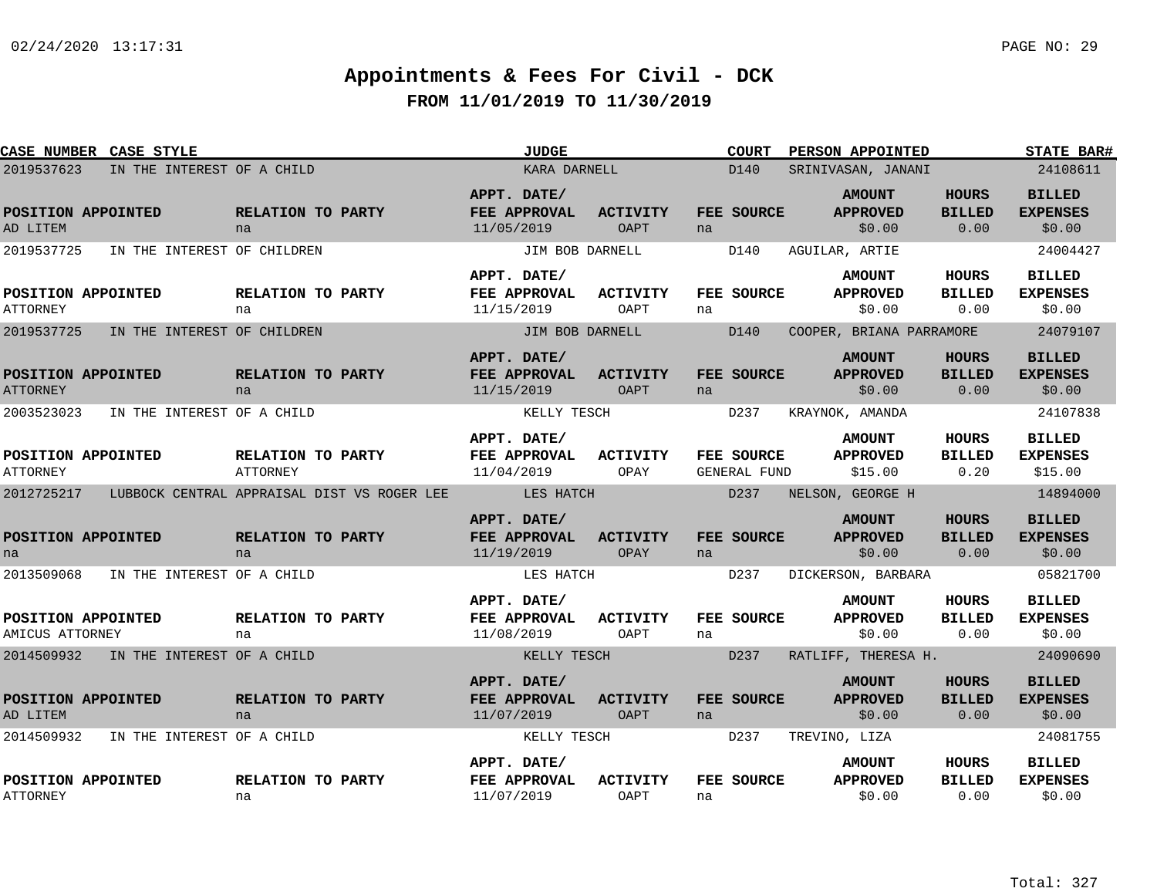| <b>CASE NUMBER CASE STYLE</b>         |                                       |                                             | <b>JUDGE</b>                              |                                | <b>COURT</b>               | PERSON APPOINTED                            |                                       | STATE BAR#                                  |  |
|---------------------------------------|---------------------------------------|---------------------------------------------|-------------------------------------------|--------------------------------|----------------------------|---------------------------------------------|---------------------------------------|---------------------------------------------|--|
| 2019537623                            | IN THE INTEREST OF A CHILD            |                                             | KARA DARNELL                              |                                | D140                       | SRINIVASAN, JANANI                          |                                       |                                             |  |
| POSITION APPOINTED<br>AD LITEM        |                                       | RELATION TO PARTY<br>na                     | APPT. DATE/<br>FEE APPROVAL<br>11/05/2019 | <b>ACTIVITY</b><br>OAPT        | FEE SOURCE<br>na           | <b>AMOUNT</b><br><b>APPROVED</b><br>\$0.00  | <b>HOURS</b><br><b>BILLED</b><br>0.00 | <b>BILLED</b><br><b>EXPENSES</b><br>\$0.00  |  |
| 2019537725                            | IN THE INTEREST OF CHILDREN           |                                             | JIM BOB DARNELL                           |                                | D140                       | AGUILAR, ARTIE                              |                                       | 24004427                                    |  |
| POSITION APPOINTED<br><b>ATTORNEY</b> |                                       | RELATION TO PARTY<br>na                     | APPT. DATE/<br>FEE APPROVAL<br>11/15/2019 | ACTIVITY<br>OAPT               | FEE SOURCE<br>na           | <b>AMOUNT</b><br><b>APPROVED</b><br>\$0.00  | HOURS<br><b>BILLED</b><br>0.00        | <b>BILLED</b><br><b>EXPENSES</b><br>\$0.00  |  |
| 2019537725                            | IN THE INTEREST OF CHILDREN           |                                             | JIM BOB DARNELL                           |                                | D140                       | COOPER, BRIANA PARRAMORE                    |                                       | 24079107                                    |  |
| POSITION APPOINTED<br><b>ATTORNEY</b> |                                       | RELATION TO PARTY<br>na                     | APPT. DATE/<br>FEE APPROVAL<br>11/15/2019 | <b>ACTIVITY</b><br>OAPT        | FEE SOURCE<br>na           | <b>AMOUNT</b><br><b>APPROVED</b><br>\$0.00  | HOURS<br><b>BILLED</b><br>0.00        | <b>BILLED</b><br><b>EXPENSES</b><br>\$0.00  |  |
| 2003523023                            | IN THE INTEREST OF A CHILD            |                                             | KELLY TESCH                               |                                | D237                       | KRAYNOK, AMANDA                             |                                       | 24107838                                    |  |
| POSITION APPOINTED<br><b>ATTORNEY</b> |                                       | RELATION TO PARTY<br><b>ATTORNEY</b>        | APPT. DATE/<br>FEE APPROVAL<br>11/04/2019 | <b>ACTIVITY</b><br>OPAY        | FEE SOURCE<br>GENERAL FUND | <b>AMOUNT</b><br><b>APPROVED</b><br>\$15.00 | <b>HOURS</b><br><b>BILLED</b><br>0.20 | <b>BILLED</b><br><b>EXPENSES</b><br>\$15.00 |  |
| 2012725217                            |                                       | LUBBOCK CENTRAL APPRAISAL DIST VS ROGER LEE | <b>EXAMPLE STATES HATCH</b>               |                                | D237                       | NELSON, GEORGE H                            |                                       | 14894000                                    |  |
| POSITION APPOINTED<br>na              |                                       | RELATION TO PARTY<br>na                     | APPT. DATE/<br>FEE APPROVAL<br>11/19/2019 | <b>ACTIVITY</b><br>OPAY        | FEE SOURCE<br>na           | <b>AMOUNT</b><br><b>APPROVED</b><br>\$0.00  | <b>HOURS</b><br><b>BILLED</b><br>0.00 | <b>BILLED</b><br><b>EXPENSES</b><br>\$0.00  |  |
| 2013509068                            | IN THE INTEREST OF A CHILD            |                                             | LES HATCH                                 |                                | D237                       | DICKERSON, BARBARA                          |                                       | 05821700                                    |  |
| POSITION APPOINTED<br>AMICUS ATTORNEY |                                       | RELATION TO PARTY<br>na                     | APPT. DATE/<br>FEE APPROVAL<br>11/08/2019 | <b>ACTIVITY</b><br>OAPT        | FEE SOURCE<br>na           | <b>AMOUNT</b><br><b>APPROVED</b><br>\$0.00  | HOURS<br><b>BILLED</b><br>0.00        | <b>BILLED</b><br><b>EXPENSES</b><br>\$0.00  |  |
|                                       | 2014509932 IN THE INTEREST OF A CHILD |                                             | KELLY TESCH                               |                                | D237                       | RATLIFF, THERESA H.                         |                                       | 24090690                                    |  |
| POSITION APPOINTED<br>AD LITEM        |                                       | RELATION TO PARTY<br>na                     | APPT. DATE/<br>FEE APPROVAL<br>11/07/2019 | <b>ACTIVITY</b><br><b>OAPT</b> | FEE SOURCE<br>na           | <b>AMOUNT</b><br><b>APPROVED</b><br>\$0.00  | HOURS<br><b>BILLED</b><br>0.00        | <b>BILLED</b><br><b>EXPENSES</b><br>\$0.00  |  |
| 2014509932                            | IN THE INTEREST OF A CHILD            |                                             | KELLY TESCH                               |                                | D237                       | TREVINO, LIZA                               |                                       | 24081755                                    |  |
| POSITION APPOINTED<br><b>ATTORNEY</b> |                                       | RELATION TO PARTY<br>na                     | APPT. DATE/<br>FEE APPROVAL<br>11/07/2019 | <b>ACTIVITY</b><br>OAPT        | FEE SOURCE<br>na           | <b>AMOUNT</b><br><b>APPROVED</b><br>\$0.00  | HOURS<br><b>BILLED</b><br>0.00        | <b>BILLED</b><br><b>EXPENSES</b><br>\$0.00  |  |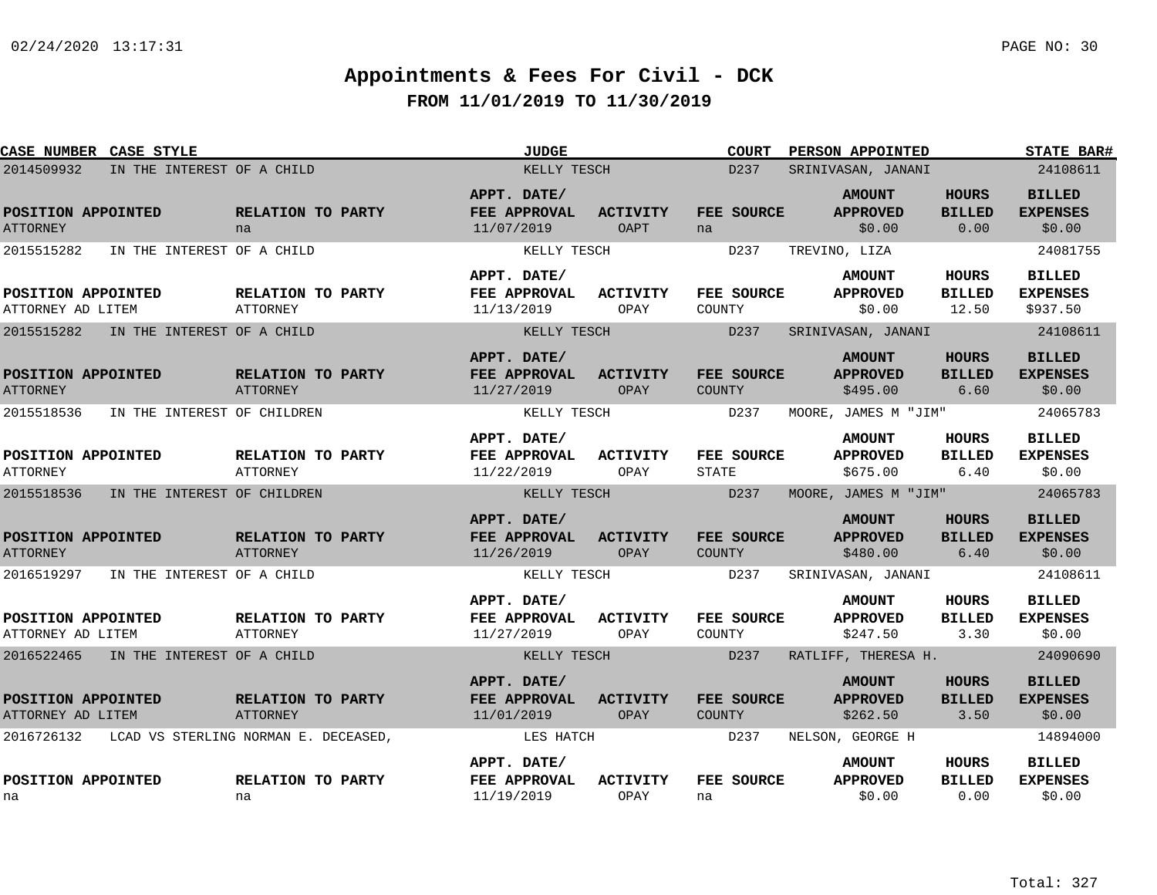| CASE NUMBER CASE STYLE                  |                                      | <b>JUDGE</b>                              |                                | <b>COURT</b>                | PERSON APPOINTED                             |                                       | <b>STATE BAR#</b>                            |
|-----------------------------------------|--------------------------------------|-------------------------------------------|--------------------------------|-----------------------------|----------------------------------------------|---------------------------------------|----------------------------------------------|
| 2014509932                              | IN THE INTEREST OF A CHILD           | KELLY TESCH                               |                                | D237                        | SRINIVASAN, JANANI                           |                                       | 24108611                                     |
| POSITION APPOINTED<br><b>ATTORNEY</b>   | RELATION TO PARTY<br>na              | APPT. DATE/<br>FEE APPROVAL<br>11/07/2019 | <b>ACTIVITY</b><br><b>OAPT</b> | FEE SOURCE<br>na            | <b>AMOUNT</b><br><b>APPROVED</b><br>\$0.00   | <b>HOURS</b><br><b>BILLED</b><br>0.00 | <b>BILLED</b><br><b>EXPENSES</b><br>\$0.00   |
| 2015515282                              | IN THE INTEREST OF A CHILD           | KELLY TESCH                               |                                | D237                        | TREVINO, LIZA                                |                                       | 24081755                                     |
| POSITION APPOINTED<br>ATTORNEY AD LITEM | RELATION TO PARTY<br><b>ATTORNEY</b> | APPT. DATE/<br>FEE APPROVAL<br>11/13/2019 | ACTIVITY<br>OPAY               | FEE SOURCE<br>COUNTY        | <b>AMOUNT</b><br><b>APPROVED</b><br>\$0.00   | HOURS<br><b>BILLED</b><br>12.50       | <b>BILLED</b><br><b>EXPENSES</b><br>\$937.50 |
| 2015515282                              | IN THE INTEREST OF A CHILD           | KELLY TESCH                               |                                | D237                        | SRINIVASAN, JANANI                           |                                       | 24108611                                     |
| POSITION APPOINTED<br><b>ATTORNEY</b>   | RELATION TO PARTY<br>ATTORNEY        | APPT. DATE/<br>FEE APPROVAL<br>11/27/2019 | <b>ACTIVITY</b><br>OPAY        | FEE SOURCE<br><b>COUNTY</b> | <b>AMOUNT</b><br><b>APPROVED</b><br>\$495.00 | <b>HOURS</b><br><b>BILLED</b><br>6.60 | <b>BILLED</b><br><b>EXPENSES</b><br>\$0.00   |
| 2015518536                              | IN THE INTEREST OF CHILDREN          | KELLY TESCH                               |                                | D237                        | MOORE, JAMES M "JIM"                         |                                       | 24065783                                     |
| POSITION APPOINTED<br><b>ATTORNEY</b>   | RELATION TO PARTY<br><b>ATTORNEY</b> | APPT. DATE/<br>FEE APPROVAL<br>11/22/2019 | <b>ACTIVITY</b><br>OPAY        | FEE SOURCE<br><b>STATE</b>  | <b>AMOUNT</b><br><b>APPROVED</b><br>\$675.00 | <b>HOURS</b><br><b>BILLED</b><br>6.40 | <b>BILLED</b><br><b>EXPENSES</b><br>\$0.00   |
| 2015518536                              | IN THE INTEREST OF CHILDREN          | KELLY TESCH                               |                                | D <sub>237</sub>            | MOORE, JAMES M "JIM"                         |                                       | 24065783                                     |
| POSITION APPOINTED<br><b>ATTORNEY</b>   | RELATION TO PARTY<br><b>ATTORNEY</b> | APPT. DATE/<br>FEE APPROVAL<br>11/26/2019 | <b>ACTIVITY</b><br>OPAY        | FEE SOURCE<br>COUNTY        | <b>AMOUNT</b><br><b>APPROVED</b><br>\$480.00 | <b>HOURS</b><br><b>BILLED</b><br>6.40 | <b>BILLED</b><br><b>EXPENSES</b><br>\$0.00   |
| 2016519297                              | IN THE INTEREST OF A CHILD           | KELLY TESCH                               |                                | D237                        | SRINIVASAN, JANANI                           |                                       | 24108611                                     |
| POSITION APPOINTED<br>ATTORNEY AD LITEM | RELATION TO PARTY<br>ATTORNEY        | APPT. DATE/<br>FEE APPROVAL<br>11/27/2019 | <b>ACTIVITY</b><br>OPAY        | FEE SOURCE<br>COUNTY        | <b>AMOUNT</b><br><b>APPROVED</b><br>\$247.50 | <b>HOURS</b><br><b>BILLED</b><br>3.30 | <b>BILLED</b><br><b>EXPENSES</b><br>\$0.00   |
| 2016522465                              | IN THE INTEREST OF A CHILD           | KELLY TESCH                               |                                | D237                        | RATLIFF, THERESA H.                          |                                       | 24090690                                     |
| POSITION APPOINTED<br>ATTORNEY AD LITEM | RELATION TO PARTY<br><b>ATTORNEY</b> | APPT. DATE/<br>FEE APPROVAL<br>11/01/2019 | <b>ACTIVITY</b><br>OPAY        | FEE SOURCE<br><b>COUNTY</b> | <b>AMOUNT</b><br><b>APPROVED</b><br>\$262.50 | <b>HOURS</b><br><b>BILLED</b><br>3.50 | <b>BILLED</b><br><b>EXPENSES</b><br>\$0.00   |
| 2016726132                              | LCAD VS STERLING NORMAN E. DECEASED, | LES HATCH                                 |                                | D237                        | NELSON, GEORGE H                             |                                       | 14894000                                     |
| POSITION APPOINTED<br>na                | RELATION TO PARTY<br>na              | APPT. DATE/<br>FEE APPROVAL<br>11/19/2019 | <b>ACTIVITY</b><br>OPAY        | FEE SOURCE<br>na            | <b>AMOUNT</b><br><b>APPROVED</b><br>\$0.00   | HOURS<br><b>BILLED</b><br>0.00        | <b>BILLED</b><br><b>EXPENSES</b><br>\$0.00   |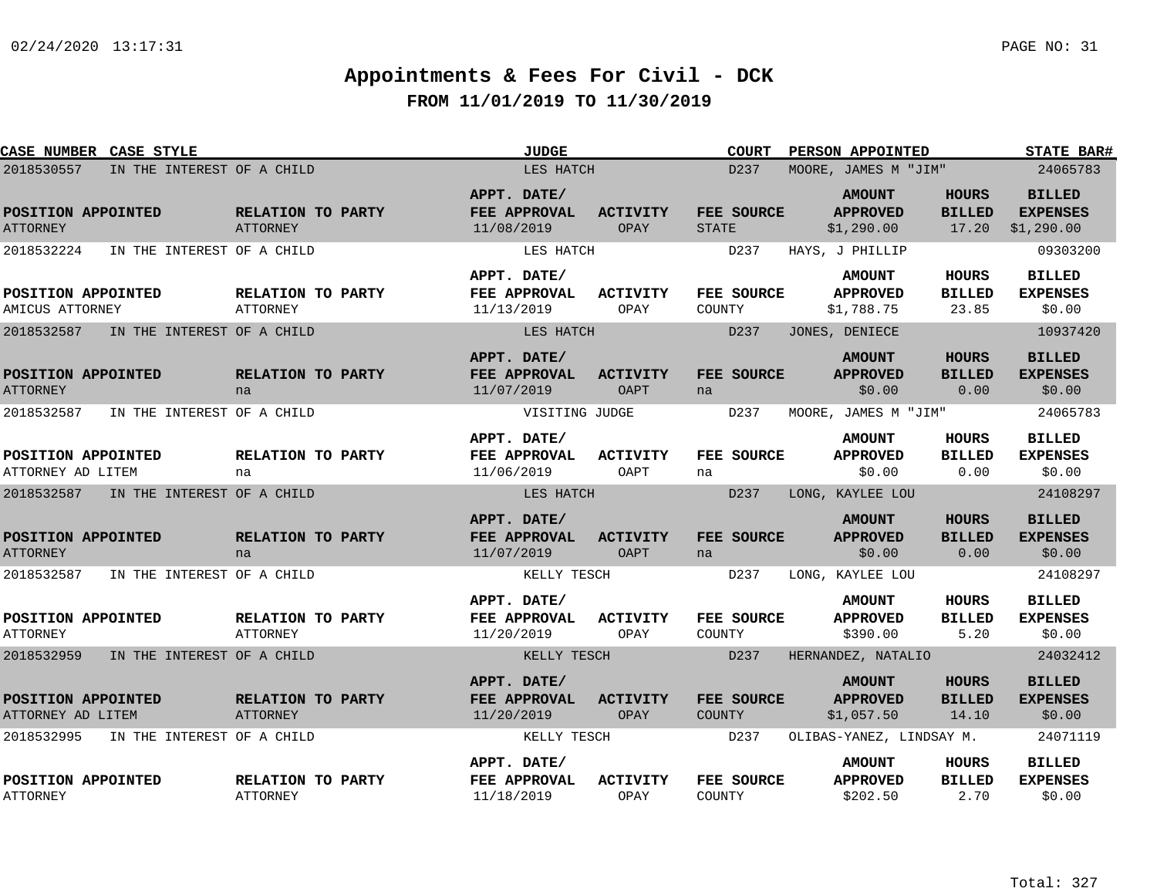| <b>CASE NUMBER CASE STYLE</b>           |                            |                                      | <b>JUDGE</b>                              |                         | <b>COURT</b>                 | PERSON APPOINTED                               |                                        | <b>STATE BAR#</b>                              |
|-----------------------------------------|----------------------------|--------------------------------------|-------------------------------------------|-------------------------|------------------------------|------------------------------------------------|----------------------------------------|------------------------------------------------|
| 2018530557                              | IN THE INTEREST OF A CHILD |                                      | LES HATCH                                 |                         | D237<br>MOORE, JAMES M "JIM" |                                                |                                        | 24065783                                       |
| POSITION APPOINTED<br><b>ATTORNEY</b>   |                            | RELATION TO PARTY<br><b>ATTORNEY</b> | APPT. DATE/<br>FEE APPROVAL<br>11/08/2019 | <b>ACTIVITY</b><br>OPAY | FEE SOURCE<br><b>STATE</b>   | <b>AMOUNT</b><br><b>APPROVED</b><br>\$1,290.00 | <b>HOURS</b><br><b>BILLED</b><br>17.20 | <b>BILLED</b><br><b>EXPENSES</b><br>\$1,290.00 |
| 2018532224                              | IN THE INTEREST OF A CHILD |                                      | LES HATCH                                 |                         | D237                         | HAYS, J PHILLIP                                |                                        | 09303200                                       |
| POSITION APPOINTED<br>AMICUS ATTORNEY   |                            | RELATION TO PARTY<br><b>ATTORNEY</b> | APPT. DATE/<br>FEE APPROVAL<br>11/13/2019 | <b>ACTIVITY</b><br>OPAY | FEE SOURCE<br>COUNTY         | <b>AMOUNT</b><br><b>APPROVED</b><br>\$1,788.75 | HOURS<br><b>BILLED</b><br>23.85        | <b>BILLED</b><br><b>EXPENSES</b><br>\$0.00     |
| 2018532587                              | IN THE INTEREST OF A CHILD |                                      | LES HATCH                                 |                         | D237                         | JONES, DENIECE                                 |                                        | 10937420                                       |
| POSITION APPOINTED<br><b>ATTORNEY</b>   |                            | RELATION TO PARTY<br>na              | APPT. DATE/<br>FEE APPROVAL<br>11/07/2019 | <b>ACTIVITY</b><br>OAPT | FEE SOURCE<br>na             | <b>AMOUNT</b><br><b>APPROVED</b><br>\$0.00     | <b>HOURS</b><br><b>BILLED</b><br>0.00  | <b>BILLED</b><br><b>EXPENSES</b><br>\$0.00     |
| 2018532587                              | IN THE INTEREST OF A CHILD |                                      | VISITING JUDGE                            |                         | D237                         | MOORE, JAMES M "JIM"                           |                                        | 24065783                                       |
| POSITION APPOINTED<br>ATTORNEY AD LITEM |                            | RELATION TO PARTY<br>na              | APPT. DATE/<br>FEE APPROVAL<br>11/06/2019 | <b>ACTIVITY</b><br>OAPT | FEE SOURCE<br>na             | <b>AMOUNT</b><br><b>APPROVED</b><br>\$0.00     | <b>HOURS</b><br><b>BILLED</b><br>0.00  | <b>BILLED</b><br><b>EXPENSES</b><br>\$0.00     |
| 2018532587                              | IN THE INTEREST OF A CHILD |                                      | LES HATCH                                 |                         | D237                         | LONG, KAYLEE LOU                               |                                        | 24108297                                       |
| POSITION APPOINTED<br><b>ATTORNEY</b>   |                            | RELATION TO PARTY<br>na              | APPT. DATE/<br>FEE APPROVAL<br>11/07/2019 | <b>ACTIVITY</b><br>OAPT | FEE SOURCE<br>na             | <b>AMOUNT</b><br><b>APPROVED</b><br>\$0.00     | <b>HOURS</b><br><b>BILLED</b><br>0.00  | <b>BILLED</b><br><b>EXPENSES</b><br>\$0.00     |
| 2018532587                              | IN THE INTEREST OF A CHILD |                                      | KELLY TESCH                               |                         | D237                         | LONG, KAYLEE LOU                               |                                        | 24108297                                       |
| POSITION APPOINTED<br><b>ATTORNEY</b>   |                            | RELATION TO PARTY<br>ATTORNEY        | APPT. DATE/<br>FEE APPROVAL<br>11/20/2019 | <b>ACTIVITY</b><br>OPAY | FEE SOURCE<br>COUNTY         | <b>AMOUNT</b><br><b>APPROVED</b><br>\$390.00   | HOURS<br><b>BILLED</b><br>5.20         | <b>BILLED</b><br><b>EXPENSES</b><br>\$0.00     |
| 2018532959                              | IN THE INTEREST OF A CHILD |                                      | KELLY TESCH                               |                         | D237                         | HERNANDEZ, NATALIO                             |                                        | 24032412                                       |
| POSITION APPOINTED<br>ATTORNEY AD LITEM |                            | RELATION TO PARTY<br><b>ATTORNEY</b> | APPT. DATE/<br>FEE APPROVAL<br>11/20/2019 | <b>ACTIVITY</b><br>OPAY | FEE SOURCE<br><b>COUNTY</b>  | <b>AMOUNT</b><br><b>APPROVED</b><br>\$1,057.50 | <b>HOURS</b><br><b>BILLED</b><br>14.10 | <b>BILLED</b><br><b>EXPENSES</b><br>\$0.00     |
| 2018532995                              | IN THE INTEREST OF A CHILD |                                      | KELLY TESCH                               |                         | D237                         | OLIBAS-YANEZ, LINDSAY M.                       |                                        | 24071119                                       |
| POSITION APPOINTED<br><b>ATTORNEY</b>   |                            | RELATION TO PARTY<br>ATTORNEY        | APPT. DATE/<br>FEE APPROVAL<br>11/18/2019 | <b>ACTIVITY</b><br>OPAY | FEE SOURCE<br>COUNTY         | <b>AMOUNT</b><br><b>APPROVED</b><br>\$202.50   | HOURS<br><b>BILLED</b><br>2.70         | <b>BILLED</b><br><b>EXPENSES</b><br>\$0.00     |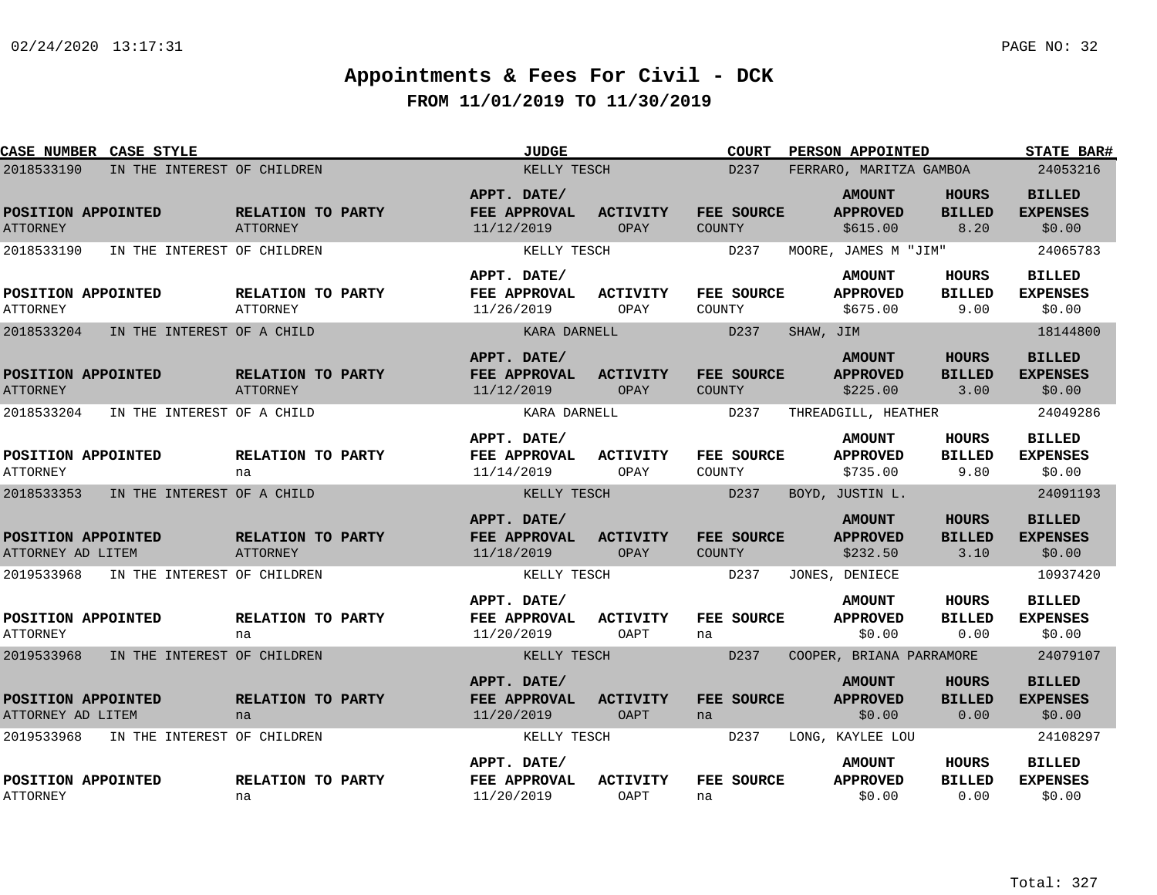| <b>CASE NUMBER CASE STYLE</b>           |                                      | <b>JUDGE</b>                              |                                | <b>COURT</b>                | PERSON APPOINTED                             |                                       | <b>STATE BAR#</b>                          |
|-----------------------------------------|--------------------------------------|-------------------------------------------|--------------------------------|-----------------------------|----------------------------------------------|---------------------------------------|--------------------------------------------|
| 2018533190                              | IN THE INTEREST OF CHILDREN          |                                           | KELLY TESCH                    |                             | FERRARO, MARITZA GAMBOA                      |                                       | 24053216                                   |
| POSITION APPOINTED<br><b>ATTORNEY</b>   | RELATION TO PARTY<br><b>ATTORNEY</b> | APPT. DATE/<br>FEE APPROVAL<br>11/12/2019 | <b>ACTIVITY</b><br>OPAY        | FEE SOURCE<br>COUNTY        | <b>AMOUNT</b><br><b>APPROVED</b><br>\$615.00 | HOURS<br><b>BILLED</b><br>8.20        | <b>BILLED</b><br><b>EXPENSES</b><br>\$0.00 |
| 2018533190                              | IN THE INTEREST OF CHILDREN          | KELLY TESCH                               |                                | D237                        | MOORE, JAMES M "JIM"                         |                                       | 24065783                                   |
| POSITION APPOINTED<br><b>ATTORNEY</b>   | RELATION TO PARTY<br>ATTORNEY        | APPT. DATE/<br>FEE APPROVAL<br>11/26/2019 | ACTIVITY<br>OPAY               | FEE SOURCE<br>COUNTY        | <b>AMOUNT</b><br><b>APPROVED</b><br>\$675.00 | <b>HOURS</b><br><b>BILLED</b><br>9.00 | <b>BILLED</b><br><b>EXPENSES</b><br>\$0.00 |
| 2018533204                              | IN THE INTEREST OF A CHILD           | KARA DARNELL                              |                                | D237                        | SHAW, JIM                                    |                                       | 18144800                                   |
| POSITION APPOINTED<br><b>ATTORNEY</b>   | RELATION TO PARTY<br>ATTORNEY        | APPT. DATE/<br>FEE APPROVAL<br>11/12/2019 | <b>ACTIVITY</b><br>OPAY        | FEE SOURCE<br>COUNTY        | <b>AMOUNT</b><br><b>APPROVED</b><br>\$225.00 | <b>HOURS</b><br><b>BILLED</b><br>3.00 | <b>BILLED</b><br><b>EXPENSES</b><br>\$0.00 |
| 2018533204                              | IN THE INTEREST OF A CHILD           | KARA DARNELL                              |                                | D237                        | THREADGILL, HEATHER                          |                                       | 24049286                                   |
| POSITION APPOINTED<br><b>ATTORNEY</b>   | RELATION TO PARTY<br>na              | APPT. DATE/<br>FEE APPROVAL<br>11/14/2019 | <b>ACTIVITY</b><br>OPAY        | <b>FEE SOURCE</b><br>COUNTY | <b>AMOUNT</b><br><b>APPROVED</b><br>\$735.00 | <b>HOURS</b><br><b>BILLED</b><br>9.80 | <b>BILLED</b><br><b>EXPENSES</b><br>\$0.00 |
| 2018533353                              | IN THE INTEREST OF A CHILD           | KELLY TESCH                               |                                | D237                        | BOYD, JUSTIN L.                              |                                       | 24091193                                   |
| POSITION APPOINTED<br>ATTORNEY AD LITEM | RELATION TO PARTY<br><b>ATTORNEY</b> | APPT. DATE/<br>FEE APPROVAL<br>11/18/2019 | <b>ACTIVITY</b><br>OPAY        | FEE SOURCE<br>COUNTY        | <b>AMOUNT</b><br><b>APPROVED</b><br>\$232.50 | <b>HOURS</b><br><b>BILLED</b><br>3.10 | <b>BILLED</b><br><b>EXPENSES</b><br>\$0.00 |
| 2019533968                              | IN THE INTEREST OF CHILDREN          | KELLY TESCH                               |                                | D237                        | JONES, DENIECE                               |                                       | 10937420                                   |
| POSITION APPOINTED<br><b>ATTORNEY</b>   | RELATION TO PARTY<br>na              | APPT. DATE/<br>FEE APPROVAL<br>11/20/2019 | <b>ACTIVITY</b><br>OAPT        | FEE SOURCE<br>na            | <b>AMOUNT</b><br><b>APPROVED</b><br>\$0.00   | <b>HOURS</b><br><b>BILLED</b><br>0.00 | <b>BILLED</b><br><b>EXPENSES</b><br>\$0.00 |
| 2019533968                              | IN THE INTEREST OF CHILDREN          | KELLY TESCH                               |                                | D237                        | COOPER, BRIANA PARRAMORE                     |                                       | 24079107                                   |
| POSITION APPOINTED<br>ATTORNEY AD LITEM | RELATION TO PARTY<br>na              | APPT. DATE/<br>FEE APPROVAL<br>11/20/2019 | <b>ACTIVITY</b><br><b>OAPT</b> | FEE SOURCE<br>na            | <b>AMOUNT</b><br><b>APPROVED</b><br>\$0.00   | HOURS<br><b>BILLED</b><br>0.00        | <b>BILLED</b><br><b>EXPENSES</b><br>\$0.00 |
| 2019533968                              | IN THE INTEREST OF CHILDREN          | KELLY TESCH                               |                                | D237                        | LONG, KAYLEE LOU                             |                                       | 24108297                                   |
| POSITION APPOINTED<br><b>ATTORNEY</b>   | RELATION TO PARTY<br>na              | APPT. DATE/<br>FEE APPROVAL<br>11/20/2019 | <b>ACTIVITY</b><br>OAPT        | FEE SOURCE<br>na            | <b>AMOUNT</b><br><b>APPROVED</b><br>\$0.00   | <b>HOURS</b><br><b>BILLED</b><br>0.00 | <b>BILLED</b><br><b>EXPENSES</b><br>\$0.00 |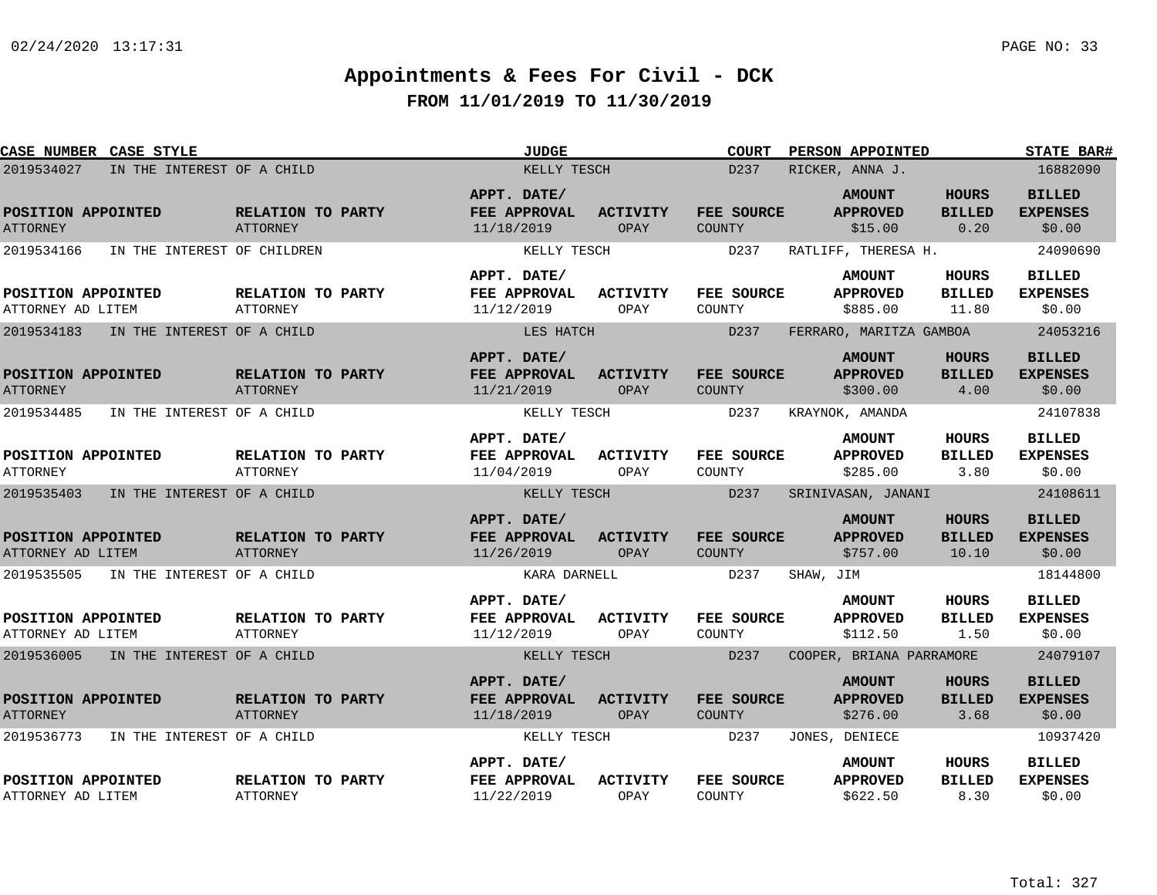| CASE NUMBER CASE STYLE                  |                                      | <b>JUDGE</b>                                     |                         | <b>COURT</b>                       | <b>PERSON APPOINTED</b>                      |                                        | <b>STATE BAR#</b>                          |
|-----------------------------------------|--------------------------------------|--------------------------------------------------|-------------------------|------------------------------------|----------------------------------------------|----------------------------------------|--------------------------------------------|
| 2019534027                              | IN THE INTEREST OF A CHILD           | KELLY TESCH                                      |                         | D <sub>237</sub>                   | RICKER, ANNA J.                              |                                        | 16882090                                   |
| POSITION APPOINTED<br><b>ATTORNEY</b>   | RELATION TO PARTY<br><b>ATTORNEY</b> | APPT. DATE/<br><b>FEE APPROVAL</b><br>11/18/2019 | <b>ACTIVITY</b><br>OPAY | FEE SOURCE<br>COUNTY               | <b>AMOUNT</b><br><b>APPROVED</b><br>\$15.00  | <b>HOURS</b><br><b>BILLED</b><br>0.20  | <b>BILLED</b><br><b>EXPENSES</b><br>\$0.00 |
| 2019534166                              | IN THE INTEREST OF CHILDREN          | KELLY TESCH                                      |                         | D237                               | RATLIFF, THERESA H.                          |                                        | 24090690                                   |
| POSITION APPOINTED<br>ATTORNEY AD LITEM | RELATION TO PARTY<br>ATTORNEY        | APPT. DATE/<br>FEE APPROVAL<br>11/12/2019        | ACTIVITY<br>OPAY        | FEE SOURCE<br>COUNTY               | <b>AMOUNT</b><br><b>APPROVED</b><br>\$885.00 | HOURS<br><b>BILLED</b><br>11.80        | <b>BILLED</b><br><b>EXPENSES</b><br>\$0.00 |
| 2019534183                              | IN THE INTEREST OF A CHILD           | LES HATCH                                        |                         | D237                               | FERRARO, MARITZA GAMBOA                      |                                        | 24053216                                   |
| POSITION APPOINTED<br><b>ATTORNEY</b>   | RELATION TO PARTY<br><b>ATTORNEY</b> | APPT. DATE/<br>FEE APPROVAL<br>11/21/2019        | <b>ACTIVITY</b><br>OPAY | <b>FEE SOURCE</b><br><b>COUNTY</b> | <b>AMOUNT</b><br><b>APPROVED</b><br>\$300.00 | <b>HOURS</b><br><b>BILLED</b><br>4.00  | <b>BILLED</b><br><b>EXPENSES</b><br>\$0.00 |
| 2019534485                              | IN THE INTEREST OF A CHILD           | KELLY TESCH                                      |                         | D237                               | KRAYNOK, AMANDA                              |                                        | 24107838                                   |
| POSITION APPOINTED<br><b>ATTORNEY</b>   | RELATION TO PARTY<br><b>ATTORNEY</b> | APPT. DATE/<br>FEE APPROVAL<br>11/04/2019        | <b>ACTIVITY</b><br>OPAY | FEE SOURCE<br>COUNTY               | <b>AMOUNT</b><br><b>APPROVED</b><br>\$285.00 | <b>HOURS</b><br><b>BILLED</b><br>3.80  | <b>BILLED</b><br><b>EXPENSES</b><br>\$0.00 |
| 2019535403                              | IN THE INTEREST OF A CHILD           | KELLY TESCH                                      |                         | D237                               | SRINIVASAN, JANANI                           |                                        | 24108611                                   |
| POSITION APPOINTED<br>ATTORNEY AD LITEM | RELATION TO PARTY<br><b>ATTORNEY</b> | APPT. DATE/<br>FEE APPROVAL<br>11/26/2019        | <b>ACTIVITY</b><br>OPAY | FEE SOURCE<br>COUNTY               | <b>AMOUNT</b><br><b>APPROVED</b><br>\$757.00 | <b>HOURS</b><br><b>BILLED</b><br>10.10 | <b>BILLED</b><br><b>EXPENSES</b><br>\$0.00 |
| 2019535505                              | IN THE INTEREST OF A CHILD           | KARA DARNELL                                     |                         | D237                               | SHAW, JIM                                    |                                        | 18144800                                   |
| POSITION APPOINTED<br>ATTORNEY AD LITEM | RELATION TO PARTY<br><b>ATTORNEY</b> | APPT. DATE/<br>FEE APPROVAL<br>11/12/2019        | <b>ACTIVITY</b><br>OPAY | FEE SOURCE<br>COUNTY               | <b>AMOUNT</b><br><b>APPROVED</b><br>\$112.50 | HOURS<br><b>BILLED</b><br>1.50         | <b>BILLED</b><br><b>EXPENSES</b><br>\$0.00 |
| 2019536005                              | IN THE INTEREST OF A CHILD           | KELLY TESCH                                      |                         | D <sub>237</sub>                   | COOPER, BRIANA PARRAMORE                     |                                        | 24079107                                   |
| POSITION APPOINTED<br><b>ATTORNEY</b>   | RELATION TO PARTY<br><b>ATTORNEY</b> | APPT. DATE/<br>FEE APPROVAL<br>11/18/2019        | <b>ACTIVITY</b><br>OPAY | <b>FEE SOURCE</b><br><b>COUNTY</b> | <b>AMOUNT</b><br><b>APPROVED</b><br>\$276.00 | <b>HOURS</b><br><b>BILLED</b><br>3.68  | <b>BILLED</b><br><b>EXPENSES</b><br>\$0.00 |
| 2019536773                              | IN THE INTEREST OF A CHILD           | KELLY TESCH                                      |                         | D237                               | JONES, DENIECE                               |                                        | 10937420                                   |
| POSITION APPOINTED<br>ATTORNEY AD LITEM | RELATION TO PARTY<br><b>ATTORNEY</b> | APPT. DATE/<br>FEE APPROVAL<br>11/22/2019        | <b>ACTIVITY</b><br>OPAY | FEE SOURCE<br>COUNTY               | <b>AMOUNT</b><br><b>APPROVED</b><br>\$622.50 | HOURS<br><b>BILLED</b><br>8.30         | <b>BILLED</b><br><b>EXPENSES</b><br>\$0.00 |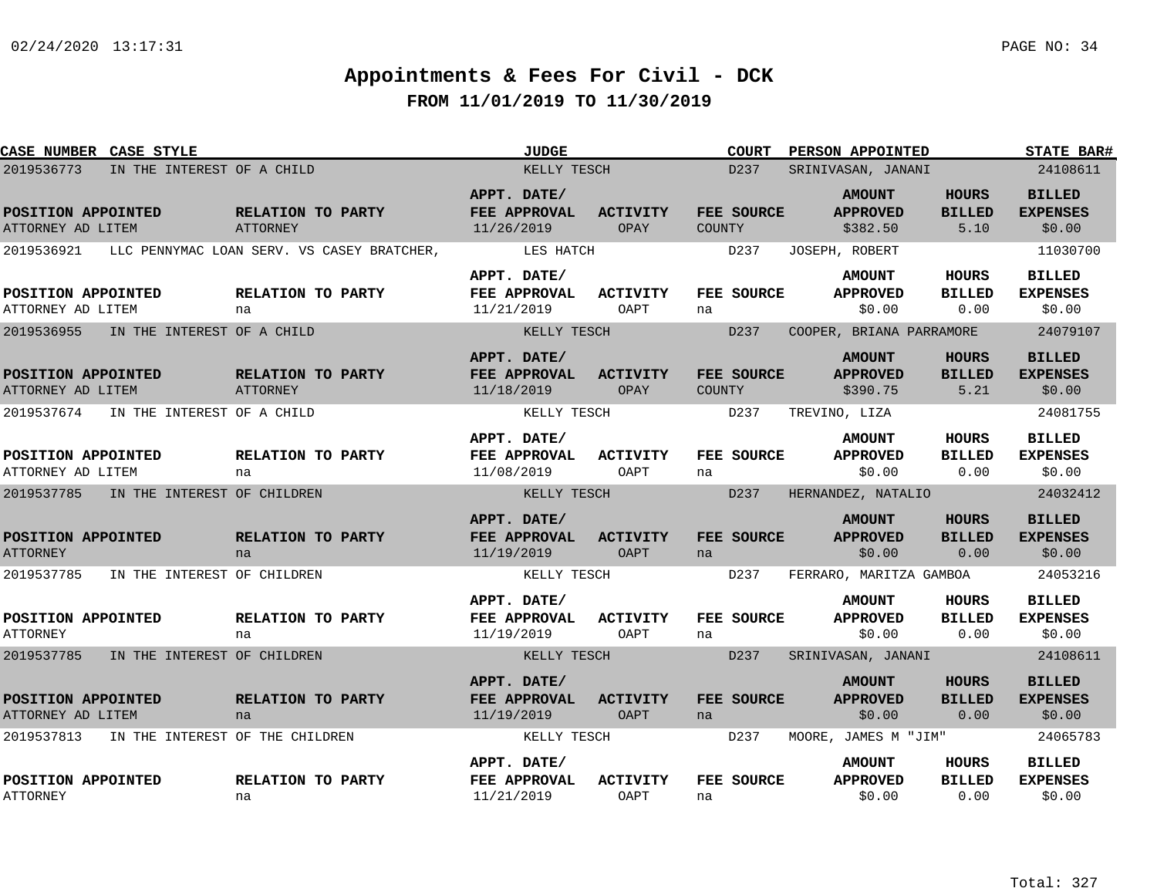| CASE NUMBER CASE STYLE                                |                                 | <b>JUDGE</b>                                     |                         | <b>COURT</b>                | PERSON APPOINTED                             |                                       | <b>STATE BAR#</b>                          |
|-------------------------------------------------------|---------------------------------|--------------------------------------------------|-------------------------|-----------------------------|----------------------------------------------|---------------------------------------|--------------------------------------------|
| IN THE INTEREST OF A CHILD<br>2019536773              |                                 | KELLY TESCH                                      |                         | D237                        | SRINIVASAN, JANANI                           |                                       | 24108611                                   |
| POSITION APPOINTED<br>ATTORNEY AD LITEM               | RELATION TO PARTY<br>ATTORNEY   | APPT. DATE/<br>FEE APPROVAL<br>11/26/2019        | <b>ACTIVITY</b><br>OPAY | FEE SOURCE<br>COUNTY        | <b>AMOUNT</b><br><b>APPROVED</b><br>\$382.50 | <b>HOURS</b><br><b>BILLED</b><br>5.10 | <b>BILLED</b><br><b>EXPENSES</b><br>\$0.00 |
| 2019536921 LLC PENNYMAC LOAN SERV. VS CASEY BRATCHER, |                                 | LES HATCH                                        |                         | D237                        | JOSEPH, ROBERT                               |                                       | 11030700                                   |
| POSITION APPOINTED<br>ATTORNEY AD LITEM               | RELATION TO PARTY<br>na         | APPT. DATE/<br>FEE APPROVAL<br>11/21/2019        | <b>ACTIVITY</b><br>OAPT | FEE SOURCE<br>na            | <b>AMOUNT</b><br><b>APPROVED</b><br>\$0.00   | HOURS<br><b>BILLED</b><br>0.00        | <b>BILLED</b><br><b>EXPENSES</b><br>\$0.00 |
| 2019536955<br>IN THE INTEREST OF A CHILD              |                                 | KELLY TESCH                                      |                         | D <sub>237</sub>            | COOPER, BRIANA PARRAMORE                     |                                       | 24079107                                   |
| POSITION APPOINTED<br>ATTORNEY AD LITEM               | RELATION TO PARTY<br>ATTORNEY   | APPT. DATE/<br>FEE APPROVAL<br>11/18/2019        | <b>ACTIVITY</b><br>OPAY | FEE SOURCE<br><b>COUNTY</b> | <b>AMOUNT</b><br><b>APPROVED</b><br>\$390.75 | <b>HOURS</b><br><b>BILLED</b><br>5.21 | <b>BILLED</b><br><b>EXPENSES</b><br>\$0.00 |
| 2019537674<br>IN THE INTEREST OF A CHILD              |                                 | KELLY TESCH                                      |                         | D237                        | TREVINO, LIZA                                |                                       | 24081755                                   |
| POSITION APPOINTED<br>ATTORNEY AD LITEM               | RELATION TO PARTY<br>na         | APPT. DATE/<br>FEE APPROVAL<br>11/08/2019        | ACTIVITY<br>OAPT        | FEE SOURCE<br>na            | <b>AMOUNT</b><br><b>APPROVED</b><br>\$0.00   | <b>HOURS</b><br><b>BILLED</b><br>0.00 | <b>BILLED</b><br><b>EXPENSES</b><br>\$0.00 |
| 2019537785<br>IN THE INTEREST OF CHILDREN             |                                 | KELLY TESCH                                      |                         | D237                        | HERNANDEZ, NATALIO                           |                                       | 24032412                                   |
| POSITION APPOINTED<br><b>ATTORNEY</b>                 | RELATION TO PARTY<br>na         | APPT. DATE/<br>FEE APPROVAL<br>11/19/2019        | <b>ACTIVITY</b><br>OAPT | FEE SOURCE<br>na            | <b>AMOUNT</b><br><b>APPROVED</b><br>\$0.00   | <b>HOURS</b><br><b>BILLED</b><br>0.00 | <b>BILLED</b><br><b>EXPENSES</b><br>\$0.00 |
| 2019537785<br>IN THE INTEREST OF CHILDREN             |                                 | KELLY TESCH                                      |                         | D237                        | FERRARO, MARITZA GAMBOA                      |                                       | 24053216                                   |
| POSITION APPOINTED<br><b>ATTORNEY</b>                 | RELATION TO PARTY<br>na         | APPT. DATE/<br><b>FEE APPROVAL</b><br>11/19/2019 | <b>ACTIVITY</b><br>OAPT | FEE SOURCE<br>na            | <b>AMOUNT</b><br><b>APPROVED</b><br>\$0.00   | HOURS<br><b>BILLED</b><br>0.00        | <b>BILLED</b><br><b>EXPENSES</b><br>\$0.00 |
| 2019537785<br>IN THE INTEREST OF CHILDREN             |                                 | KELLY TESCH                                      |                         | D237                        | SRINIVASAN, JANANI                           |                                       | 24108611                                   |
| POSITION APPOINTED<br>ATTORNEY AD LITEM               | RELATION TO PARTY<br>na         | APPT. DATE/<br>FEE APPROVAL<br>11/19/2019        | <b>ACTIVITY</b><br>OAPT | FEE SOURCE<br>na            | <b>AMOUNT</b><br><b>APPROVED</b><br>\$0.00   | <b>HOURS</b><br><b>BILLED</b><br>0.00 | <b>BILLED</b><br><b>EXPENSES</b><br>\$0.00 |
| 2019537813                                            | IN THE INTEREST OF THE CHILDREN | KELLY TESCH                                      |                         | D237                        | MOORE, JAMES M "JIM"                         |                                       | 24065783                                   |
| POSITION APPOINTED<br><b>ATTORNEY</b>                 | RELATION TO PARTY<br>na         | APPT. DATE/<br>FEE APPROVAL<br>11/21/2019        | <b>ACTIVITY</b><br>OAPT | FEE SOURCE<br>na            | <b>AMOUNT</b><br><b>APPROVED</b><br>\$0.00   | HOURS<br><b>BILLED</b><br>0.00        | <b>BILLED</b><br><b>EXPENSES</b><br>\$0.00 |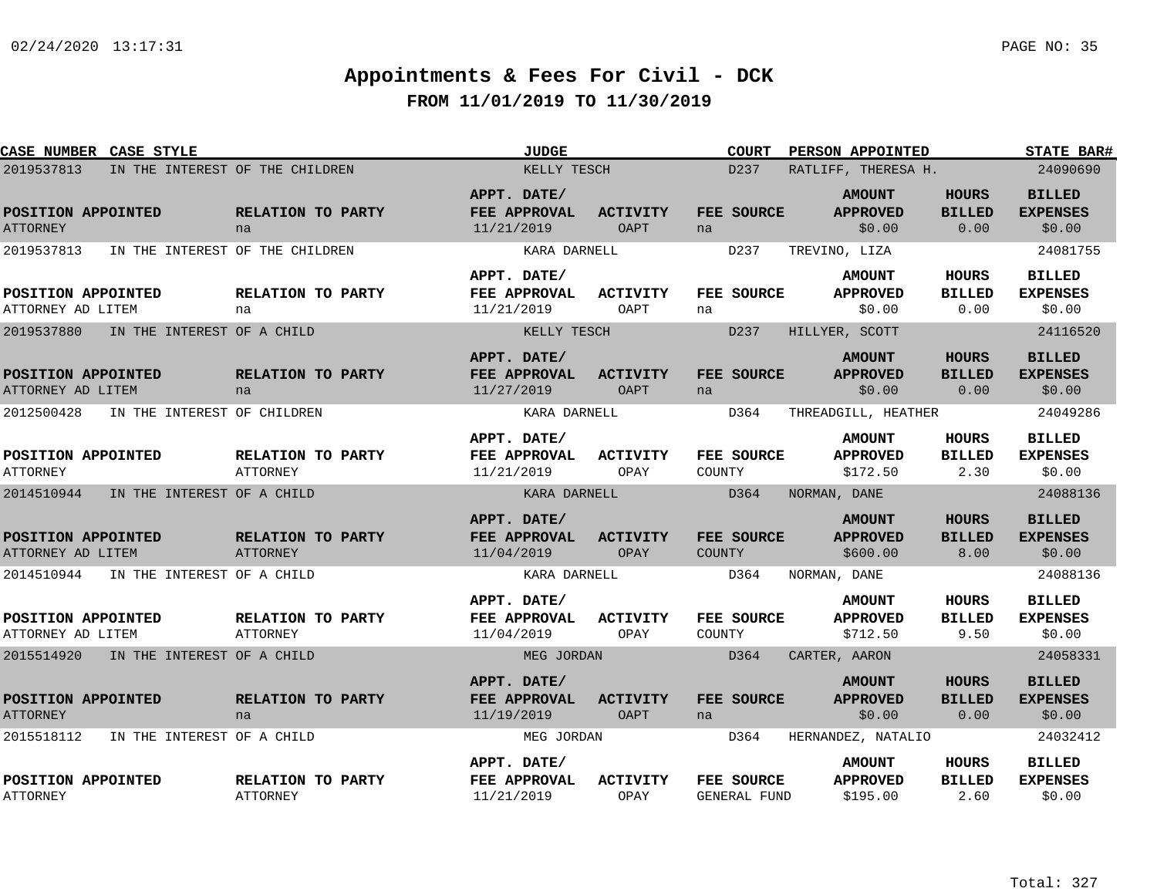| CASE NUMBER CASE STYLE                    |                                      | <b>JUDGE</b>                                     |                                | <b>COURT</b>                            | PERSON APPOINTED                             |                                       | <b>STATE BAR#</b>                          |
|-------------------------------------------|--------------------------------------|--------------------------------------------------|--------------------------------|-----------------------------------------|----------------------------------------------|---------------------------------------|--------------------------------------------|
| 2019537813                                | IN THE INTEREST OF THE CHILDREN      | KELLY TESCH                                      |                                | D <sub>237</sub><br>RATLIFF, THERESA H. | 24090690                                     |                                       |                                            |
| POSITION APPOINTED<br><b>ATTORNEY</b>     | RELATION TO PARTY<br>na              | APPT. DATE/<br>FEE APPROVAL<br>11/21/2019        | ACTIVITY<br><b>OAPT</b>        | FEE SOURCE<br>na                        | <b>AMOUNT</b><br><b>APPROVED</b><br>\$0.00   | <b>HOURS</b><br><b>BILLED</b><br>0.00 | <b>BILLED</b><br><b>EXPENSES</b><br>\$0.00 |
| 2019537813                                | IN THE INTEREST OF THE CHILDREN      | KARA DARNELL                                     |                                | D237                                    | TREVINO, LIZA                                |                                       | 24081755                                   |
| POSITION APPOINTED<br>ATTORNEY AD LITEM   | RELATION TO PARTY<br>na              | APPT. DATE/<br>FEE APPROVAL<br>11/21/2019        | ACTIVITY<br>OAPT               | FEE SOURCE<br>na                        | <b>AMOUNT</b><br><b>APPROVED</b><br>\$0.00   | HOURS<br><b>BILLED</b><br>0.00        | <b>BILLED</b><br><b>EXPENSES</b><br>\$0.00 |
| 2019537880<br>IN THE INTEREST OF A CHILD  |                                      | KELLY TESCH                                      |                                | D <sub>237</sub>                        | HILLYER, SCOTT                               |                                       | 24116520                                   |
| POSITION APPOINTED<br>ATTORNEY AD LITEM   | RELATION TO PARTY<br>na              | APPT. DATE/<br>FEE APPROVAL<br>11/27/2019        | <b>ACTIVITY</b><br><b>OAPT</b> | FEE SOURCE<br>na                        | <b>AMOUNT</b><br><b>APPROVED</b><br>\$0.00   | <b>HOURS</b><br><b>BILLED</b><br>0.00 | <b>BILLED</b><br><b>EXPENSES</b><br>\$0.00 |
| 2012500428<br>IN THE INTEREST OF CHILDREN |                                      | KARA DARNELL                                     |                                | D364                                    | THREADGILL, HEATHER                          |                                       | 24049286                                   |
| POSITION APPOINTED<br><b>ATTORNEY</b>     | RELATION TO PARTY<br><b>ATTORNEY</b> | APPT. DATE/<br>FEE APPROVAL<br>11/21/2019        | <b>ACTIVITY</b><br>OPAY        | FEE SOURCE<br>COUNTY                    | <b>AMOUNT</b><br><b>APPROVED</b><br>\$172.50 | <b>HOURS</b><br><b>BILLED</b><br>2.30 | <b>BILLED</b><br><b>EXPENSES</b><br>\$0.00 |
| 2014510944<br>IN THE INTEREST OF A CHILD  |                                      | KARA DARNELL                                     |                                | D364                                    | NORMAN, DANE                                 |                                       | 24088136                                   |
| POSITION APPOINTED<br>ATTORNEY AD LITEM   | RELATION TO PARTY<br><b>ATTORNEY</b> | APPT. DATE/<br>FEE APPROVAL<br>11/04/2019        | ACTIVITY<br>OPAY               | FEE SOURCE<br>COUNTY                    | <b>AMOUNT</b><br><b>APPROVED</b><br>\$600.00 | <b>HOURS</b><br><b>BILLED</b><br>8.00 | <b>BILLED</b><br><b>EXPENSES</b><br>\$0.00 |
| 2014510944<br>IN THE INTEREST OF A CHILD  |                                      | KARA DARNELL                                     |                                | D364                                    | NORMAN, DANE                                 |                                       | 24088136                                   |
| POSITION APPOINTED<br>ATTORNEY AD LITEM   | RELATION TO PARTY<br>ATTORNEY        | APPT. DATE/<br>FEE APPROVAL<br>11/04/2019        | ACTIVITY<br>OPAY               | FEE SOURCE<br>COUNTY                    | <b>AMOUNT</b><br><b>APPROVED</b><br>\$712.50 | HOURS<br><b>BILLED</b><br>9.50        | <b>BILLED</b><br><b>EXPENSES</b><br>\$0.00 |
| 2015514920 IN THE INTEREST OF A CHILD     |                                      | MEG JORDAN                                       |                                | D364                                    | CARTER, AARON                                |                                       | 24058331                                   |
| POSITION APPOINTED<br><b>ATTORNEY</b>     | RELATION TO PARTY<br>na              | APPT. DATE/<br><b>FEE APPROVAL</b><br>11/19/2019 | <b>ACTIVITY</b><br><b>OAPT</b> | FEE SOURCE<br>na                        | <b>AMOUNT</b><br><b>APPROVED</b><br>\$0.00   | <b>HOURS</b><br><b>BILLED</b><br>0.00 | <b>BILLED</b><br><b>EXPENSES</b><br>\$0.00 |
| 2015518112<br>IN THE INTEREST OF A CHILD  |                                      | MEG JORDAN                                       |                                | D364                                    | HERNANDEZ, NATALIO                           |                                       | 24032412                                   |
| POSITION APPOINTED<br><b>ATTORNEY</b>     | RELATION TO PARTY<br><b>ATTORNEY</b> | APPT. DATE/<br>FEE APPROVAL<br>11/21/2019        | <b>ACTIVITY</b><br>OPAY        | FEE SOURCE<br><b>GENERAL FUND</b>       | <b>AMOUNT</b><br><b>APPROVED</b><br>\$195.00 | HOURS<br><b>BILLED</b><br>2.60        | <b>BILLED</b><br><b>EXPENSES</b><br>\$0.00 |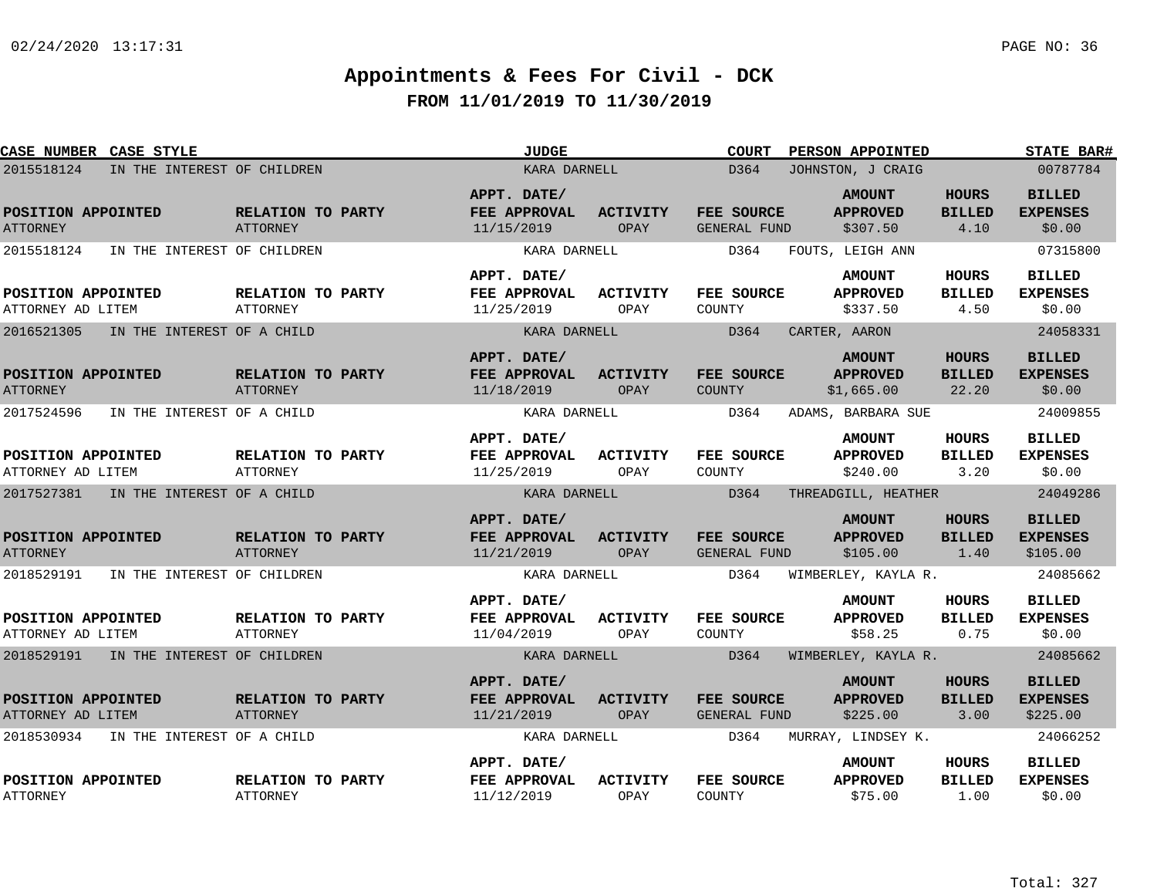| CASE NUMBER CASE STYLE                    |                                      | <b>JUDGE</b>                              |                         | <b>COURT</b>                      | PERSON APPOINTED                               |                                        | <b>STATE BAR#</b>                            |
|-------------------------------------------|--------------------------------------|-------------------------------------------|-------------------------|-----------------------------------|------------------------------------------------|----------------------------------------|----------------------------------------------|
| 2015518124<br>IN THE INTEREST OF CHILDREN |                                      | KARA DARNELL                              |                         | D364                              | JOHNSTON, J CRAIG                              |                                        |                                              |
| POSITION APPOINTED<br><b>ATTORNEY</b>     | RELATION TO PARTY<br>ATTORNEY        | APPT. DATE/<br>FEE APPROVAL<br>11/15/2019 | <b>ACTIVITY</b><br>OPAY | FEE SOURCE<br>GENERAL FUND        | <b>AMOUNT</b><br><b>APPROVED</b><br>\$307.50   | <b>HOURS</b><br><b>BILLED</b><br>4.10  | <b>BILLED</b><br><b>EXPENSES</b><br>\$0.00   |
| 2015518124<br>IN THE INTEREST OF CHILDREN |                                      | KARA DARNELL                              |                         | D364                              | FOUTS, LEIGH ANN                               |                                        | 07315800                                     |
| POSITION APPOINTED<br>ATTORNEY AD LITEM   | <b>RELATION TO PARTY</b><br>ATTORNEY | APPT. DATE/<br>FEE APPROVAL<br>11/25/2019 | ACTIVITY<br>OPAY        | FEE SOURCE<br>COUNTY              | <b>AMOUNT</b><br><b>APPROVED</b><br>\$337.50   | HOURS<br><b>BILLED</b><br>4.50         | <b>BILLED</b><br><b>EXPENSES</b><br>\$0.00   |
| 2016521305<br>IN THE INTEREST OF A CHILD  |                                      | KARA DARNELL                              |                         | D364                              | CARTER, AARON                                  |                                        | 24058331                                     |
| POSITION APPOINTED<br><b>ATTORNEY</b>     | RELATION TO PARTY<br>ATTORNEY        | APPT. DATE/<br>FEE APPROVAL<br>11/18/2019 | <b>ACTIVITY</b><br>OPAY | FEE SOURCE<br><b>COUNTY</b>       | <b>AMOUNT</b><br><b>APPROVED</b><br>\$1,665.00 | <b>HOURS</b><br><b>BILLED</b><br>22.20 | <b>BILLED</b><br><b>EXPENSES</b><br>\$0.00   |
| 2017524596<br>IN THE INTEREST OF A CHILD  |                                      | KARA DARNELL                              |                         | D364                              | ADAMS, BARBARA SUE                             |                                        | 24009855                                     |
| POSITION APPOINTED<br>ATTORNEY AD LITEM   | <b>RELATION TO PARTY</b><br>ATTORNEY | APPT. DATE/<br>FEE APPROVAL<br>11/25/2019 | ACTIVITY<br>OPAY        | <b>FEE SOURCE</b><br>COUNTY       | <b>AMOUNT</b><br><b>APPROVED</b><br>\$240.00   | <b>HOURS</b><br><b>BILLED</b><br>3.20  | <b>BILLED</b><br><b>EXPENSES</b><br>\$0.00   |
| 2017527381<br>IN THE INTEREST OF A CHILD  |                                      | KARA DARNELL                              |                         | D364                              | THREADGILL, HEATHER                            |                                        | 24049286                                     |
| POSITION APPOINTED<br><b>ATTORNEY</b>     | RELATION TO PARTY<br><b>ATTORNEY</b> | APPT. DATE/<br>FEE APPROVAL<br>11/21/2019 | ACTIVITY<br>OPAY        | FEE SOURCE<br><b>GENERAL FUND</b> | <b>AMOUNT</b><br><b>APPROVED</b><br>\$105.00   | <b>HOURS</b><br><b>BILLED</b><br>1.40  | <b>BILLED</b><br><b>EXPENSES</b><br>\$105.00 |
| 2018529191<br>IN THE INTEREST OF CHILDREN |                                      | KARA DARNELL                              |                         | D364                              | WIMBERLEY, KAYLA R.                            |                                        | 24085662                                     |
| POSITION APPOINTED<br>ATTORNEY AD LITEM   | RELATION TO PARTY<br>ATTORNEY        | APPT. DATE/<br>FEE APPROVAL<br>11/04/2019 | <b>ACTIVITY</b><br>OPAY | FEE SOURCE<br>COUNTY              | <b>AMOUNT</b><br><b>APPROVED</b><br>\$58.25    | <b>HOURS</b><br><b>BILLED</b><br>0.75  | <b>BILLED</b><br><b>EXPENSES</b><br>\$0.00   |
| 2018529191 IN THE INTEREST OF CHILDREN    |                                      | KARA DARNELL                              |                         | D364                              | WIMBERLEY, KAYLA R.                            |                                        | 24085662                                     |
| POSITION APPOINTED<br>ATTORNEY AD LITEM   | RELATION TO PARTY<br>ATTORNEY        | APPT. DATE/<br>FEE APPROVAL<br>11/21/2019 | <b>ACTIVITY</b><br>OPAY | FEE SOURCE<br>GENERAL FUND        | <b>AMOUNT</b><br><b>APPROVED</b><br>\$225.00   | <b>HOURS</b><br><b>BILLED</b><br>3.00  | <b>BILLED</b><br><b>EXPENSES</b><br>\$225.00 |
| 2018530934<br>IN THE INTEREST OF A CHILD  |                                      | KARA DARNELL                              |                         | D364                              | MURRAY, LINDSEY K.                             |                                        | 24066252                                     |
| POSITION APPOINTED<br><b>ATTORNEY</b>     | RELATION TO PARTY<br><b>ATTORNEY</b> | APPT. DATE/<br>FEE APPROVAL<br>11/12/2019 | ACTIVITY<br>OPAY        | FEE SOURCE<br>COUNTY              | <b>AMOUNT</b><br><b>APPROVED</b><br>\$75.00    | HOURS<br><b>BILLED</b><br>1.00         | BILLED<br><b>EXPENSES</b><br>\$0.00          |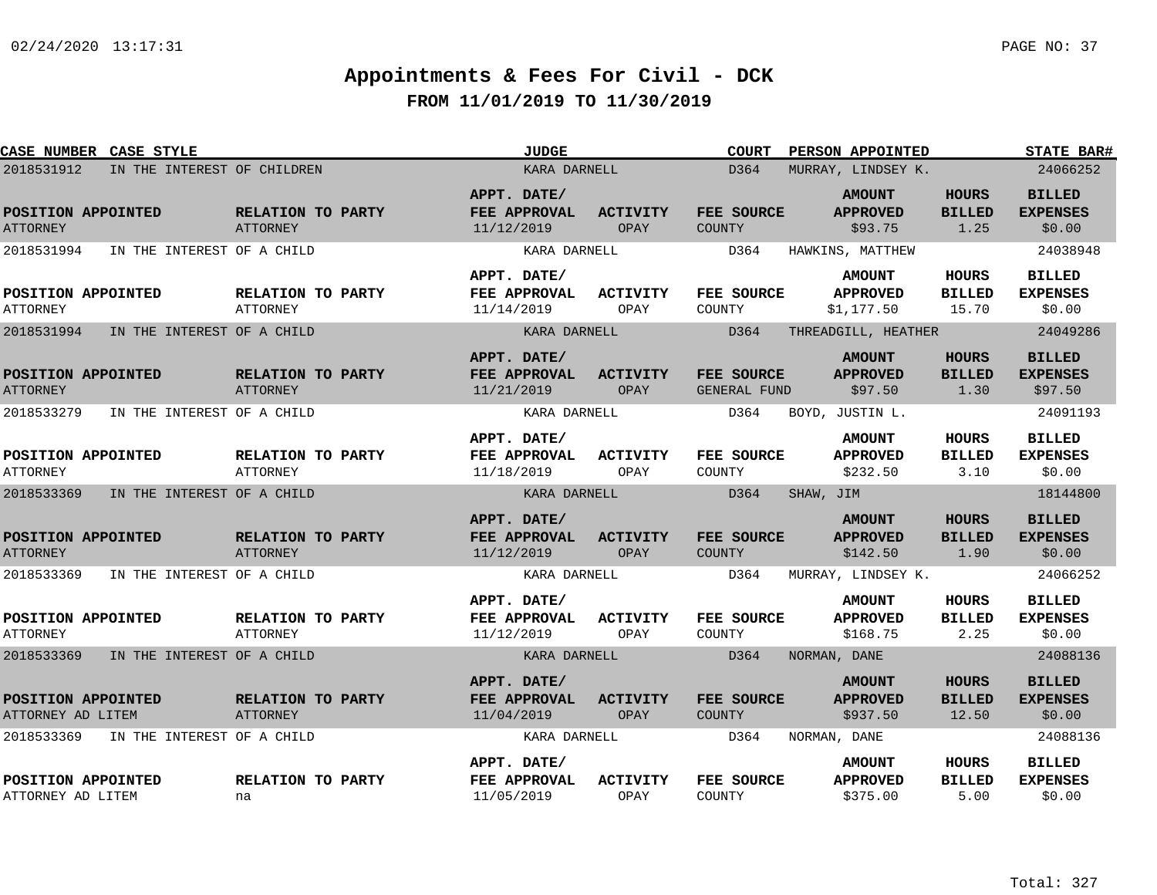| CASE NUMBER CASE STYLE                              |                            |                                      |  | <b>JUDGE</b>                                              |                            | <b>COURT</b>                        | PERSON APPOINTED                                                   |                                        | <b>STATE BAR#</b>                                      |
|-----------------------------------------------------|----------------------------|--------------------------------------|--|-----------------------------------------------------------|----------------------------|-------------------------------------|--------------------------------------------------------------------|----------------------------------------|--------------------------------------------------------|
| 2018531912<br>IN THE INTEREST OF CHILDREN           |                            | KARA DARNELL                         |  |                                                           | D364<br>MURRAY, LINDSEY K. |                                     |                                                                    | 24066252                               |                                                        |
| POSITION APPOINTED<br><b>ATTORNEY</b>               |                            | RELATION TO PARTY<br><b>ATTORNEY</b> |  | APPT. DATE/<br>FEE APPROVAL<br>11/12/2019                 | <b>ACTIVITY</b><br>OPAY    | FEE SOURCE<br><b>COUNTY</b>         | <b>AMOUNT</b><br><b>APPROVED</b><br>\$93.75                        | <b>HOURS</b><br><b>BILLED</b><br>1.25  | <b>BILLED</b><br><b>EXPENSES</b><br>\$0.00             |
| 2018531994                                          | IN THE INTEREST OF A CHILD |                                      |  | KARA DARNELL                                              |                            | D364                                | HAWKINS, MATTHEW                                                   |                                        | 24038948                                               |
| POSITION APPOINTED<br><b>ATTORNEY</b>               |                            | RELATION TO PARTY<br>ATTORNEY        |  | APPT. DATE/<br>FEE APPROVAL<br>11/14/2019                 | <b>ACTIVITY</b><br>OPAY    | FEE SOURCE<br>COUNTY                | <b>AMOUNT</b><br><b>APPROVED</b><br>\$1,177.50                     | HOURS<br><b>BILLED</b><br>15.70        | <b>BILLED</b><br><b>EXPENSES</b><br>\$0.00             |
| 2018531994                                          | IN THE INTEREST OF A CHILD |                                      |  | KARA DARNELL                                              |                            | D364                                | THREADGILL, HEATHER                                                |                                        | 24049286                                               |
| POSITION APPOINTED<br><b>ATTORNEY</b>               |                            | RELATION TO PARTY<br><b>ATTORNEY</b> |  | APPT. DATE/<br>FEE APPROVAL<br>11/21/2019                 | <b>ACTIVITY</b><br>OPAY    | FEE SOURCE<br>GENERAL FUND          | <b>AMOUNT</b><br><b>APPROVED</b><br>\$97.50                        | <b>HOURS</b><br><b>BILLED</b><br>1.30  | <b>BILLED</b><br><b>EXPENSES</b><br>\$97.50            |
| 2018533279                                          | IN THE INTEREST OF A CHILD |                                      |  | KARA DARNELL                                              |                            | D364                                | BOYD, JUSTIN L.                                                    |                                        | 24091193                                               |
| POSITION APPOINTED<br><b>ATTORNEY</b>               |                            | RELATION TO PARTY<br><b>ATTORNEY</b> |  | APPT. DATE/<br>FEE APPROVAL<br>11/18/2019                 | <b>ACTIVITY</b><br>OPAY    | FEE SOURCE<br>COUNTY                | <b>AMOUNT</b><br><b>APPROVED</b><br>\$232.50                       | <b>HOURS</b><br><b>BILLED</b><br>3.10  | <b>BILLED</b><br><b>EXPENSES</b><br>\$0.00             |
| 2018533369                                          | IN THE INTEREST OF A CHILD |                                      |  | KARA DARNELL                                              |                            | D364                                | SHAW, JIM                                                          |                                        | 18144800                                               |
| POSITION APPOINTED<br><b>ATTORNEY</b><br>2018533369 | IN THE INTEREST OF A CHILD | RELATION TO PARTY<br><b>ATTORNEY</b> |  | APPT. DATE/<br>FEE APPROVAL<br>11/12/2019<br>KARA DARNELL | <b>ACTIVITY</b><br>OPAY    | FEE SOURCE<br><b>COUNTY</b><br>D364 | <b>AMOUNT</b><br><b>APPROVED</b><br>\$142.50<br>MURRAY, LINDSEY K. | <b>HOURS</b><br><b>BILLED</b><br>1.90  | <b>BILLED</b><br><b>EXPENSES</b><br>\$0.00<br>24066252 |
|                                                     |                            |                                      |  | APPT. DATE/                                               |                            |                                     | <b>AMOUNT</b>                                                      | <b>HOURS</b>                           | <b>BILLED</b>                                          |
| POSITION APPOINTED<br><b>ATTORNEY</b>               |                            | RELATION TO PARTY<br>ATTORNEY        |  | FEE APPROVAL<br>11/12/2019                                | <b>ACTIVITY</b><br>OPAY    | FEE SOURCE<br>COUNTY                | <b>APPROVED</b><br>\$168.75                                        | <b>BILLED</b><br>2.25                  | <b>EXPENSES</b><br>\$0.00                              |
| 2018533369                                          | IN THE INTEREST OF A CHILD |                                      |  | KARA DARNELL                                              |                            | D364                                | NORMAN, DANE                                                       |                                        | 24088136                                               |
| POSITION APPOINTED<br>ATTORNEY AD LITEM             |                            | RELATION TO PARTY<br><b>ATTORNEY</b> |  | APPT. DATE/<br>FEE APPROVAL<br>11/04/2019                 | ACTIVITY<br>OPAY           | FEE SOURCE<br>COUNTY                | <b>AMOUNT</b><br><b>APPROVED</b><br>\$937.50                       | <b>HOURS</b><br><b>BILLED</b><br>12.50 | <b>BILLED</b><br><b>EXPENSES</b><br>\$0.00             |
| 2018533369                                          | IN THE INTEREST OF A CHILD |                                      |  | KARA DARNELL                                              |                            | D364                                | NORMAN, DANE                                                       |                                        | 24088136                                               |
| POSITION APPOINTED<br>ATTORNEY AD LITEM             |                            | RELATION TO PARTY<br>na              |  | APPT. DATE/<br>FEE APPROVAL<br>11/05/2019                 | <b>ACTIVITY</b><br>OPAY    | FEE SOURCE<br>COUNTY                | <b>AMOUNT</b><br><b>APPROVED</b><br>\$375.00                       | HOURS<br><b>BILLED</b><br>5.00         | <b>BILLED</b><br><b>EXPENSES</b><br>\$0.00             |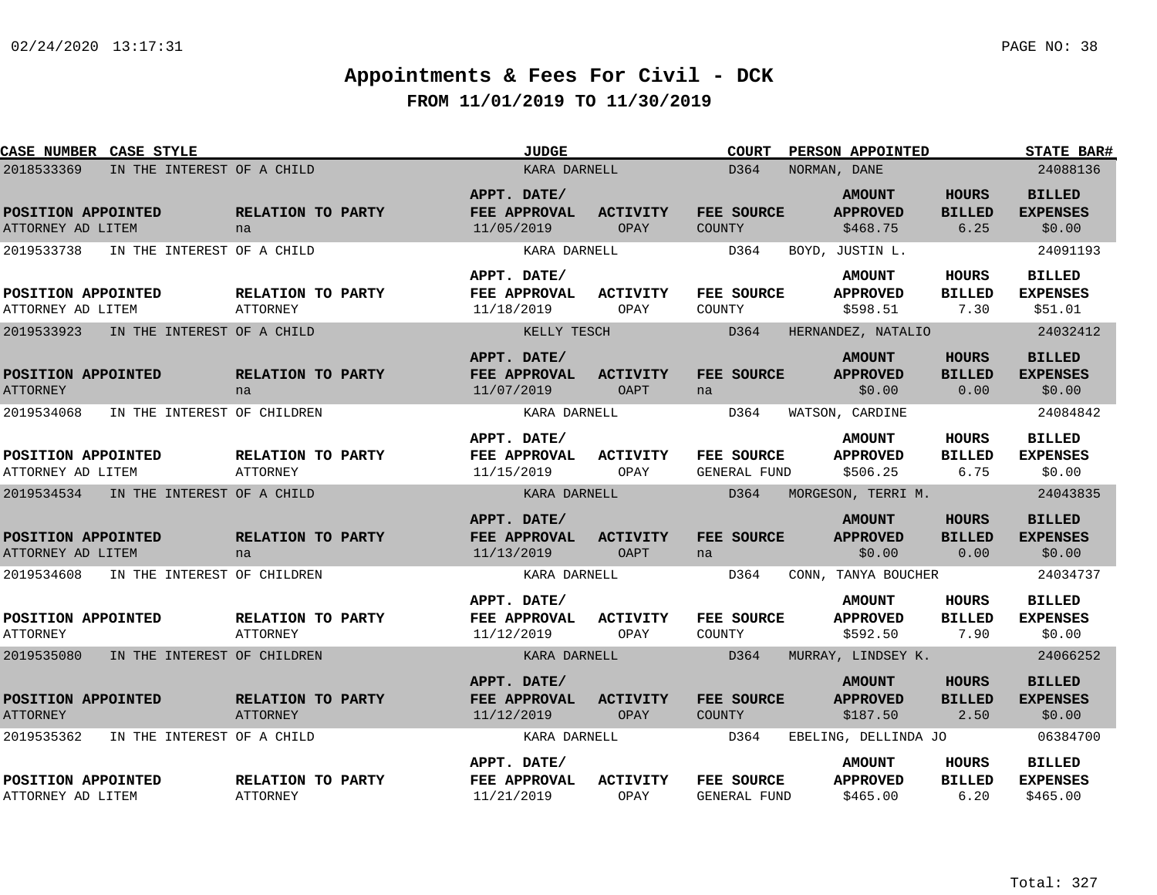| CASE NUMBER CASE STYLE                  |                                      | <b>JUDGE</b>                              |                                | <b>COURT</b>                | PERSON APPOINTED                             |                                       | <b>STATE BAR#</b>                            |
|-----------------------------------------|--------------------------------------|-------------------------------------------|--------------------------------|-----------------------------|----------------------------------------------|---------------------------------------|----------------------------------------------|
| 2018533369                              | IN THE INTEREST OF A CHILD           | KARA DARNELL                              |                                | D364                        | NORMAN, DANE                                 |                                       | 24088136                                     |
| POSITION APPOINTED<br>ATTORNEY AD LITEM | RELATION TO PARTY<br>na              | APPT. DATE/<br>FEE APPROVAL<br>11/05/2019 | <b>ACTIVITY</b><br>OPAY        | FEE SOURCE<br>COUNTY        | <b>AMOUNT</b><br><b>APPROVED</b><br>\$468.75 | <b>HOURS</b><br><b>BILLED</b><br>6.25 | <b>BILLED</b><br><b>EXPENSES</b><br>\$0.00   |
| 2019533738                              | IN THE INTEREST OF A CHILD           | KARA DARNELL                              |                                | D364                        | BOYD, JUSTIN L.                              |                                       | 24091193                                     |
| POSITION APPOINTED<br>ATTORNEY AD LITEM | RELATION TO PARTY<br><b>ATTORNEY</b> | APPT. DATE/<br>FEE APPROVAL<br>11/18/2019 | <b>ACTIVITY</b><br>OPAY        | FEE SOURCE<br>COUNTY        | <b>AMOUNT</b><br><b>APPROVED</b><br>\$598.51 | HOURS<br><b>BILLED</b><br>7.30        | <b>BILLED</b><br><b>EXPENSES</b><br>\$51.01  |
| 2019533923                              | IN THE INTEREST OF A CHILD           | KELLY TESCH                               |                                | D364                        | HERNANDEZ, NATALIO                           |                                       | 24032412                                     |
| POSITION APPOINTED<br><b>ATTORNEY</b>   | RELATION TO PARTY<br>na              | APPT. DATE/<br>FEE APPROVAL<br>11/07/2019 | <b>ACTIVITY</b><br><b>OAPT</b> | FEE SOURCE<br>na            | <b>AMOUNT</b><br><b>APPROVED</b><br>\$0.00   | <b>HOURS</b><br><b>BILLED</b><br>0.00 | <b>BILLED</b><br><b>EXPENSES</b><br>\$0.00   |
| 2019534068                              | IN THE INTEREST OF CHILDREN          | KARA DARNELL                              |                                | D364                        | WATSON, CARDINE                              |                                       | 24084842                                     |
| POSITION APPOINTED<br>ATTORNEY AD LITEM | RELATION TO PARTY<br><b>ATTORNEY</b> | APPT. DATE/<br>FEE APPROVAL<br>11/15/2019 | ACTIVITY<br>OPAY               | FEE SOURCE<br>GENERAL FUND  | <b>AMOUNT</b><br><b>APPROVED</b><br>\$506.25 | <b>HOURS</b><br><b>BILLED</b><br>6.75 | <b>BILLED</b><br><b>EXPENSES</b><br>\$0.00   |
| 2019534534                              | IN THE INTEREST OF A CHILD           | KARA DARNELL                              |                                | D364                        | MORGESON, TERRI M.                           |                                       | 24043835                                     |
| POSITION APPOINTED<br>ATTORNEY AD LITEM | RELATION TO PARTY<br>na              | APPT. DATE/<br>FEE APPROVAL<br>11/13/2019 | <b>ACTIVITY</b><br><b>OAPT</b> | FEE SOURCE<br>na            | <b>AMOUNT</b><br><b>APPROVED</b><br>\$0.00   | <b>HOURS</b><br><b>BILLED</b><br>0.00 | <b>BILLED</b><br><b>EXPENSES</b><br>\$0.00   |
| 2019534608                              | IN THE INTEREST OF CHILDREN          | KARA DARNELL                              |                                | D364                        | CONN, TANYA BOUCHER                          |                                       | 24034737                                     |
| POSITION APPOINTED<br><b>ATTORNEY</b>   | RELATION TO PARTY<br>ATTORNEY        | APPT. DATE/<br>FEE APPROVAL<br>11/12/2019 | <b>ACTIVITY</b><br>OPAY        | FEE SOURCE<br>COUNTY        | <b>AMOUNT</b><br><b>APPROVED</b><br>\$592.50 | HOURS<br><b>BILLED</b><br>7.90        | <b>BILLED</b><br><b>EXPENSES</b><br>\$0.00   |
| 2019535080                              | IN THE INTEREST OF CHILDREN          | KARA DARNELL                              |                                | D364                        | MURRAY, LINDSEY K.                           |                                       | 24066252                                     |
| POSITION APPOINTED<br><b>ATTORNEY</b>   | RELATION TO PARTY<br><b>ATTORNEY</b> | APPT. DATE/<br>FEE APPROVAL<br>11/12/2019 | <b>ACTIVITY</b><br>OPAY        | FEE SOURCE<br><b>COUNTY</b> | <b>AMOUNT</b><br><b>APPROVED</b><br>\$187.50 | <b>HOURS</b><br><b>BILLED</b><br>2.50 | <b>BILLED</b><br><b>EXPENSES</b><br>\$0.00   |
| 2019535362                              | IN THE INTEREST OF A CHILD           | KARA DARNELL                              |                                | D364                        | EBELING, DELLINDA JO                         |                                       | 06384700                                     |
| POSITION APPOINTED<br>ATTORNEY AD LITEM | RELATION TO PARTY<br><b>ATTORNEY</b> | APPT. DATE/<br>FEE APPROVAL<br>11/21/2019 | <b>ACTIVITY</b><br>OPAY        | FEE SOURCE<br>GENERAL FUND  | <b>AMOUNT</b><br><b>APPROVED</b><br>\$465.00 | <b>HOURS</b><br><b>BILLED</b><br>6.20 | <b>BILLED</b><br><b>EXPENSES</b><br>\$465.00 |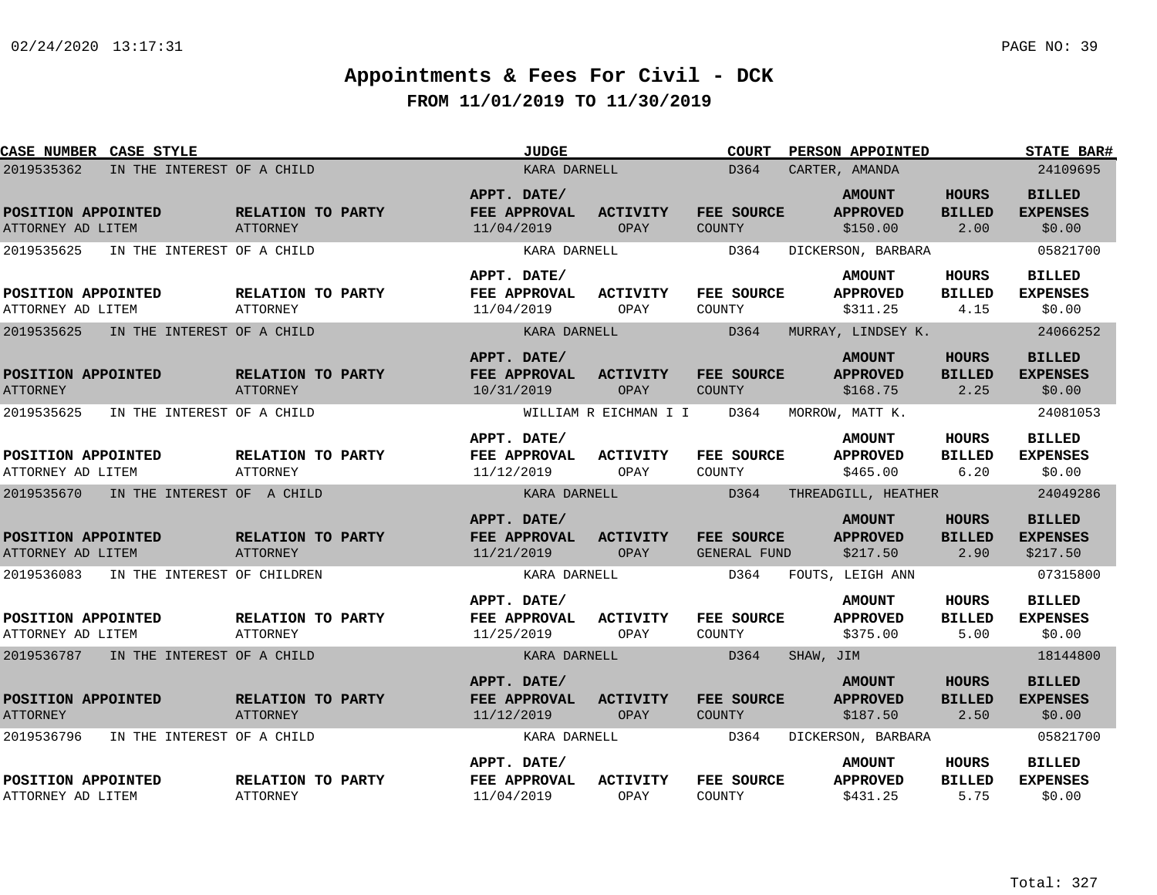| CASE NUMBER CASE STYLE                    |                                             | <b>JUDGE</b>                              |                         | <b>COURT</b>                      | PERSON APPOINTED                             |                                       | <b>STATE BAR#</b>                            |
|-------------------------------------------|---------------------------------------------|-------------------------------------------|-------------------------|-----------------------------------|----------------------------------------------|---------------------------------------|----------------------------------------------|
| 2019535362<br>IN THE INTEREST OF A CHILD  |                                             | KARA DARNELL                              |                         | D364                              | CARTER, AMANDA                               |                                       | 24109695                                     |
| POSITION APPOINTED<br>ATTORNEY AD LITEM   | RELATION TO PARTY<br>ATTORNEY               | APPT. DATE/<br>FEE APPROVAL<br>11/04/2019 | <b>ACTIVITY</b><br>OPAY | FEE SOURCE<br>COUNTY              | <b>AMOUNT</b><br><b>APPROVED</b><br>\$150.00 | <b>HOURS</b><br><b>BILLED</b><br>2.00 | <b>BILLED</b><br><b>EXPENSES</b><br>\$0.00   |
| 2019535625<br>IN THE INTEREST OF A CHILD  |                                             | KARA DARNELL                              |                         | D364                              | DICKERSON, BARBARA                           |                                       | 05821700                                     |
| POSITION APPOINTED<br>ATTORNEY AD LITEM   | <b>RELATION TO PARTY</b><br>ATTORNEY        | APPT. DATE/<br>FEE APPROVAL<br>11/04/2019 | <b>ACTIVITY</b><br>OPAY | <b>FEE SOURCE</b><br>COUNTY       | <b>AMOUNT</b><br><b>APPROVED</b><br>\$311.25 | HOURS<br><b>BILLED</b><br>4.15        | <b>BILLED</b><br><b>EXPENSES</b><br>\$0.00   |
| 2019535625<br>IN THE INTEREST OF A CHILD  |                                             | KARA DARNELL                              |                         | D364                              | MURRAY, LINDSEY K.                           |                                       | 24066252                                     |
| POSITION APPOINTED<br><b>ATTORNEY</b>     | <b>RELATION TO PARTY</b><br>ATTORNEY        | APPT. DATE/<br>FEE APPROVAL<br>10/31/2019 | <b>ACTIVITY</b><br>OPAY | FEE SOURCE<br><b>COUNTY</b>       | <b>AMOUNT</b><br><b>APPROVED</b><br>\$168.75 | <b>HOURS</b><br><b>BILLED</b><br>2.25 | <b>BILLED</b><br><b>EXPENSES</b><br>\$0.00   |
| 2019535625<br>IN THE INTEREST OF A CHILD  |                                             |                                           | WILLIAM R EICHMAN I I   | D364                              | MORROW, MATT K.                              |                                       | 24081053                                     |
| POSITION APPOINTED<br>ATTORNEY AD LITEM   | RELATION TO PARTY<br>ATTORNEY               | APPT. DATE/<br>FEE APPROVAL<br>11/12/2019 | <b>ACTIVITY</b><br>OPAY | FEE SOURCE<br>COUNTY              | <b>AMOUNT</b><br><b>APPROVED</b><br>\$465.00 | <b>HOURS</b><br><b>BILLED</b><br>6.20 | <b>BILLED</b><br><b>EXPENSES</b><br>\$0.00   |
| 2019535670<br>IN THE INTEREST OF A CHILD  |                                             | KARA DARNELL                              |                         | D364                              | THREADGILL, HEATHER                          |                                       | 24049286                                     |
| POSITION APPOINTED<br>ATTORNEY AD LITEM   | RELATION TO PARTY<br><b>ATTORNEY</b>        | APPT. DATE/<br>FEE APPROVAL<br>11/21/2019 | ACTIVITY<br>OPAY        | FEE SOURCE<br><b>GENERAL FUND</b> | <b>AMOUNT</b><br><b>APPROVED</b><br>\$217.50 | <b>HOURS</b><br><b>BILLED</b><br>2.90 | <b>BILLED</b><br><b>EXPENSES</b><br>\$217.50 |
| 2019536083<br>IN THE INTEREST OF CHILDREN |                                             | KARA DARNELL                              |                         | D364                              | FOUTS, LEIGH ANN                             |                                       | 07315800                                     |
| POSITION APPOINTED<br>ATTORNEY AD LITEM   | <b>RELATION TO PARTY</b><br>ATTORNEY        | APPT. DATE/<br>FEE APPROVAL<br>11/25/2019 | <b>ACTIVITY</b><br>OPAY | FEE SOURCE<br>COUNTY              | <b>AMOUNT</b><br><b>APPROVED</b><br>\$375.00 | <b>HOURS</b><br><b>BILLED</b><br>5.00 | <b>BILLED</b><br><b>EXPENSES</b><br>\$0.00   |
| 2019536787 IN THE INTEREST OF A CHILD     |                                             | KARA DARNELL                              |                         | D364                              | SHAW, JIM                                    |                                       | 18144800                                     |
| POSITION APPOINTED<br><b>ATTORNEY</b>     | <b>RELATION TO PARTY</b><br><b>ATTORNEY</b> | APPT. DATE/<br>FEE APPROVAL<br>11/12/2019 | <b>ACTIVITY</b><br>OPAY | FEE SOURCE<br>COUNTY              | <b>AMOUNT</b><br><b>APPROVED</b><br>\$187.50 | <b>HOURS</b><br><b>BILLED</b><br>2.50 | <b>BILLED</b><br><b>EXPENSES</b><br>\$0.00   |
| 2019536796<br>IN THE INTEREST OF A CHILD  |                                             | KARA DARNELL                              |                         | D364                              | DICKERSON, BARBARA                           |                                       | 05821700                                     |
| POSITION APPOINTED<br>ATTORNEY AD LITEM   | RELATION TO PARTY<br><b>ATTORNEY</b>        | APPT. DATE/<br>FEE APPROVAL<br>11/04/2019 | <b>ACTIVITY</b><br>OPAY | FEE SOURCE<br>COUNTY              | <b>AMOUNT</b><br><b>APPROVED</b><br>\$431.25 | HOURS<br><b>BILLED</b><br>5.75        | <b>BILLED</b><br><b>EXPENSES</b><br>\$0.00   |